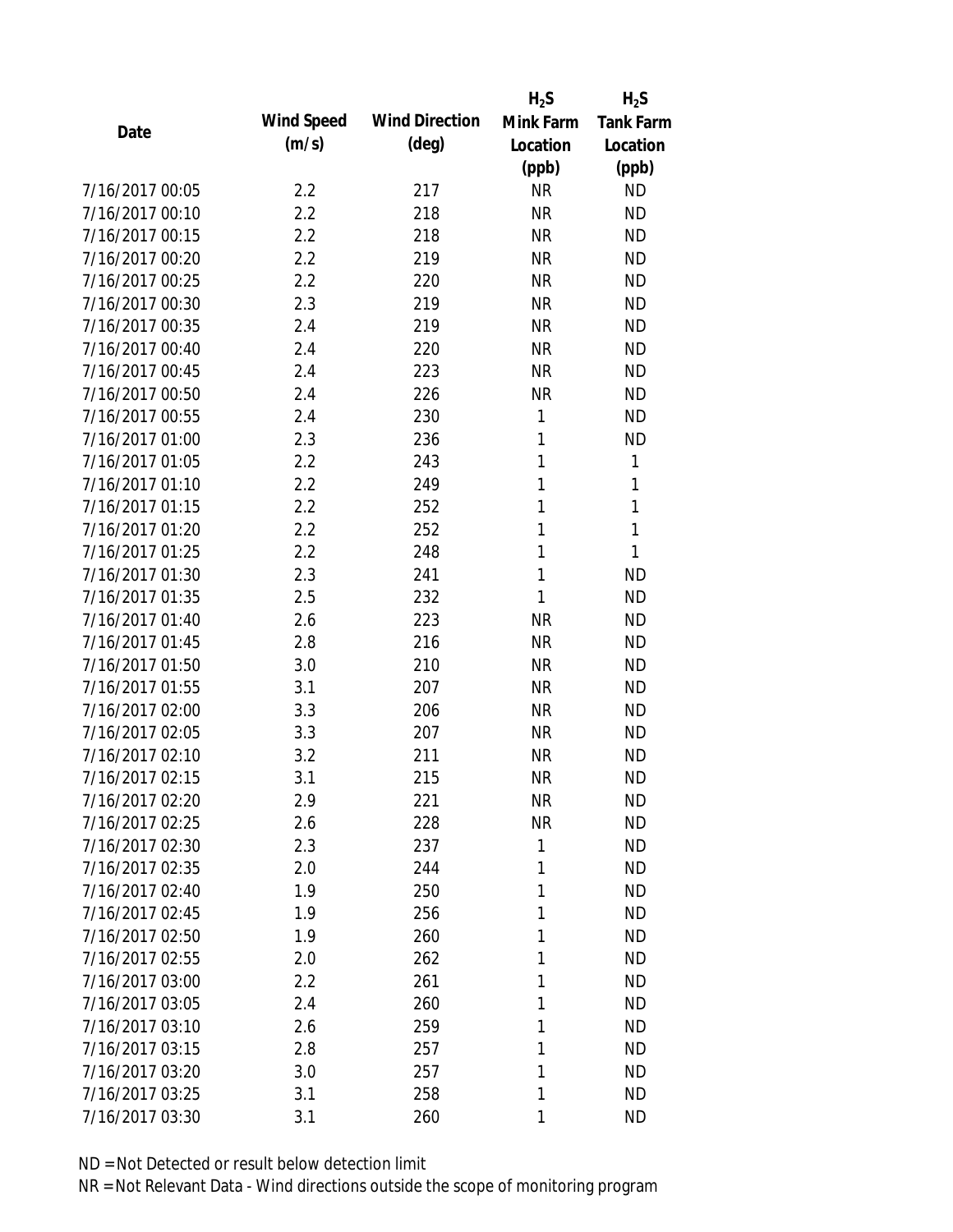|                 |            |                       | $H_2S$    | $H_2S$           |
|-----------------|------------|-----------------------|-----------|------------------|
| Date            | Wind Speed | <b>Wind Direction</b> | Mink Farm | <b>Tank Farm</b> |
|                 | (m/s)      | $(\text{deg})$        | Location  | Location         |
|                 |            |                       | (ppb)     | (ppb)            |
| 7/16/2017 00:05 | 2.2        | 217                   | <b>NR</b> | <b>ND</b>        |
| 7/16/2017 00:10 | 2.2        | 218                   | <b>NR</b> | <b>ND</b>        |
| 7/16/2017 00:15 | 2.2        | 218                   | <b>NR</b> | <b>ND</b>        |
| 7/16/2017 00:20 | 2.2        | 219                   | <b>NR</b> | <b>ND</b>        |
| 7/16/2017 00:25 | 2.2        | 220                   | <b>NR</b> | <b>ND</b>        |
| 7/16/2017 00:30 | 2.3        | 219                   | <b>NR</b> | <b>ND</b>        |
| 7/16/2017 00:35 | 2.4        | 219                   | <b>NR</b> | <b>ND</b>        |
| 7/16/2017 00:40 | 2.4        | 220                   | <b>NR</b> | <b>ND</b>        |
| 7/16/2017 00:45 | 2.4        | 223                   | <b>NR</b> | <b>ND</b>        |
| 7/16/2017 00:50 | 2.4        | 226                   | <b>NR</b> | <b>ND</b>        |
| 7/16/2017 00:55 | 2.4        | 230                   | 1         | <b>ND</b>        |
| 7/16/2017 01:00 | 2.3        | 236                   | 1         | <b>ND</b>        |
| 7/16/2017 01:05 | 2.2        | 243                   | 1         | $\mathbf{1}$     |
| 7/16/2017 01:10 | 2.2        | 249                   | 1         | 1                |
| 7/16/2017 01:15 | 2.2        | 252                   | 1         | 1                |
| 7/16/2017 01:20 | 2.2        | 252                   | 1         | 1                |
| 7/16/2017 01:25 | 2.2        | 248                   | 1         | 1                |
| 7/16/2017 01:30 | 2.3        | 241                   | 1         | <b>ND</b>        |
| 7/16/2017 01:35 | 2.5        | 232                   | 1         | <b>ND</b>        |
| 7/16/2017 01:40 | 2.6        | 223                   | <b>NR</b> | <b>ND</b>        |
| 7/16/2017 01:45 | 2.8        | 216                   | <b>NR</b> | <b>ND</b>        |
| 7/16/2017 01:50 | 3.0        | 210                   | <b>NR</b> | <b>ND</b>        |
| 7/16/2017 01:55 | 3.1        | 207                   | <b>NR</b> | <b>ND</b>        |
| 7/16/2017 02:00 | 3.3        | 206                   | <b>NR</b> | <b>ND</b>        |
| 7/16/2017 02:05 | 3.3        | 207                   | <b>NR</b> | <b>ND</b>        |
| 7/16/2017 02:10 | 3.2        | 211                   | <b>NR</b> | <b>ND</b>        |
| 7/16/2017 02:15 | 3.1        | 215                   | <b>NR</b> | <b>ND</b>        |
| 7/16/2017 02:20 | 2.9        | 221                   | <b>NR</b> | <b>ND</b>        |
| 7/16/2017 02:25 | 2.6        | 228                   | <b>NR</b> | <b>ND</b>        |
| 7/16/2017 02:30 | 2.3        | 237                   | 1         | <b>ND</b>        |
| 7/16/2017 02:35 | 2.0        | 244                   | 1         | <b>ND</b>        |
| 7/16/2017 02:40 | 1.9        | 250                   | 1         | <b>ND</b>        |
| 7/16/2017 02:45 | 1.9        | 256                   | 1         | <b>ND</b>        |
| 7/16/2017 02:50 | 1.9        | 260                   | 1         | <b>ND</b>        |
| 7/16/2017 02:55 | 2.0        | 262                   | 1         | <b>ND</b>        |
| 7/16/2017 03:00 | 2.2        | 261                   | 1         | <b>ND</b>        |
| 7/16/2017 03:05 | 2.4        | 260                   | 1         | <b>ND</b>        |
| 7/16/2017 03:10 | 2.6        | 259                   | 1         | <b>ND</b>        |
| 7/16/2017 03:15 | 2.8        | 257                   | 1         | <b>ND</b>        |
| 7/16/2017 03:20 | 3.0        | 257                   | 1         | <b>ND</b>        |
| 7/16/2017 03:25 | 3.1        | 258                   | 1         | <b>ND</b>        |
| 7/16/2017 03:30 | 3.1        | 260                   | 1         | <b>ND</b>        |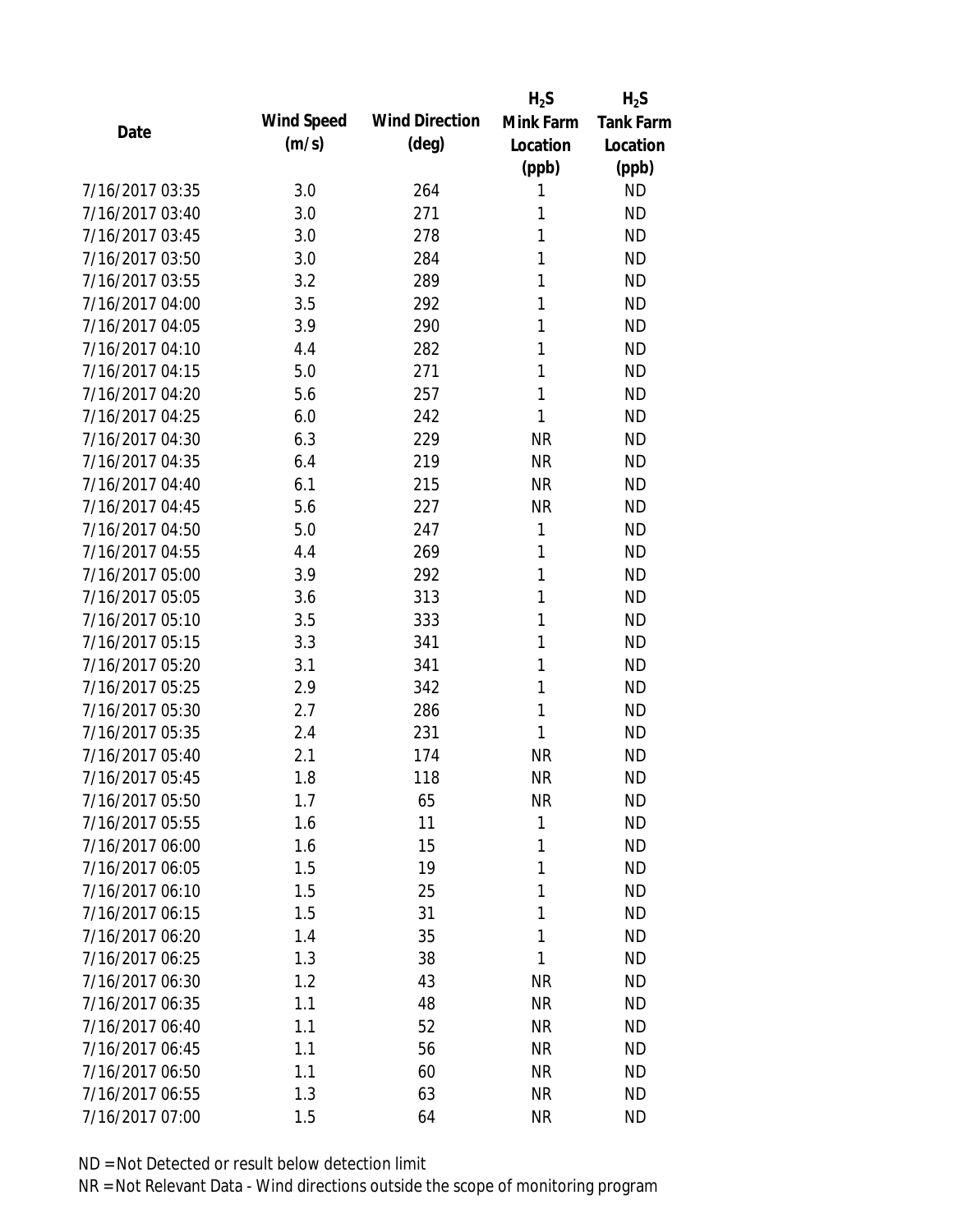|                 |            |                       | $H_2S$    | $H_2S$           |
|-----------------|------------|-----------------------|-----------|------------------|
| Date            | Wind Speed | <b>Wind Direction</b> | Mink Farm | <b>Tank Farm</b> |
|                 | (m/s)      | $(\text{deg})$        | Location  | Location         |
|                 |            |                       | (ppb)     | (ppb)            |
| 7/16/2017 03:35 | 3.0        | 264                   | 1         | <b>ND</b>        |
| 7/16/2017 03:40 | 3.0        | 271                   | 1         | <b>ND</b>        |
| 7/16/2017 03:45 | 3.0        | 278                   | 1         | <b>ND</b>        |
| 7/16/2017 03:50 | 3.0        | 284                   | 1         | <b>ND</b>        |
| 7/16/2017 03:55 | 3.2        | 289                   | 1         | <b>ND</b>        |
| 7/16/2017 04:00 | 3.5        | 292                   | 1         | <b>ND</b>        |
| 7/16/2017 04:05 | 3.9        | 290                   | 1         | <b>ND</b>        |
| 7/16/2017 04:10 | 4.4        | 282                   | 1         | <b>ND</b>        |
| 7/16/2017 04:15 | 5.0        | 271                   | 1         | <b>ND</b>        |
| 7/16/2017 04:20 | 5.6        | 257                   | 1         | <b>ND</b>        |
| 7/16/2017 04:25 | 6.0        | 242                   | 1         | <b>ND</b>        |
| 7/16/2017 04:30 | 6.3        | 229                   | <b>NR</b> | <b>ND</b>        |
| 7/16/2017 04:35 | 6.4        | 219                   | <b>NR</b> | <b>ND</b>        |
| 7/16/2017 04:40 | 6.1        | 215                   | <b>NR</b> | <b>ND</b>        |
| 7/16/2017 04:45 | 5.6        | 227                   | <b>NR</b> | <b>ND</b>        |
| 7/16/2017 04:50 | 5.0        | 247                   | 1         | <b>ND</b>        |
| 7/16/2017 04:55 | 4.4        | 269                   | 1         | <b>ND</b>        |
| 7/16/2017 05:00 | 3.9        | 292                   | 1         | <b>ND</b>        |
| 7/16/2017 05:05 | 3.6        | 313                   | 1         | <b>ND</b>        |
| 7/16/2017 05:10 | 3.5        | 333                   | 1         | <b>ND</b>        |
| 7/16/2017 05:15 | 3.3        | 341                   | 1         | <b>ND</b>        |
| 7/16/2017 05:20 | 3.1        | 341                   | 1         | <b>ND</b>        |
| 7/16/2017 05:25 | 2.9        | 342                   | 1         | <b>ND</b>        |
| 7/16/2017 05:30 | 2.7        | 286                   | 1         | <b>ND</b>        |
| 7/16/2017 05:35 | 2.4        | 231                   | 1         | <b>ND</b>        |
| 7/16/2017 05:40 | 2.1        | 174                   | <b>NR</b> | <b>ND</b>        |
| 7/16/2017 05:45 | 1.8        | 118                   | <b>NR</b> | <b>ND</b>        |
| 7/16/2017 05:50 | 1.7        | 65                    | <b>NR</b> | <b>ND</b>        |
| 7/16/2017 05:55 | 1.6        | 11                    | 1         | <b>ND</b>        |
| 7/16/2017 06:00 | 1.6        | 15                    | 1         | <b>ND</b>        |
| 7/16/2017 06:05 | 1.5        | 19                    | 1         | <b>ND</b>        |
| 7/16/2017 06:10 | 1.5        | 25                    | 1         | <b>ND</b>        |
| 7/16/2017 06:15 | 1.5        | 31                    | 1         | <b>ND</b>        |
| 7/16/2017 06:20 | 1.4        | 35                    | 1         | <b>ND</b>        |
| 7/16/2017 06:25 | 1.3        | 38                    | 1         | <b>ND</b>        |
| 7/16/2017 06:30 | 1.2        | 43                    | <b>NR</b> | <b>ND</b>        |
| 7/16/2017 06:35 | 1.1        | 48                    | <b>NR</b> | <b>ND</b>        |
| 7/16/2017 06:40 | 1.1        | 52                    | <b>NR</b> | <b>ND</b>        |
| 7/16/2017 06:45 | 1.1        | 56                    | <b>NR</b> | <b>ND</b>        |
| 7/16/2017 06:50 | 1.1        | 60                    | <b>NR</b> | ND               |
| 7/16/2017 06:55 | 1.3        | 63                    | <b>NR</b> | <b>ND</b>        |
| 7/16/2017 07:00 | 1.5        | 64                    | <b>NR</b> | <b>ND</b>        |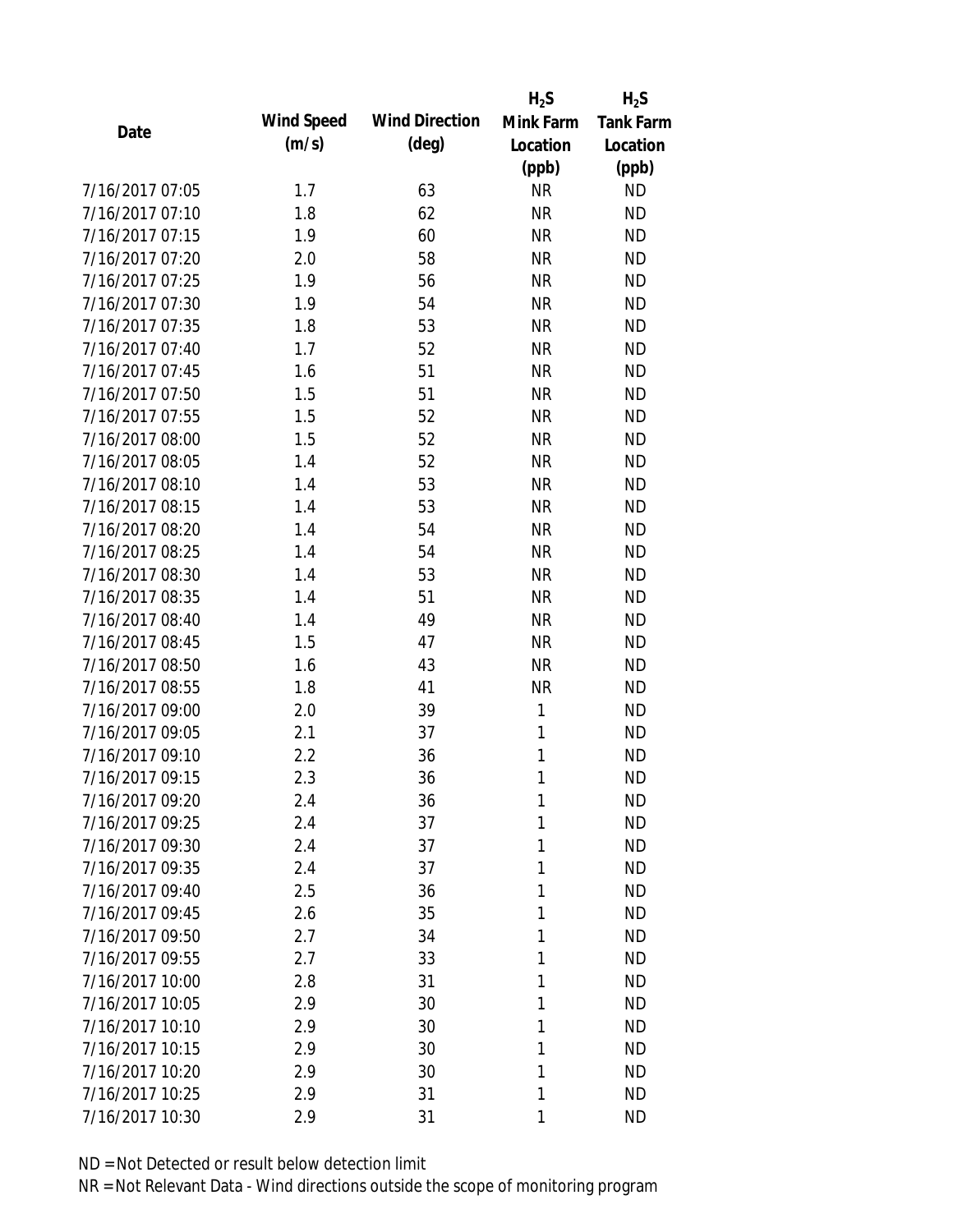|                 |            |                       | $H_2S$    | $H_2S$           |
|-----------------|------------|-----------------------|-----------|------------------|
| Date            | Wind Speed | <b>Wind Direction</b> | Mink Farm | <b>Tank Farm</b> |
|                 | (m/s)      | $(\text{deg})$        | Location  | Location         |
|                 |            |                       | (ppb)     | (ppb)            |
| 7/16/2017 07:05 | 1.7        | 63                    | <b>NR</b> | <b>ND</b>        |
| 7/16/2017 07:10 | 1.8        | 62                    | <b>NR</b> | <b>ND</b>        |
| 7/16/2017 07:15 | 1.9        | 60                    | <b>NR</b> | <b>ND</b>        |
| 7/16/2017 07:20 | 2.0        | 58                    | <b>NR</b> | <b>ND</b>        |
| 7/16/2017 07:25 | 1.9        | 56                    | <b>NR</b> | <b>ND</b>        |
| 7/16/2017 07:30 | 1.9        | 54                    | <b>NR</b> | <b>ND</b>        |
| 7/16/2017 07:35 | 1.8        | 53                    | <b>NR</b> | <b>ND</b>        |
| 7/16/2017 07:40 | 1.7        | 52                    | <b>NR</b> | <b>ND</b>        |
| 7/16/2017 07:45 | 1.6        | 51                    | <b>NR</b> | <b>ND</b>        |
| 7/16/2017 07:50 | 1.5        | 51                    | <b>NR</b> | <b>ND</b>        |
| 7/16/2017 07:55 | 1.5        | 52                    | <b>NR</b> | <b>ND</b>        |
| 7/16/2017 08:00 | 1.5        | 52                    | <b>NR</b> | <b>ND</b>        |
| 7/16/2017 08:05 | 1.4        | 52                    | <b>NR</b> | <b>ND</b>        |
| 7/16/2017 08:10 | 1.4        | 53                    | <b>NR</b> | <b>ND</b>        |
| 7/16/2017 08:15 | 1.4        | 53                    | <b>NR</b> | <b>ND</b>        |
| 7/16/2017 08:20 | 1.4        | 54                    | <b>NR</b> | <b>ND</b>        |
| 7/16/2017 08:25 | 1.4        | 54                    | <b>NR</b> | <b>ND</b>        |
| 7/16/2017 08:30 | 1.4        | 53                    | <b>NR</b> | <b>ND</b>        |
| 7/16/2017 08:35 | 1.4        | 51                    | <b>NR</b> | <b>ND</b>        |
| 7/16/2017 08:40 | 1.4        | 49                    | <b>NR</b> | <b>ND</b>        |
| 7/16/2017 08:45 | 1.5        | 47                    | <b>NR</b> | <b>ND</b>        |
| 7/16/2017 08:50 | 1.6        | 43                    | <b>NR</b> | <b>ND</b>        |
| 7/16/2017 08:55 | 1.8        | 41                    | <b>NR</b> | <b>ND</b>        |
| 7/16/2017 09:00 | 2.0        | 39                    | 1         | <b>ND</b>        |
| 7/16/2017 09:05 | 2.1        | 37                    | 1         | <b>ND</b>        |
| 7/16/2017 09:10 | 2.2        | 36                    | 1         | <b>ND</b>        |
| 7/16/2017 09:15 | 2.3        | 36                    | 1         | <b>ND</b>        |
| 7/16/2017 09:20 | 2.4        | 36                    | 1         | <b>ND</b>        |
| 7/16/2017 09:25 | 2.4        | 37                    | 1         | <b>ND</b>        |
| 7/16/2017 09:30 | 2.4        | 37                    | 1         | <b>ND</b>        |
| 7/16/2017 09:35 | 2.4        | 37                    | 1         | <b>ND</b>        |
| 7/16/2017 09:40 | 2.5        | 36                    | 1         | <b>ND</b>        |
| 7/16/2017 09:45 | 2.6        | 35                    | 1         | <b>ND</b>        |
| 7/16/2017 09:50 | 2.7        | 34                    | 1         | <b>ND</b>        |
| 7/16/2017 09:55 | 2.7        | 33                    | 1         | <b>ND</b>        |
| 7/16/2017 10:00 | 2.8        | 31                    | 1         | <b>ND</b>        |
| 7/16/2017 10:05 | 2.9        | 30                    | 1         | <b>ND</b>        |
| 7/16/2017 10:10 | 2.9        | 30                    | 1         | <b>ND</b>        |
| 7/16/2017 10:15 | 2.9        | 30                    | 1         | <b>ND</b>        |
| 7/16/2017 10:20 | 2.9        | 30                    | 1         | <b>ND</b>        |
| 7/16/2017 10:25 | 2.9        | 31                    | 1         | <b>ND</b>        |
| 7/16/2017 10:30 | 2.9        | 31                    | 1         | <b>ND</b>        |
|                 |            |                       |           |                  |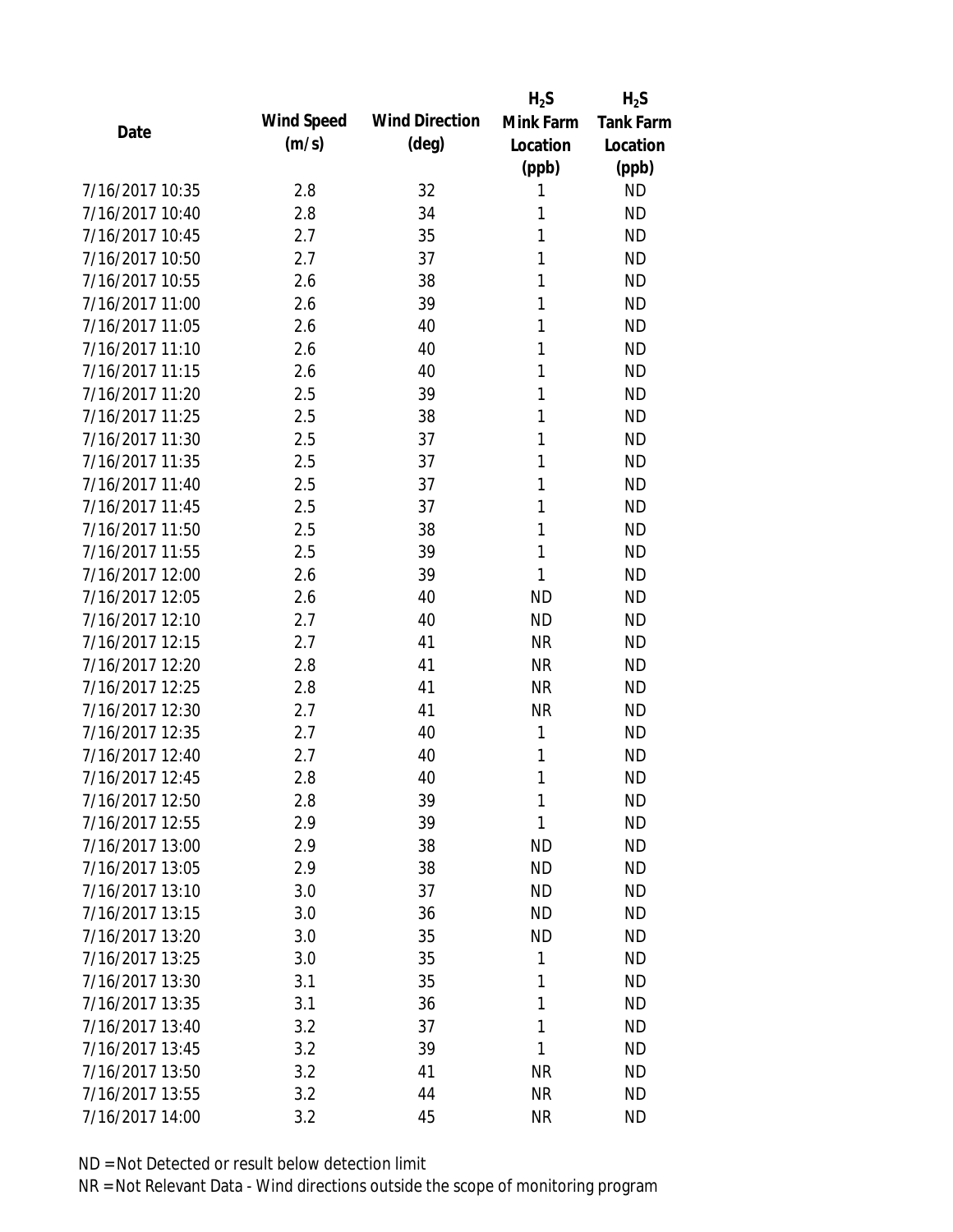|                 |            |                       | $H_2S$    | $H_2S$           |
|-----------------|------------|-----------------------|-----------|------------------|
| Date            | Wind Speed | <b>Wind Direction</b> | Mink Farm | <b>Tank Farm</b> |
|                 | (m/s)      | $(\text{deg})$        | Location  | Location         |
|                 |            |                       | (ppb)     | (ppb)            |
| 7/16/2017 10:35 | 2.8        | 32                    | 1         | <b>ND</b>        |
| 7/16/2017 10:40 | 2.8        | 34                    | 1         | <b>ND</b>        |
| 7/16/2017 10:45 | 2.7        | 35                    | 1         | <b>ND</b>        |
| 7/16/2017 10:50 | 2.7        | 37                    | 1         | <b>ND</b>        |
| 7/16/2017 10:55 | 2.6        | 38                    | 1         | <b>ND</b>        |
| 7/16/2017 11:00 | 2.6        | 39                    | 1         | <b>ND</b>        |
| 7/16/2017 11:05 | 2.6        | 40                    | 1         | <b>ND</b>        |
| 7/16/2017 11:10 | 2.6        | 40                    | 1         | <b>ND</b>        |
| 7/16/2017 11:15 | 2.6        | 40                    | 1         | <b>ND</b>        |
| 7/16/2017 11:20 | 2.5        | 39                    | 1         | <b>ND</b>        |
| 7/16/2017 11:25 | 2.5        | 38                    | 1         | <b>ND</b>        |
| 7/16/2017 11:30 | 2.5        | 37                    | 1         | <b>ND</b>        |
| 7/16/2017 11:35 | 2.5        | 37                    | 1         | <b>ND</b>        |
| 7/16/2017 11:40 | 2.5        | 37                    | 1         | <b>ND</b>        |
| 7/16/2017 11:45 | 2.5        | 37                    | 1         | <b>ND</b>        |
| 7/16/2017 11:50 | 2.5        | 38                    | 1         | <b>ND</b>        |
| 7/16/2017 11:55 | 2.5        | 39                    | 1         | <b>ND</b>        |
| 7/16/2017 12:00 | 2.6        | 39                    | 1         | <b>ND</b>        |
| 7/16/2017 12:05 | 2.6        | 40                    | <b>ND</b> | <b>ND</b>        |
| 7/16/2017 12:10 | 2.7        | 40                    | <b>ND</b> | <b>ND</b>        |
| 7/16/2017 12:15 | 2.7        | 41                    | <b>NR</b> | <b>ND</b>        |
| 7/16/2017 12:20 | 2.8        | 41                    | <b>NR</b> | <b>ND</b>        |
| 7/16/2017 12:25 | 2.8        | 41                    | <b>NR</b> | <b>ND</b>        |
| 7/16/2017 12:30 | 2.7        | 41                    | <b>NR</b> | <b>ND</b>        |
| 7/16/2017 12:35 | 2.7        | 40                    | 1         | <b>ND</b>        |
| 7/16/2017 12:40 | 2.7        | 40                    | 1         | <b>ND</b>        |
| 7/16/2017 12:45 | 2.8        | 40                    | 1         | <b>ND</b>        |
| 7/16/2017 12:50 | 2.8        | 39                    | 1         | <b>ND</b>        |
| 7/16/2017 12:55 | 2.9        | 39                    | 1         | <b>ND</b>        |
| 7/16/2017 13:00 | 2.9        | 38                    | ND        | <b>ND</b>        |
| 7/16/2017 13:05 | 2.9        | 38                    | <b>ND</b> | <b>ND</b>        |
| 7/16/2017 13:10 | 3.0        | 37                    | <b>ND</b> | <b>ND</b>        |
| 7/16/2017 13:15 | 3.0        | 36                    | <b>ND</b> | <b>ND</b>        |
| 7/16/2017 13:20 | 3.0        | 35                    | <b>ND</b> | <b>ND</b>        |
| 7/16/2017 13:25 | 3.0        | 35                    | 1         | <b>ND</b>        |
| 7/16/2017 13:30 | 3.1        | 35                    | 1         | <b>ND</b>        |
| 7/16/2017 13:35 | 3.1        | 36                    | 1         | <b>ND</b>        |
| 7/16/2017 13:40 | 3.2        | 37                    | 1         | <b>ND</b>        |
| 7/16/2017 13:45 | 3.2        | 39                    | 1         | <b>ND</b>        |
| 7/16/2017 13:50 | 3.2        | 41                    | <b>NR</b> | <b>ND</b>        |
| 7/16/2017 13:55 | 3.2        | 44                    | <b>NR</b> | <b>ND</b>        |
| 7/16/2017 14:00 | 3.2        | 45                    | <b>NR</b> | <b>ND</b>        |
|                 |            |                       |           |                  |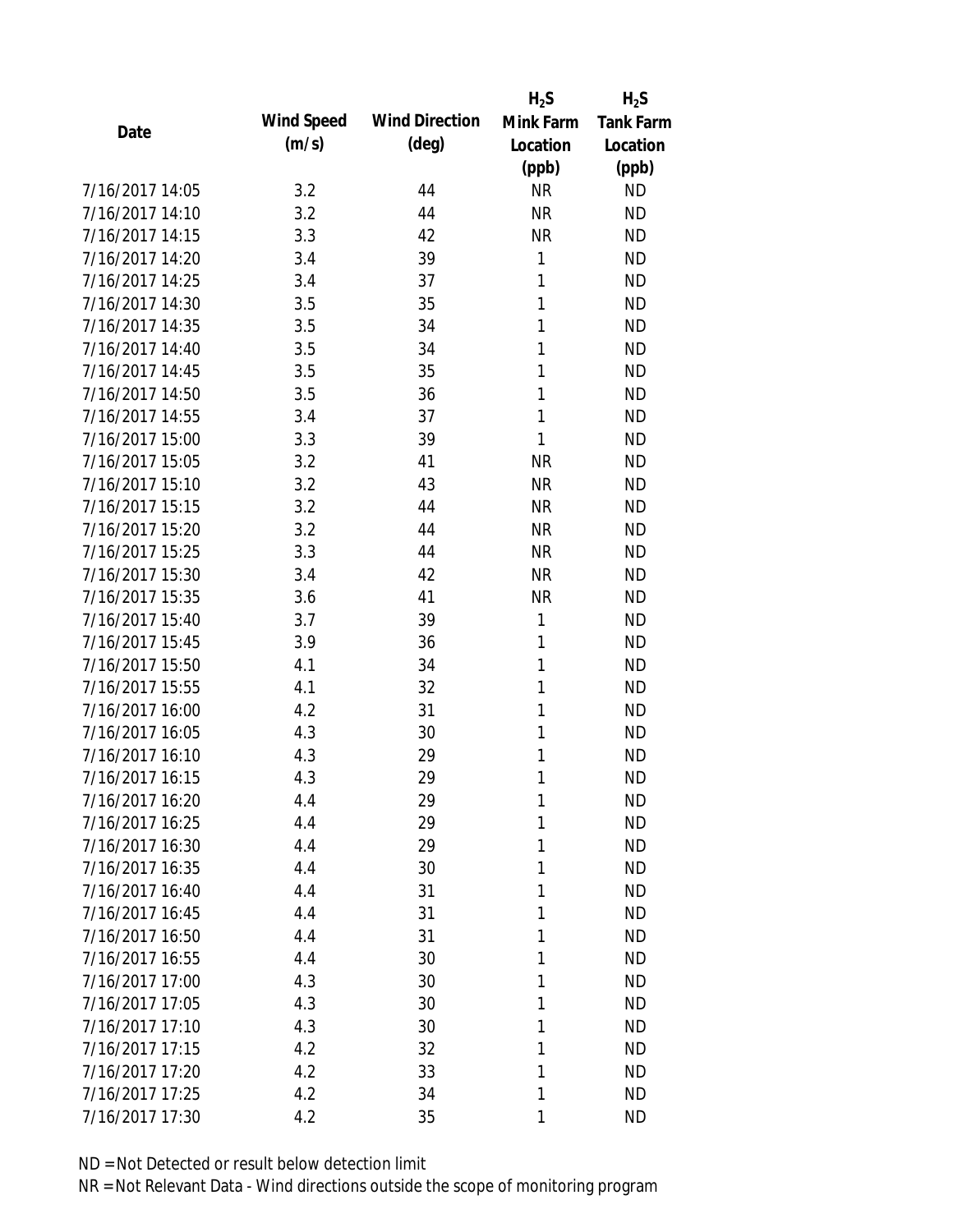|                 |            |                       | $H_2S$       | $H_2S$           |
|-----------------|------------|-----------------------|--------------|------------------|
| Date            | Wind Speed | <b>Wind Direction</b> | Mink Farm    | <b>Tank Farm</b> |
|                 | (m/s)      | $(\text{deg})$        | Location     | Location         |
|                 |            |                       | (ppb)        | (ppb)            |
| 7/16/2017 14:05 | 3.2        | 44                    | <b>NR</b>    | <b>ND</b>        |
| 7/16/2017 14:10 | 3.2        | 44                    | <b>NR</b>    | <b>ND</b>        |
| 7/16/2017 14:15 | 3.3        | 42                    | <b>NR</b>    | <b>ND</b>        |
| 7/16/2017 14:20 | 3.4        | 39                    | 1            | <b>ND</b>        |
| 7/16/2017 14:25 | 3.4        | 37                    | $\mathbf{1}$ | <b>ND</b>        |
| 7/16/2017 14:30 | 3.5        | 35                    | 1            | <b>ND</b>        |
| 7/16/2017 14:35 | 3.5        | 34                    | 1            | <b>ND</b>        |
| 7/16/2017 14:40 | 3.5        | 34                    | 1            | <b>ND</b>        |
| 7/16/2017 14:45 | 3.5        | 35                    | 1            | <b>ND</b>        |
| 7/16/2017 14:50 | 3.5        | 36                    | 1            | <b>ND</b>        |
| 7/16/2017 14:55 | 3.4        | 37                    | 1            | <b>ND</b>        |
| 7/16/2017 15:00 | 3.3        | 39                    | 1            | <b>ND</b>        |
| 7/16/2017 15:05 | 3.2        | 41                    | <b>NR</b>    | <b>ND</b>        |
| 7/16/2017 15:10 | 3.2        | 43                    | <b>NR</b>    | <b>ND</b>        |
| 7/16/2017 15:15 | 3.2        | 44                    | <b>NR</b>    | <b>ND</b>        |
| 7/16/2017 15:20 | 3.2        | 44                    | <b>NR</b>    | <b>ND</b>        |
| 7/16/2017 15:25 | 3.3        | 44                    | <b>NR</b>    | <b>ND</b>        |
| 7/16/2017 15:30 | 3.4        | 42                    | <b>NR</b>    | <b>ND</b>        |
| 7/16/2017 15:35 | 3.6        | 41                    | <b>NR</b>    | <b>ND</b>        |
| 7/16/2017 15:40 | 3.7        | 39                    | 1            | <b>ND</b>        |
| 7/16/2017 15:45 | 3.9        | 36                    | 1            | <b>ND</b>        |
| 7/16/2017 15:50 | 4.1        | 34                    | 1            | <b>ND</b>        |
| 7/16/2017 15:55 | 4.1        | 32                    | 1            | <b>ND</b>        |
| 7/16/2017 16:00 | 4.2        | 31                    | 1            | <b>ND</b>        |
| 7/16/2017 16:05 | 4.3        | 30                    | 1            | <b>ND</b>        |
| 7/16/2017 16:10 | 4.3        | 29                    | 1            | <b>ND</b>        |
| 7/16/2017 16:15 | 4.3        | 29                    | 1            | <b>ND</b>        |
| 7/16/2017 16:20 | 4.4        | 29                    | 1            | <b>ND</b>        |
| 7/16/2017 16:25 | 4.4        | 29                    | 1            | <b>ND</b>        |
| 7/16/2017 16:30 | 4.4        | 29                    | 1            | <b>ND</b>        |
| 7/16/2017 16:35 | 4.4        | 30                    | 1            | <b>ND</b>        |
| 7/16/2017 16:40 | 4.4        | 31                    | 1            | <b>ND</b>        |
| 7/16/2017 16:45 | 4.4        | 31                    | 1            | <b>ND</b>        |
| 7/16/2017 16:50 | 4.4        | 31                    | 1            | <b>ND</b>        |
| 7/16/2017 16:55 | 4.4        | 30                    | 1            | <b>ND</b>        |
| 7/16/2017 17:00 | 4.3        | 30                    | 1            | <b>ND</b>        |
| 7/16/2017 17:05 | 4.3        | 30                    | 1            | <b>ND</b>        |
| 7/16/2017 17:10 | 4.3        | 30                    | 1            | <b>ND</b>        |
| 7/16/2017 17:15 | 4.2        | 32                    | 1            | <b>ND</b>        |
| 7/16/2017 17:20 | 4.2        | 33                    | 1            | ND               |
| 7/16/2017 17:25 | 4.2        | 34                    | 1            | <b>ND</b>        |
| 7/16/2017 17:30 | 4.2        | 35                    | 1            | <b>ND</b>        |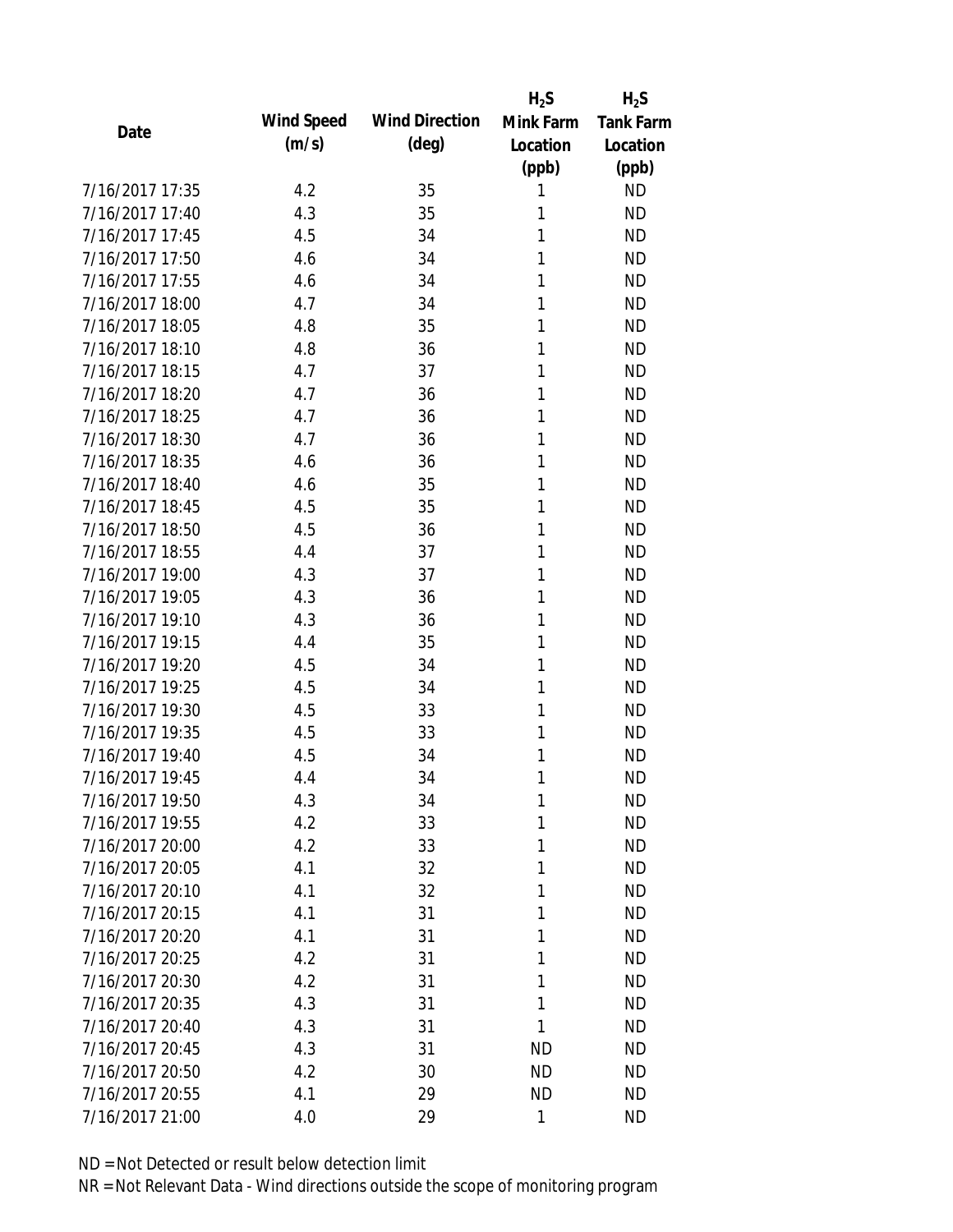|                 |            |                       | $H_2S$    | $H_2S$           |
|-----------------|------------|-----------------------|-----------|------------------|
| Date            | Wind Speed | <b>Wind Direction</b> | Mink Farm | <b>Tank Farm</b> |
|                 | (m/s)      | $(\text{deg})$        | Location  | Location         |
|                 |            |                       | (ppb)     | (ppb)            |
| 7/16/2017 17:35 | 4.2        | 35                    | 1         | <b>ND</b>        |
| 7/16/2017 17:40 | 4.3        | 35                    | 1         | <b>ND</b>        |
| 7/16/2017 17:45 | 4.5        | 34                    | 1         | <b>ND</b>        |
| 7/16/2017 17:50 | 4.6        | 34                    | 1         | <b>ND</b>        |
| 7/16/2017 17:55 | 4.6        | 34                    | 1         | <b>ND</b>        |
| 7/16/2017 18:00 | 4.7        | 34                    | 1         | <b>ND</b>        |
| 7/16/2017 18:05 | 4.8        | 35                    | 1         | <b>ND</b>        |
| 7/16/2017 18:10 | 4.8        | 36                    | 1         | <b>ND</b>        |
| 7/16/2017 18:15 | 4.7        | 37                    | 1         | <b>ND</b>        |
| 7/16/2017 18:20 | 4.7        | 36                    | 1         | <b>ND</b>        |
| 7/16/2017 18:25 | 4.7        | 36                    | 1         | <b>ND</b>        |
| 7/16/2017 18:30 | 4.7        | 36                    | 1         | <b>ND</b>        |
| 7/16/2017 18:35 | 4.6        | 36                    | 1         | <b>ND</b>        |
| 7/16/2017 18:40 | 4.6        | 35                    | 1         | <b>ND</b>        |
| 7/16/2017 18:45 | 4.5        | 35                    | 1         | <b>ND</b>        |
| 7/16/2017 18:50 | 4.5        | 36                    | 1         | <b>ND</b>        |
| 7/16/2017 18:55 | 4.4        | 37                    | 1         | <b>ND</b>        |
| 7/16/2017 19:00 | 4.3        | 37                    | 1         | <b>ND</b>        |
| 7/16/2017 19:05 | 4.3        | 36                    | 1         | <b>ND</b>        |
| 7/16/2017 19:10 | 4.3        | 36                    | 1         | <b>ND</b>        |
| 7/16/2017 19:15 | 4.4        | 35                    | 1         | <b>ND</b>        |
| 7/16/2017 19:20 | 4.5        | 34                    | 1         | <b>ND</b>        |
| 7/16/2017 19:25 | 4.5        | 34                    | 1         | <b>ND</b>        |
| 7/16/2017 19:30 | 4.5        | 33                    | 1         | <b>ND</b>        |
| 7/16/2017 19:35 | 4.5        | 33                    | 1         | <b>ND</b>        |
| 7/16/2017 19:40 | 4.5        | 34                    | 1         | <b>ND</b>        |
| 7/16/2017 19:45 | 4.4        | 34                    | 1         | <b>ND</b>        |
| 7/16/2017 19:50 | 4.3        | 34                    | 1         | <b>ND</b>        |
| 7/16/2017 19:55 | 4.2        | 33                    | 1         | <b>ND</b>        |
| 7/16/2017 20:00 | 4.2        | 33                    | 1         | <b>ND</b>        |
| 7/16/2017 20:05 | 4.1        | 32                    | 1         | <b>ND</b>        |
| 7/16/2017 20:10 | 4.1        | 32                    | 1         | <b>ND</b>        |
| 7/16/2017 20:15 | 4.1        | 31                    | 1         | <b>ND</b>        |
| 7/16/2017 20:20 | 4.1        | 31                    | 1         | <b>ND</b>        |
| 7/16/2017 20:25 | 4.2        | 31                    | 1         | <b>ND</b>        |
| 7/16/2017 20:30 | 4.2        | 31                    | 1         | <b>ND</b>        |
| 7/16/2017 20:35 | 4.3        | 31                    | 1         | <b>ND</b>        |
| 7/16/2017 20:40 | 4.3        | 31                    | 1         | <b>ND</b>        |
| 7/16/2017 20:45 | 4.3        | 31                    | <b>ND</b> | <b>ND</b>        |
| 7/16/2017 20:50 | 4.2        | 30                    | <b>ND</b> | ND               |
| 7/16/2017 20:55 | 4.1        | 29                    | <b>ND</b> | <b>ND</b>        |
| 7/16/2017 21:00 | 4.0        | 29                    | 1         | <b>ND</b>        |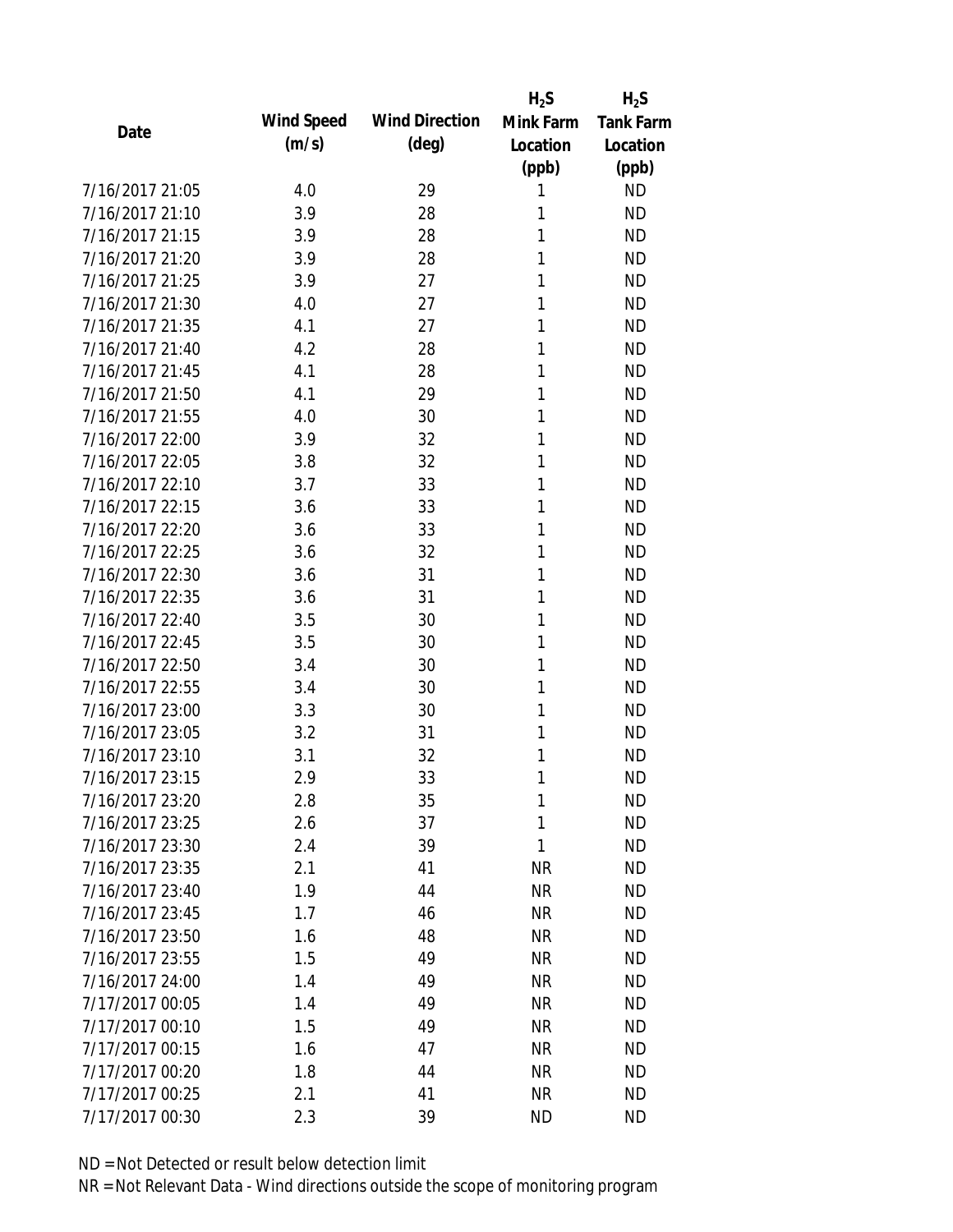|                 |            |                       | $H_2S$    | $H_2S$           |
|-----------------|------------|-----------------------|-----------|------------------|
| Date            | Wind Speed | <b>Wind Direction</b> | Mink Farm | <b>Tank Farm</b> |
|                 | (m/s)      | $(\text{deg})$        | Location  | Location         |
|                 |            |                       | (ppb)     | (ppb)            |
| 7/16/2017 21:05 | 4.0        | 29                    | 1         | <b>ND</b>        |
| 7/16/2017 21:10 | 3.9        | 28                    | 1         | <b>ND</b>        |
| 7/16/2017 21:15 | 3.9        | 28                    | 1         | <b>ND</b>        |
| 7/16/2017 21:20 | 3.9        | 28                    | 1         | <b>ND</b>        |
| 7/16/2017 21:25 | 3.9        | 27                    | 1         | <b>ND</b>        |
| 7/16/2017 21:30 | 4.0        | 27                    | 1         | <b>ND</b>        |
| 7/16/2017 21:35 | 4.1        | 27                    | 1         | <b>ND</b>        |
| 7/16/2017 21:40 | 4.2        | 28                    | 1         | <b>ND</b>        |
| 7/16/2017 21:45 | 4.1        | 28                    | 1         | <b>ND</b>        |
| 7/16/2017 21:50 | 4.1        | 29                    | 1         | <b>ND</b>        |
| 7/16/2017 21:55 | 4.0        | 30                    | 1         | <b>ND</b>        |
| 7/16/2017 22:00 | 3.9        | 32                    | 1         | <b>ND</b>        |
| 7/16/2017 22:05 | 3.8        | 32                    | 1         | <b>ND</b>        |
| 7/16/2017 22:10 | 3.7        | 33                    | 1         | <b>ND</b>        |
| 7/16/2017 22:15 | 3.6        | 33                    | 1         | <b>ND</b>        |
| 7/16/2017 22:20 | 3.6        | 33                    | 1         | <b>ND</b>        |
| 7/16/2017 22:25 | 3.6        | 32                    | 1         | <b>ND</b>        |
| 7/16/2017 22:30 | 3.6        | 31                    | 1         | <b>ND</b>        |
| 7/16/2017 22:35 | 3.6        | 31                    | 1         | <b>ND</b>        |
| 7/16/2017 22:40 | 3.5        | 30                    | 1         | <b>ND</b>        |
| 7/16/2017 22:45 | 3.5        | 30                    | 1         | <b>ND</b>        |
| 7/16/2017 22:50 | 3.4        | 30                    | 1         | <b>ND</b>        |
| 7/16/2017 22:55 | 3.4        | 30                    | 1         | <b>ND</b>        |
| 7/16/2017 23:00 | 3.3        | 30                    | 1         | <b>ND</b>        |
| 7/16/2017 23:05 | 3.2        | 31                    | 1         | <b>ND</b>        |
| 7/16/2017 23:10 | 3.1        | 32                    | 1         | <b>ND</b>        |
| 7/16/2017 23:15 | 2.9        | 33                    | 1         | <b>ND</b>        |
| 7/16/2017 23:20 | 2.8        | 35                    | 1         | <b>ND</b>        |
| 7/16/2017 23:25 | 2.6        | 37                    | 1         | <b>ND</b>        |
| 7/16/2017 23:30 | 2.4        | 39                    | 1         | <b>ND</b>        |
| 7/16/2017 23:35 | 2.1        | 41                    | <b>NR</b> | <b>ND</b>        |
| 7/16/2017 23:40 | 1.9        | 44                    | <b>NR</b> | <b>ND</b>        |
| 7/16/2017 23:45 | 1.7        | 46                    | <b>NR</b> | <b>ND</b>        |
| 7/16/2017 23:50 | 1.6        | 48                    | <b>NR</b> | <b>ND</b>        |
| 7/16/2017 23:55 | 1.5        | 49                    | <b>NR</b> | <b>ND</b>        |
| 7/16/2017 24:00 | 1.4        | 49                    | <b>NR</b> | <b>ND</b>        |
| 7/17/2017 00:05 | 1.4        | 49                    | <b>NR</b> | <b>ND</b>        |
| 7/17/2017 00:10 | 1.5        | 49                    | <b>NR</b> | <b>ND</b>        |
| 7/17/2017 00:15 | 1.6        | 47                    | <b>NR</b> | <b>ND</b>        |
| 7/17/2017 00:20 | 1.8        | 44                    | <b>NR</b> | ND               |
| 7/17/2017 00:25 | 2.1        | 41                    | <b>NR</b> | <b>ND</b>        |
| 7/17/2017 00:30 | 2.3        | 39                    | <b>ND</b> | <b>ND</b>        |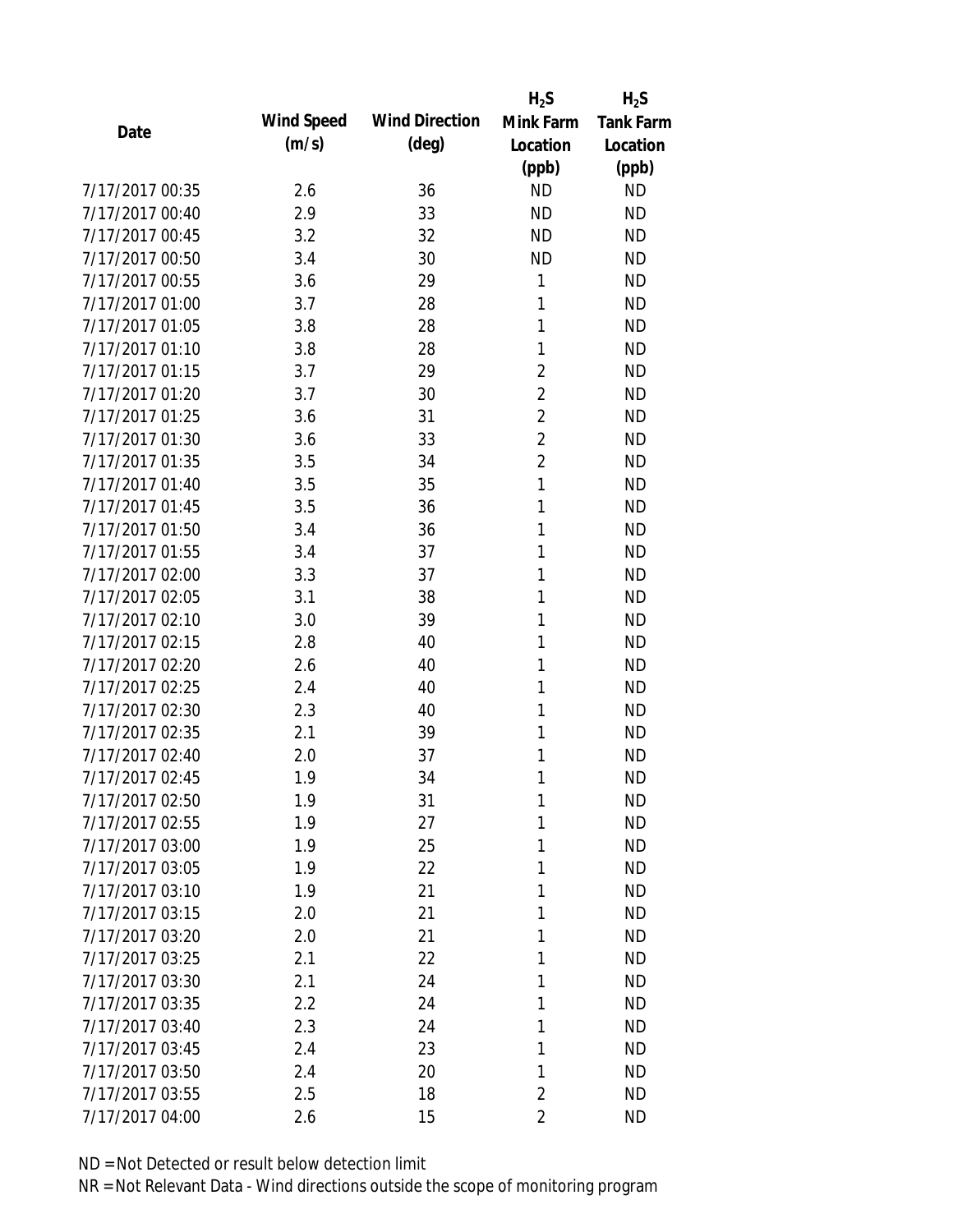|                 |            |                       | $H_2S$         | $H_2S$           |
|-----------------|------------|-----------------------|----------------|------------------|
| Date            | Wind Speed | <b>Wind Direction</b> | Mink Farm      | <b>Tank Farm</b> |
|                 | (m/s)      | $(\text{deg})$        | Location       | Location         |
|                 |            |                       | (ppb)          | (ppb)            |
| 7/17/2017 00:35 | 2.6        | 36                    | <b>ND</b>      | <b>ND</b>        |
| 7/17/2017 00:40 | 2.9        | 33                    | <b>ND</b>      | <b>ND</b>        |
| 7/17/2017 00:45 | 3.2        | 32                    | <b>ND</b>      | <b>ND</b>        |
| 7/17/2017 00:50 | 3.4        | 30                    | <b>ND</b>      | <b>ND</b>        |
| 7/17/2017 00:55 | 3.6        | 29                    | 1              | <b>ND</b>        |
| 7/17/2017 01:00 | 3.7        | 28                    | 1              | <b>ND</b>        |
| 7/17/2017 01:05 | 3.8        | 28                    | 1              | <b>ND</b>        |
| 7/17/2017 01:10 | 3.8        | 28                    | 1              | <b>ND</b>        |
| 7/17/2017 01:15 | 3.7        | 29                    | $\overline{2}$ | <b>ND</b>        |
| 7/17/2017 01:20 | 3.7        | 30                    | $\overline{2}$ | <b>ND</b>        |
| 7/17/2017 01:25 | 3.6        | 31                    | $\overline{2}$ | <b>ND</b>        |
| 7/17/2017 01:30 | 3.6        | 33                    | $\overline{2}$ | <b>ND</b>        |
| 7/17/2017 01:35 | 3.5        | 34                    | $\overline{2}$ | <b>ND</b>        |
| 7/17/2017 01:40 | 3.5        | 35                    | 1              | <b>ND</b>        |
| 7/17/2017 01:45 | 3.5        | 36                    | 1              | <b>ND</b>        |
| 7/17/2017 01:50 | 3.4        | 36                    | 1              | <b>ND</b>        |
| 7/17/2017 01:55 | 3.4        | 37                    | 1              | <b>ND</b>        |
| 7/17/2017 02:00 | 3.3        | 37                    | 1              | <b>ND</b>        |
| 7/17/2017 02:05 | 3.1        | 38                    | 1              | <b>ND</b>        |
| 7/17/2017 02:10 | 3.0        | 39                    | 1              | <b>ND</b>        |
| 7/17/2017 02:15 | 2.8        | 40                    | 1              | <b>ND</b>        |
| 7/17/2017 02:20 | 2.6        | 40                    | 1              | <b>ND</b>        |
| 7/17/2017 02:25 | 2.4        | 40                    | 1              | <b>ND</b>        |
| 7/17/2017 02:30 | 2.3        | 40                    | 1              | <b>ND</b>        |
| 7/17/2017 02:35 | 2.1        | 39                    | 1              | <b>ND</b>        |
| 7/17/2017 02:40 | 2.0        | 37                    | 1              | <b>ND</b>        |
| 7/17/2017 02:45 | 1.9        | 34                    | 1              | <b>ND</b>        |
| 7/17/2017 02:50 | 1.9        | 31                    | 1              | <b>ND</b>        |
| 7/17/2017 02:55 | 1.9        | 27                    | 1              | <b>ND</b>        |
| 7/17/2017 03:00 | 1.9        | 25                    | 1              | <b>ND</b>        |
| 7/17/2017 03:05 | 1.9        | 22                    | 1              | <b>ND</b>        |
| 7/17/2017 03:10 | 1.9        | 21                    | 1              | <b>ND</b>        |
| 7/17/2017 03:15 | 2.0        | 21                    | 1              | <b>ND</b>        |
| 7/17/2017 03:20 | 2.0        | 21                    | 1              | <b>ND</b>        |
| 7/17/2017 03:25 | 2.1        | 22                    | 1              | <b>ND</b>        |
| 7/17/2017 03:30 | 2.1        | 24                    | 1              | <b>ND</b>        |
| 7/17/2017 03:35 | 2.2        | 24                    | 1              | <b>ND</b>        |
| 7/17/2017 03:40 | 2.3        | 24                    | 1              | <b>ND</b>        |
| 7/17/2017 03:45 | 2.4        | 23                    | 1              | <b>ND</b>        |
| 7/17/2017 03:50 | 2.4        | 20                    | 1              | <b>ND</b>        |
| 7/17/2017 03:55 | 2.5        | 18                    | $\overline{2}$ | <b>ND</b>        |
| 7/17/2017 04:00 | 2.6        | 15                    | $\overline{2}$ | <b>ND</b>        |
|                 |            |                       |                |                  |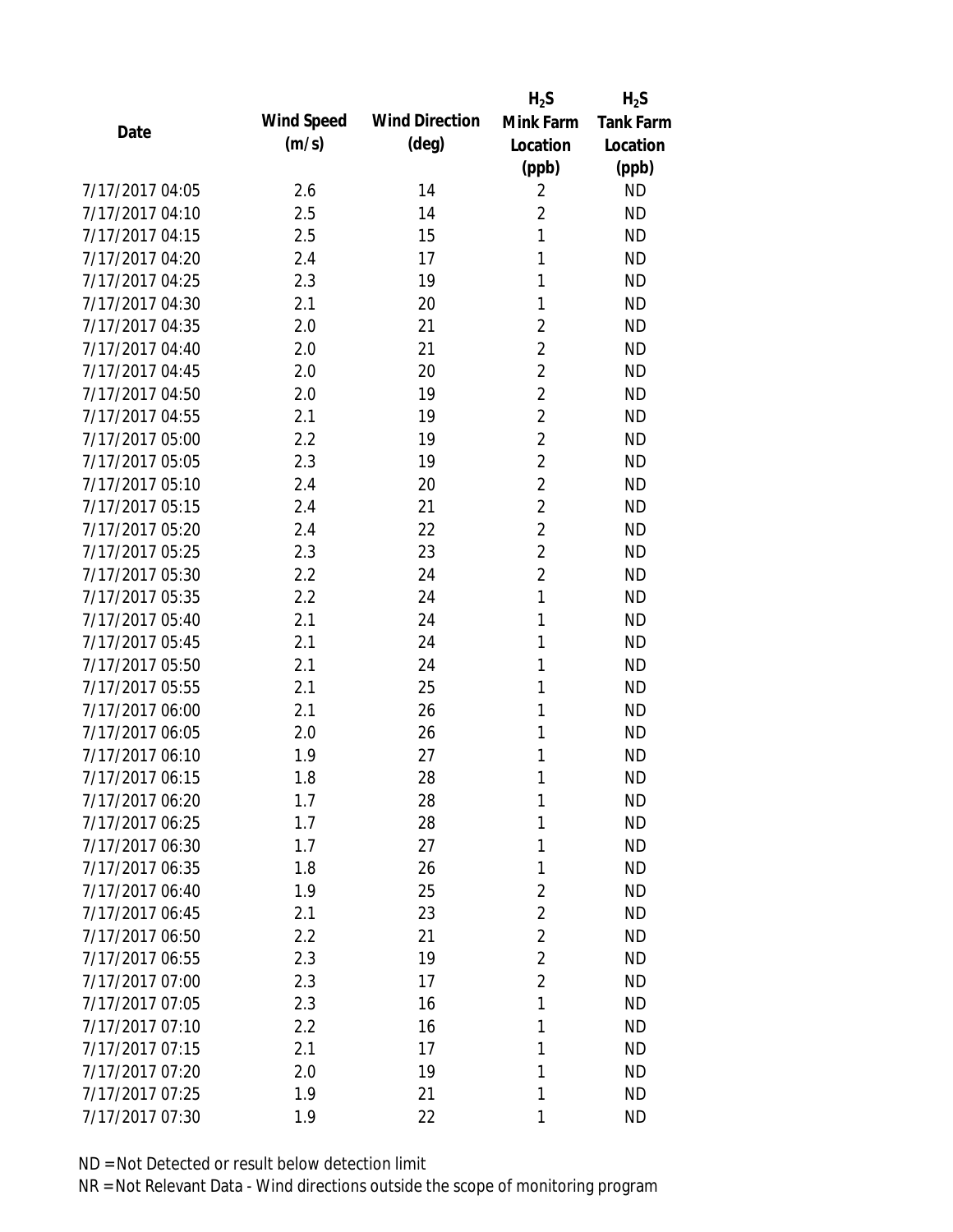|                 |            |                       | $H_2S$         | $H_2S$           |
|-----------------|------------|-----------------------|----------------|------------------|
| Date            | Wind Speed | <b>Wind Direction</b> | Mink Farm      | <b>Tank Farm</b> |
|                 | (m/s)      | $(\text{deg})$        | Location       | Location         |
|                 |            |                       | (ppb)          | (ppb)            |
| 7/17/2017 04:05 | 2.6        | 14                    | $\overline{2}$ | <b>ND</b>        |
| 7/17/2017 04:10 | 2.5        | 14                    | $\overline{2}$ | <b>ND</b>        |
| 7/17/2017 04:15 | 2.5        | 15                    | 1              | <b>ND</b>        |
| 7/17/2017 04:20 | 2.4        | 17                    | 1              | <b>ND</b>        |
| 7/17/2017 04:25 | 2.3        | 19                    | 1              | <b>ND</b>        |
| 7/17/2017 04:30 | 2.1        | 20                    | 1              | <b>ND</b>        |
| 7/17/2017 04:35 | 2.0        | 21                    | $\overline{2}$ | <b>ND</b>        |
| 7/17/2017 04:40 | 2.0        | 21                    | $\overline{2}$ | <b>ND</b>        |
| 7/17/2017 04:45 | 2.0        | 20                    | $\overline{2}$ | <b>ND</b>        |
| 7/17/2017 04:50 | 2.0        | 19                    | $\overline{2}$ | <b>ND</b>        |
| 7/17/2017 04:55 | 2.1        | 19                    | $\overline{2}$ | <b>ND</b>        |
| 7/17/2017 05:00 | 2.2        | 19                    | $\overline{2}$ | <b>ND</b>        |
| 7/17/2017 05:05 | 2.3        | 19                    | $\overline{c}$ | <b>ND</b>        |
| 7/17/2017 05:10 | 2.4        | 20                    | $\overline{2}$ | <b>ND</b>        |
| 7/17/2017 05:15 | 2.4        | 21                    | $\overline{2}$ | <b>ND</b>        |
| 7/17/2017 05:20 | 2.4        | 22                    | $\overline{2}$ | <b>ND</b>        |
| 7/17/2017 05:25 | 2.3        | 23                    | $\overline{2}$ | <b>ND</b>        |
| 7/17/2017 05:30 | 2.2        | 24                    | $\overline{2}$ | <b>ND</b>        |
| 7/17/2017 05:35 | 2.2        | 24                    | 1              | <b>ND</b>        |
| 7/17/2017 05:40 | 2.1        | 24                    | 1              | <b>ND</b>        |
| 7/17/2017 05:45 | 2.1        | 24                    | 1              | <b>ND</b>        |
| 7/17/2017 05:50 | 2.1        | 24                    | 1              | <b>ND</b>        |
| 7/17/2017 05:55 | 2.1        | 25                    | 1              | <b>ND</b>        |
| 7/17/2017 06:00 | 2.1        | 26                    | 1              | <b>ND</b>        |
| 7/17/2017 06:05 | 2.0        | 26                    | 1              | <b>ND</b>        |
| 7/17/2017 06:10 | 1.9        | 27                    | 1              | <b>ND</b>        |
| 7/17/2017 06:15 | 1.8        | 28                    | 1              | <b>ND</b>        |
| 7/17/2017 06:20 | 1.7        | 28                    | 1              | <b>ND</b>        |
| 7/17/2017 06:25 | 1.7        | 28                    | 1              | <b>ND</b>        |
| 7/17/2017 06:30 | 1.7        | 27                    | 1              | <b>ND</b>        |
| 7/17/2017 06:35 | 1.8        | 26                    | 1              | <b>ND</b>        |
| 7/17/2017 06:40 | 1.9        | 25                    | $\overline{2}$ | <b>ND</b>        |
| 7/17/2017 06:45 | 2.1        | 23                    | $\overline{2}$ | <b>ND</b>        |
| 7/17/2017 06:50 | 2.2        | 21                    | $\overline{2}$ | <b>ND</b>        |
| 7/17/2017 06:55 | 2.3        | 19                    | $\overline{2}$ | <b>ND</b>        |
| 7/17/2017 07:00 | 2.3        | 17                    | $\overline{2}$ | <b>ND</b>        |
| 7/17/2017 07:05 | 2.3        | 16                    | 1              | <b>ND</b>        |
| 7/17/2017 07:10 | 2.2        | 16                    | 1              | <b>ND</b>        |
| 7/17/2017 07:15 | 2.1        | 17                    | 1              | <b>ND</b>        |
| 7/17/2017 07:20 | 2.0        | 19                    | 1              | <b>ND</b>        |
| 7/17/2017 07:25 | 1.9        | 21                    | 1              | <b>ND</b>        |
| 7/17/2017 07:30 | 1.9        | 22                    | 1              | <b>ND</b>        |
|                 |            |                       |                |                  |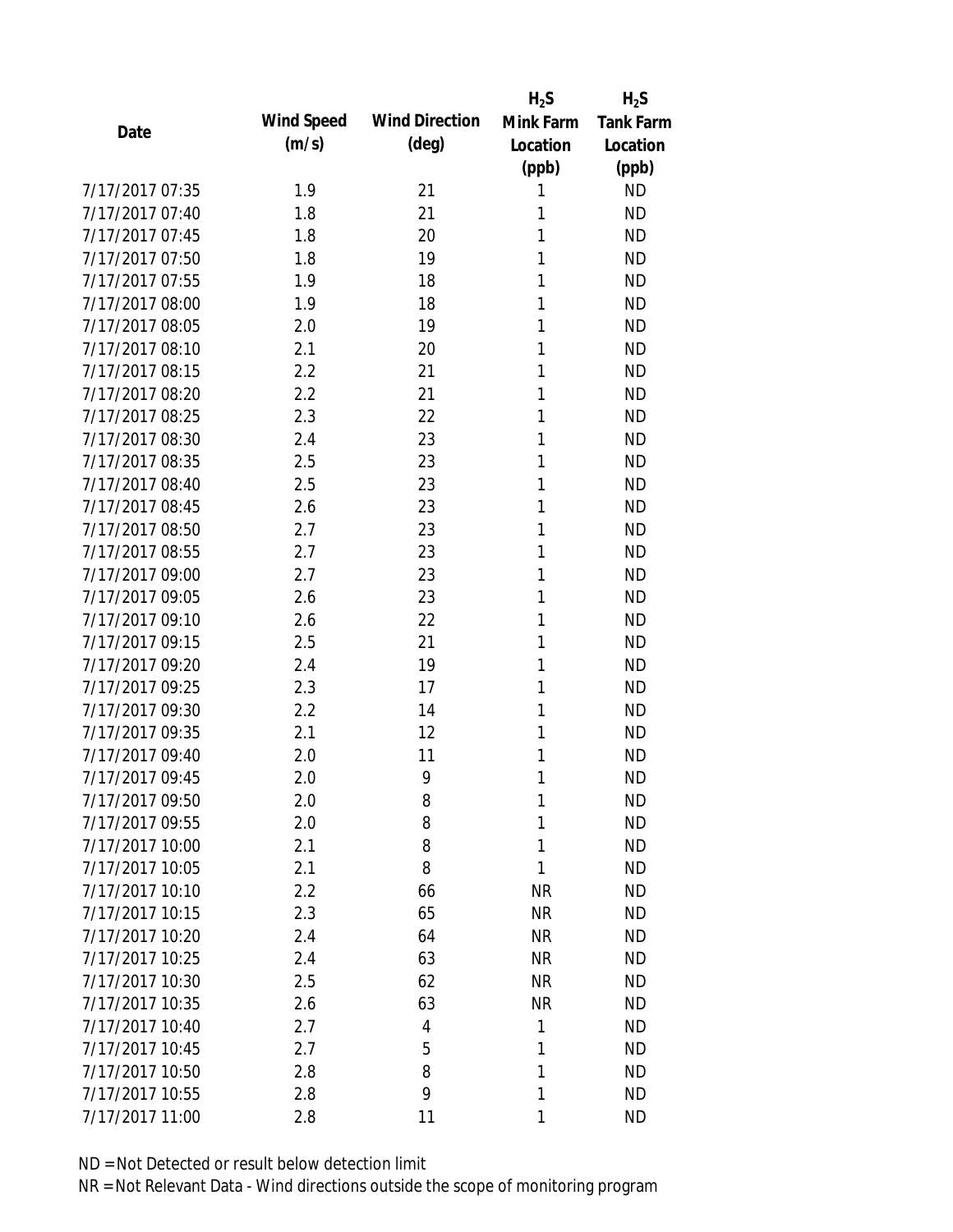|                 |            |                       | $H_2S$    | $H_2S$           |
|-----------------|------------|-----------------------|-----------|------------------|
| Date            | Wind Speed | <b>Wind Direction</b> | Mink Farm | <b>Tank Farm</b> |
|                 | (m/s)      | $(\text{deg})$        | Location  | Location         |
|                 |            |                       | (ppb)     | (ppb)            |
| 7/17/2017 07:35 | 1.9        | 21                    | 1         | <b>ND</b>        |
| 7/17/2017 07:40 | 1.8        | 21                    | 1         | <b>ND</b>        |
| 7/17/2017 07:45 | 1.8        | 20                    | 1         | <b>ND</b>        |
| 7/17/2017 07:50 | 1.8        | 19                    | 1         | <b>ND</b>        |
| 7/17/2017 07:55 | 1.9        | 18                    | 1         | <b>ND</b>        |
| 7/17/2017 08:00 | 1.9        | 18                    | 1         | <b>ND</b>        |
| 7/17/2017 08:05 | 2.0        | 19                    | 1         | <b>ND</b>        |
| 7/17/2017 08:10 | 2.1        | 20                    | 1         | <b>ND</b>        |
| 7/17/2017 08:15 | 2.2        | 21                    | 1         | <b>ND</b>        |
| 7/17/2017 08:20 | 2.2        | 21                    | 1         | <b>ND</b>        |
| 7/17/2017 08:25 | 2.3        | 22                    | 1         | <b>ND</b>        |
| 7/17/2017 08:30 | 2.4        | 23                    | 1         | <b>ND</b>        |
| 7/17/2017 08:35 | 2.5        | 23                    | 1         | <b>ND</b>        |
| 7/17/2017 08:40 | 2.5        | 23                    | 1         | <b>ND</b>        |
| 7/17/2017 08:45 | 2.6        | 23                    | 1         | <b>ND</b>        |
| 7/17/2017 08:50 | 2.7        | 23                    | 1         | <b>ND</b>        |
| 7/17/2017 08:55 | 2.7        | 23                    | 1         | <b>ND</b>        |
| 7/17/2017 09:00 | 2.7        | 23                    | 1         | <b>ND</b>        |
| 7/17/2017 09:05 | 2.6        | 23                    | 1         | <b>ND</b>        |
| 7/17/2017 09:10 | 2.6        | 22                    | 1         | <b>ND</b>        |
| 7/17/2017 09:15 | 2.5        | 21                    | 1         | <b>ND</b>        |
| 7/17/2017 09:20 | 2.4        | 19                    | 1         | <b>ND</b>        |
| 7/17/2017 09:25 | 2.3        | 17                    | 1         | <b>ND</b>        |
| 7/17/2017 09:30 | 2.2        | 14                    | 1         | <b>ND</b>        |
| 7/17/2017 09:35 | 2.1        | 12                    | 1         | <b>ND</b>        |
| 7/17/2017 09:40 | 2.0        | 11                    | 1         | <b>ND</b>        |
| 7/17/2017 09:45 | 2.0        | 9                     | 1         | <b>ND</b>        |
| 7/17/2017 09:50 | 2.0        | 8                     | 1         | <b>ND</b>        |
| 7/17/2017 09:55 | 2.0        | 8                     | 1         | <b>ND</b>        |
| 7/17/2017 10:00 | 2.1        | 8                     | 1         | <b>ND</b>        |
| 7/17/2017 10:05 | 2.1        | 8                     | 1         | <b>ND</b>        |
| 7/17/2017 10:10 | 2.2        | 66                    | <b>NR</b> | <b>ND</b>        |
| 7/17/2017 10:15 | 2.3        | 65                    | <b>NR</b> | <b>ND</b>        |
| 7/17/2017 10:20 | 2.4        | 64                    | <b>NR</b> | <b>ND</b>        |
| 7/17/2017 10:25 | 2.4        | 63                    | <b>NR</b> | <b>ND</b>        |
| 7/17/2017 10:30 | 2.5        | 62                    | <b>NR</b> | <b>ND</b>        |
| 7/17/2017 10:35 | 2.6        | 63                    | <b>NR</b> | <b>ND</b>        |
| 7/17/2017 10:40 | 2.7        | 4                     | 1         | <b>ND</b>        |
| 7/17/2017 10:45 | 2.7        | 5                     | 1         | <b>ND</b>        |
| 7/17/2017 10:50 | 2.8        | 8                     | 1         | <b>ND</b>        |
| 7/17/2017 10:55 | 2.8        | 9                     | 1         | <b>ND</b>        |
| 7/17/2017 11:00 | 2.8        | 11                    | 1         | <b>ND</b>        |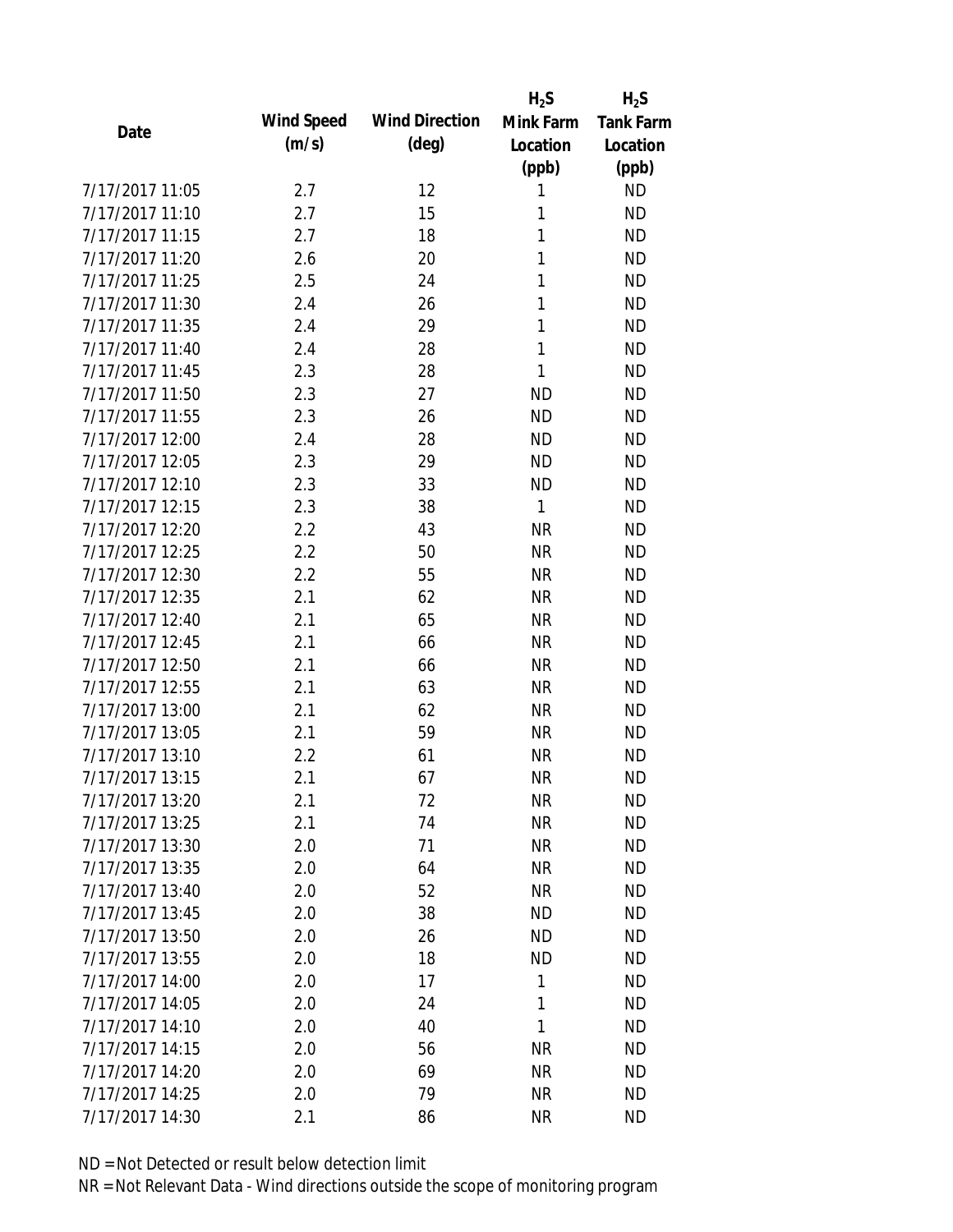|                 |            |                       | $H_2S$    | $H_2S$           |
|-----------------|------------|-----------------------|-----------|------------------|
| Date            | Wind Speed | <b>Wind Direction</b> | Mink Farm | <b>Tank Farm</b> |
|                 | (m/s)      | $(\text{deg})$        | Location  | Location         |
|                 |            |                       | (ppb)     | (ppb)            |
| 7/17/2017 11:05 | 2.7        | 12                    | 1         | <b>ND</b>        |
| 7/17/2017 11:10 | 2.7        | 15                    | 1         | <b>ND</b>        |
| 7/17/2017 11:15 | 2.7        | 18                    | 1         | <b>ND</b>        |
| 7/17/2017 11:20 | 2.6        | 20                    | 1         | <b>ND</b>        |
| 7/17/2017 11:25 | 2.5        | 24                    | 1         | <b>ND</b>        |
| 7/17/2017 11:30 | 2.4        | 26                    | 1         | <b>ND</b>        |
| 7/17/2017 11:35 | 2.4        | 29                    | 1         | <b>ND</b>        |
| 7/17/2017 11:40 | 2.4        | 28                    | 1         | <b>ND</b>        |
| 7/17/2017 11:45 | 2.3        | 28                    | 1         | <b>ND</b>        |
| 7/17/2017 11:50 | 2.3        | 27                    | <b>ND</b> | <b>ND</b>        |
| 7/17/2017 11:55 | 2.3        | 26                    | <b>ND</b> | <b>ND</b>        |
| 7/17/2017 12:00 | 2.4        | 28                    | <b>ND</b> | <b>ND</b>        |
| 7/17/2017 12:05 | 2.3        | 29                    | <b>ND</b> | <b>ND</b>        |
| 7/17/2017 12:10 | 2.3        | 33                    | <b>ND</b> | <b>ND</b>        |
| 7/17/2017 12:15 | 2.3        | 38                    | 1         | <b>ND</b>        |
| 7/17/2017 12:20 | 2.2        | 43                    | <b>NR</b> | <b>ND</b>        |
| 7/17/2017 12:25 | 2.2        | 50                    | <b>NR</b> | <b>ND</b>        |
| 7/17/2017 12:30 | 2.2        | 55                    | <b>NR</b> | <b>ND</b>        |
| 7/17/2017 12:35 | 2.1        | 62                    | <b>NR</b> | <b>ND</b>        |
| 7/17/2017 12:40 | 2.1        | 65                    | <b>NR</b> | <b>ND</b>        |
| 7/17/2017 12:45 | 2.1        | 66                    | <b>NR</b> | <b>ND</b>        |
| 7/17/2017 12:50 | 2.1        | 66                    | <b>NR</b> | <b>ND</b>        |
| 7/17/2017 12:55 | 2.1        | 63                    | <b>NR</b> | <b>ND</b>        |
| 7/17/2017 13:00 | 2.1        | 62                    | <b>NR</b> | <b>ND</b>        |
| 7/17/2017 13:05 | 2.1        | 59                    | <b>NR</b> | <b>ND</b>        |
| 7/17/2017 13:10 | 2.2        | 61                    | <b>NR</b> | <b>ND</b>        |
| 7/17/2017 13:15 | 2.1        | 67                    | <b>NR</b> | <b>ND</b>        |
| 7/17/2017 13:20 | 2.1        | 72                    | <b>NR</b> | <b>ND</b>        |
| 7/17/2017 13:25 | 2.1        | 74                    | <b>NR</b> | <b>ND</b>        |
| 7/17/2017 13:30 | 2.0        | 71                    | <b>NR</b> | <b>ND</b>        |
| 7/17/2017 13:35 | 2.0        | 64                    | <b>NR</b> | <b>ND</b>        |
| 7/17/2017 13:40 | 2.0        | 52                    | <b>NR</b> | <b>ND</b>        |
| 7/17/2017 13:45 | 2.0        | 38                    | <b>ND</b> | ND               |
| 7/17/2017 13:50 | 2.0        | 26                    | <b>ND</b> | <b>ND</b>        |
| 7/17/2017 13:55 | 2.0        | 18                    | <b>ND</b> | <b>ND</b>        |
| 7/17/2017 14:00 | 2.0        | 17                    | 1         | <b>ND</b>        |
| 7/17/2017 14:05 | 2.0        | 24                    | 1         | <b>ND</b>        |
| 7/17/2017 14:10 | 2.0        | 40                    | 1         | <b>ND</b>        |
| 7/17/2017 14:15 |            | 56                    | <b>NR</b> | <b>ND</b>        |
| 7/17/2017 14:20 | 2.0<br>2.0 | 69                    | <b>NR</b> | ND               |
| 7/17/2017 14:25 |            | 79                    | <b>NR</b> | <b>ND</b>        |
|                 | 2.0        |                       |           |                  |
| 7/17/2017 14:30 | 2.1        | 86                    | <b>NR</b> | <b>ND</b>        |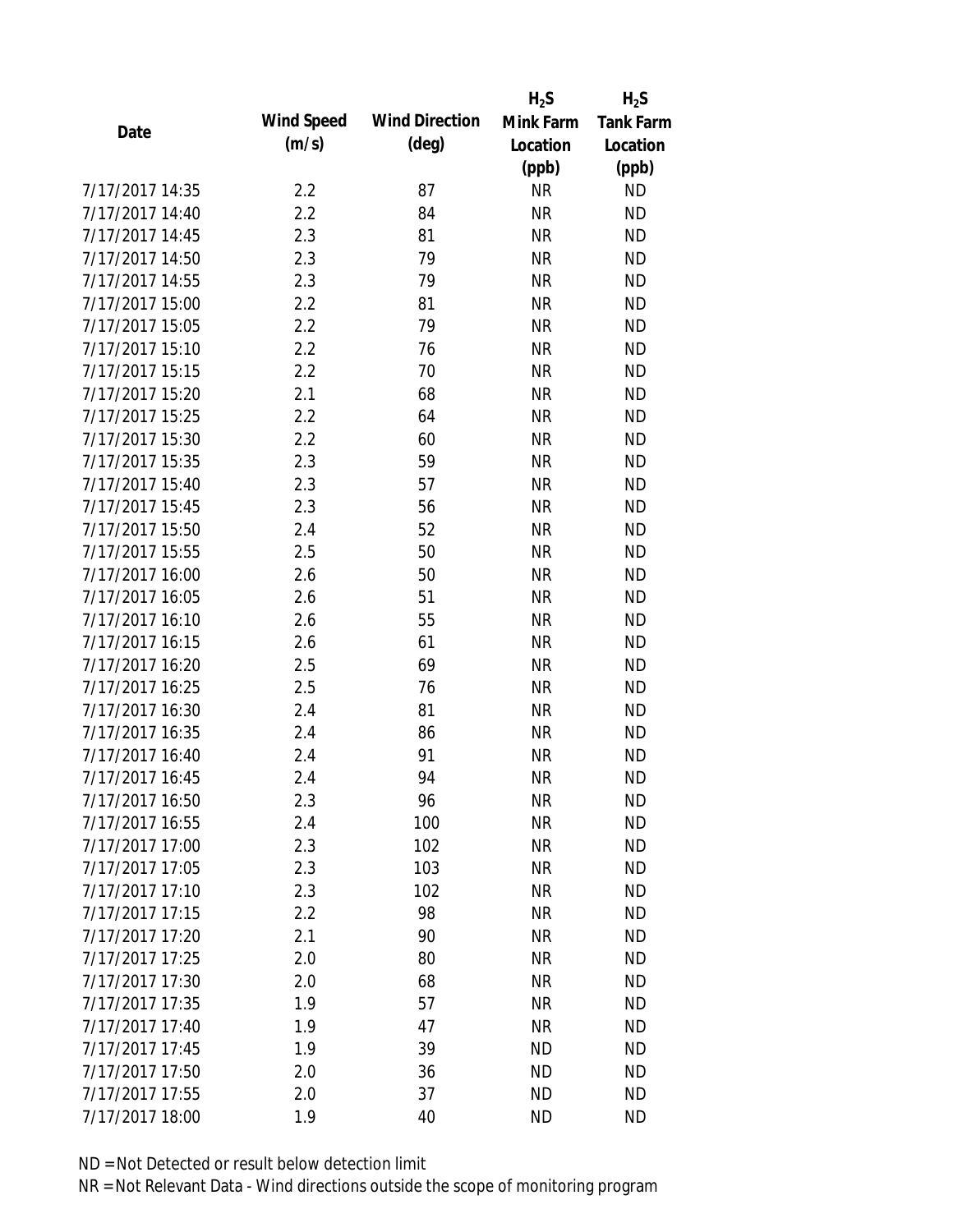|                 |            |                       | $H_2S$    | $H_2S$           |
|-----------------|------------|-----------------------|-----------|------------------|
|                 | Wind Speed | <b>Wind Direction</b> | Mink Farm | <b>Tank Farm</b> |
| Date            | (m/s)      | $(\text{deg})$        | Location  | Location         |
|                 |            |                       | (ppb)     | (ppb)            |
| 7/17/2017 14:35 | 2.2        | 87                    | <b>NR</b> | <b>ND</b>        |
| 7/17/2017 14:40 | 2.2        | 84                    | <b>NR</b> | <b>ND</b>        |
| 7/17/2017 14:45 | 2.3        | 81                    | <b>NR</b> | <b>ND</b>        |
| 7/17/2017 14:50 | 2.3        | 79                    | <b>NR</b> | <b>ND</b>        |
| 7/17/2017 14:55 | 2.3        | 79                    | <b>NR</b> | <b>ND</b>        |
| 7/17/2017 15:00 | 2.2        | 81                    | <b>NR</b> | <b>ND</b>        |
| 7/17/2017 15:05 | 2.2        | 79                    | <b>NR</b> | <b>ND</b>        |
| 7/17/2017 15:10 | 2.2        | 76                    | <b>NR</b> | <b>ND</b>        |
| 7/17/2017 15:15 | 2.2        | 70                    | <b>NR</b> | <b>ND</b>        |
| 7/17/2017 15:20 | 2.1        | 68                    | <b>NR</b> | <b>ND</b>        |
| 7/17/2017 15:25 | 2.2        | 64                    | <b>NR</b> | <b>ND</b>        |
| 7/17/2017 15:30 | 2.2        | 60                    | <b>NR</b> | <b>ND</b>        |
| 7/17/2017 15:35 | 2.3        | 59                    | <b>NR</b> | <b>ND</b>        |
| 7/17/2017 15:40 | 2.3        | 57                    | <b>NR</b> | <b>ND</b>        |
| 7/17/2017 15:45 | 2.3        | 56                    | <b>NR</b> | <b>ND</b>        |
| 7/17/2017 15:50 | 2.4        | 52                    | <b>NR</b> | <b>ND</b>        |
| 7/17/2017 15:55 | 2.5        | 50                    | <b>NR</b> | <b>ND</b>        |
| 7/17/2017 16:00 | 2.6        | 50                    | <b>NR</b> | <b>ND</b>        |
| 7/17/2017 16:05 | 2.6        | 51                    | <b>NR</b> | <b>ND</b>        |
| 7/17/2017 16:10 | 2.6        | 55                    | <b>NR</b> | <b>ND</b>        |
| 7/17/2017 16:15 | 2.6        | 61                    | <b>NR</b> | <b>ND</b>        |
| 7/17/2017 16:20 | 2.5        | 69                    | <b>NR</b> | <b>ND</b>        |
| 7/17/2017 16:25 | 2.5        | 76                    | <b>NR</b> | <b>ND</b>        |
| 7/17/2017 16:30 | 2.4        | 81                    | <b>NR</b> | <b>ND</b>        |
| 7/17/2017 16:35 | 2.4        | 86                    | <b>NR</b> | <b>ND</b>        |
| 7/17/2017 16:40 | 2.4        | 91                    | <b>NR</b> | <b>ND</b>        |
| 7/17/2017 16:45 | 2.4        | 94                    | <b>NR</b> | <b>ND</b>        |
| 7/17/2017 16:50 | 2.3        | 96                    | NR        | <b>ND</b>        |
| 7/17/2017 16:55 | 2.4        | 100                   | <b>NR</b> | <b>ND</b>        |
| 7/17/2017 17:00 | 2.3        | 102                   | <b>NR</b> | <b>ND</b>        |
| 7/17/2017 17:05 | 2.3        | 103                   | <b>NR</b> | <b>ND</b>        |
| 7/17/2017 17:10 | 2.3        | 102                   | <b>NR</b> | <b>ND</b>        |
| 7/17/2017 17:15 | 2.2        | 98                    | <b>NR</b> | <b>ND</b>        |
| 7/17/2017 17:20 | 2.1        | 90                    | <b>NR</b> | <b>ND</b>        |
| 7/17/2017 17:25 | 2.0        | 80                    | <b>NR</b> | <b>ND</b>        |
| 7/17/2017 17:30 | 2.0        | 68                    | <b>NR</b> | <b>ND</b>        |
| 7/17/2017 17:35 | 1.9        | 57                    | <b>NR</b> | <b>ND</b>        |
| 7/17/2017 17:40 | 1.9        | 47                    | <b>NR</b> | <b>ND</b>        |
| 7/17/2017 17:45 | 1.9        | 39                    | <b>ND</b> | <b>ND</b>        |
| 7/17/2017 17:50 | 2.0        | 36                    | ND        | <b>ND</b>        |
| 7/17/2017 17:55 | 2.0        | 37                    | <b>ND</b> | <b>ND</b>        |
| 7/17/2017 18:00 | 1.9        | 40                    | <b>ND</b> | <b>ND</b>        |
|                 |            |                       |           |                  |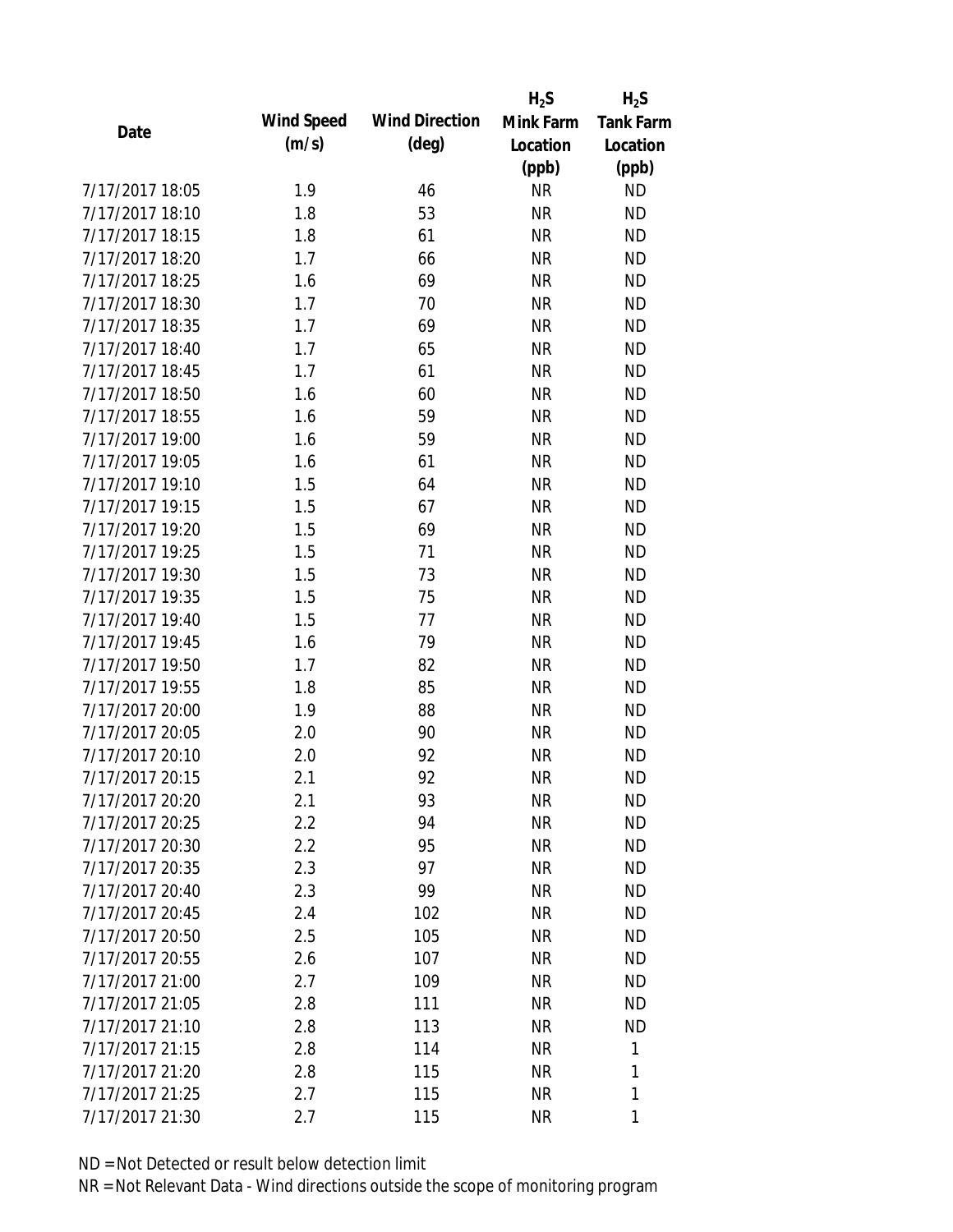|                 |            |                       | $H_2S$    | $H_2S$           |
|-----------------|------------|-----------------------|-----------|------------------|
| Date            | Wind Speed | <b>Wind Direction</b> | Mink Farm | <b>Tank Farm</b> |
|                 | (m/s)      | $(\text{deg})$        | Location  | Location         |
|                 |            |                       | (ppb)     | (ppb)            |
| 7/17/2017 18:05 | 1.9        | 46                    | <b>NR</b> | <b>ND</b>        |
| 7/17/2017 18:10 | 1.8        | 53                    | <b>NR</b> | <b>ND</b>        |
| 7/17/2017 18:15 | 1.8        | 61                    | <b>NR</b> | <b>ND</b>        |
| 7/17/2017 18:20 | 1.7        | 66                    | <b>NR</b> | <b>ND</b>        |
| 7/17/2017 18:25 | 1.6        | 69                    | <b>NR</b> | <b>ND</b>        |
| 7/17/2017 18:30 | 1.7        | 70                    | <b>NR</b> | <b>ND</b>        |
| 7/17/2017 18:35 | 1.7        | 69                    | <b>NR</b> | <b>ND</b>        |
| 7/17/2017 18:40 | 1.7        | 65                    | <b>NR</b> | <b>ND</b>        |
| 7/17/2017 18:45 | 1.7        | 61                    | <b>NR</b> | <b>ND</b>        |
| 7/17/2017 18:50 | 1.6        | 60                    | <b>NR</b> | <b>ND</b>        |
| 7/17/2017 18:55 | 1.6        | 59                    | <b>NR</b> | <b>ND</b>        |
| 7/17/2017 19:00 | 1.6        | 59                    | <b>NR</b> | <b>ND</b>        |
| 7/17/2017 19:05 | 1.6        | 61                    | <b>NR</b> | <b>ND</b>        |
| 7/17/2017 19:10 | 1.5        | 64                    | <b>NR</b> | <b>ND</b>        |
| 7/17/2017 19:15 | 1.5        | 67                    | <b>NR</b> | <b>ND</b>        |
| 7/17/2017 19:20 | 1.5        | 69                    | <b>NR</b> | <b>ND</b>        |
| 7/17/2017 19:25 | 1.5        | 71                    | <b>NR</b> | <b>ND</b>        |
| 7/17/2017 19:30 | 1.5        | 73                    | <b>NR</b> | <b>ND</b>        |
| 7/17/2017 19:35 | 1.5        | 75                    | <b>NR</b> | <b>ND</b>        |
| 7/17/2017 19:40 | 1.5        | 77                    | <b>NR</b> | <b>ND</b>        |
| 7/17/2017 19:45 | 1.6        | 79                    | <b>NR</b> | <b>ND</b>        |
| 7/17/2017 19:50 | 1.7        | 82                    | <b>NR</b> | <b>ND</b>        |
| 7/17/2017 19:55 | 1.8        | 85                    | <b>NR</b> | <b>ND</b>        |
| 7/17/2017 20:00 | 1.9        | 88                    | <b>NR</b> | <b>ND</b>        |
| 7/17/2017 20:05 | 2.0        | 90                    | <b>NR</b> | <b>ND</b>        |
| 7/17/2017 20:10 | 2.0        | 92                    | <b>NR</b> | <b>ND</b>        |
| 7/17/2017 20:15 | 2.1        | 92                    | <b>NR</b> | <b>ND</b>        |
| 7/17/2017 20:20 | 2.1        | 93                    | NR        | <b>ND</b>        |
| 7/17/2017 20:25 | 2.2        | 94                    | <b>NR</b> | <b>ND</b>        |
| 7/17/2017 20:30 | 2.2        | 95                    | <b>NR</b> | <b>ND</b>        |
| 7/17/2017 20:35 | 2.3        | 97                    | <b>NR</b> | <b>ND</b>        |
| 7/17/2017 20:40 | 2.3        | 99                    | <b>NR</b> | <b>ND</b>        |
| 7/17/2017 20:45 | 2.4        | 102                   | <b>NR</b> | <b>ND</b>        |
| 7/17/2017 20:50 | 2.5        | 105                   | <b>NR</b> | <b>ND</b>        |
| 7/17/2017 20:55 | 2.6        | 107                   | <b>NR</b> | <b>ND</b>        |
| 7/17/2017 21:00 | 2.7        | 109                   | <b>NR</b> | <b>ND</b>        |
| 7/17/2017 21:05 | 2.8        | 111                   | <b>NR</b> | <b>ND</b>        |
| 7/17/2017 21:10 | 2.8        | 113                   | <b>NR</b> | <b>ND</b>        |
| 7/17/2017 21:15 | 2.8        | 114                   | <b>NR</b> | 1                |
| 7/17/2017 21:20 | 2.8        | 115                   | NR        | 1                |
| 7/17/2017 21:25 | 2.7        | 115                   | <b>NR</b> | 1                |
| 7/17/2017 21:30 | 2.7        | 115                   | <b>NR</b> | 1                |
|                 |            |                       |           |                  |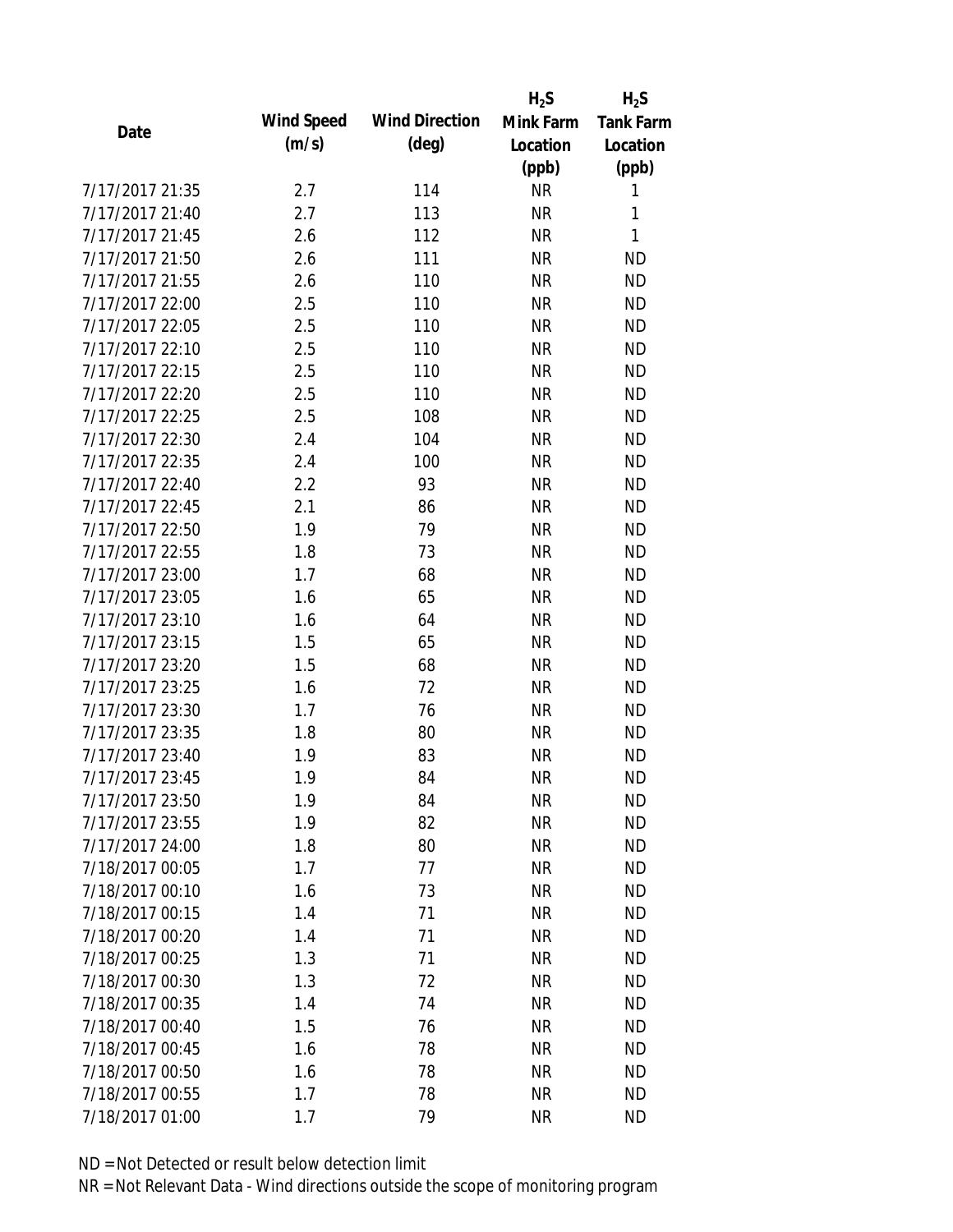|                 |            |                       | $H_2S$    | $H_2S$           |
|-----------------|------------|-----------------------|-----------|------------------|
| Date            | Wind Speed | <b>Wind Direction</b> | Mink Farm | <b>Tank Farm</b> |
|                 | (m/s)      | $(\text{deg})$        | Location  | Location         |
|                 |            |                       | (ppb)     | (ppb)            |
| 7/17/2017 21:35 | 2.7        | 114                   | <b>NR</b> | 1                |
| 7/17/2017 21:40 | 2.7        | 113                   | <b>NR</b> | 1                |
| 7/17/2017 21:45 | 2.6        | 112                   | <b>NR</b> | 1                |
| 7/17/2017 21:50 | 2.6        | 111                   | <b>NR</b> | <b>ND</b>        |
| 7/17/2017 21:55 | 2.6        | 110                   | <b>NR</b> | <b>ND</b>        |
| 7/17/2017 22:00 | 2.5        | 110                   | <b>NR</b> | <b>ND</b>        |
| 7/17/2017 22:05 | 2.5        | 110                   | <b>NR</b> | <b>ND</b>        |
| 7/17/2017 22:10 | 2.5        | 110                   | <b>NR</b> | <b>ND</b>        |
| 7/17/2017 22:15 | 2.5        | 110                   | <b>NR</b> | <b>ND</b>        |
| 7/17/2017 22:20 | 2.5        | 110                   | <b>NR</b> | <b>ND</b>        |
| 7/17/2017 22:25 | 2.5        | 108                   | <b>NR</b> | <b>ND</b>        |
| 7/17/2017 22:30 | 2.4        | 104                   | <b>NR</b> | <b>ND</b>        |
| 7/17/2017 22:35 | 2.4        | 100                   | <b>NR</b> | <b>ND</b>        |
| 7/17/2017 22:40 | 2.2        | 93                    | <b>NR</b> | <b>ND</b>        |
| 7/17/2017 22:45 | 2.1        | 86                    | <b>NR</b> | <b>ND</b>        |
| 7/17/2017 22:50 | 1.9        | 79                    | <b>NR</b> | <b>ND</b>        |
| 7/17/2017 22:55 | 1.8        | 73                    | <b>NR</b> | <b>ND</b>        |
| 7/17/2017 23:00 | 1.7        | 68                    | <b>NR</b> | <b>ND</b>        |
| 7/17/2017 23:05 | 1.6        | 65                    | <b>NR</b> | <b>ND</b>        |
| 7/17/2017 23:10 | 1.6        | 64                    | <b>NR</b> | <b>ND</b>        |
| 7/17/2017 23:15 | 1.5        | 65                    | <b>NR</b> | <b>ND</b>        |
| 7/17/2017 23:20 | 1.5        | 68                    | <b>NR</b> | <b>ND</b>        |
| 7/17/2017 23:25 | 1.6        | 72                    | <b>NR</b> | <b>ND</b>        |
| 7/17/2017 23:30 | 1.7        | 76                    | <b>NR</b> | <b>ND</b>        |
| 7/17/2017 23:35 | 1.8        | 80                    | <b>NR</b> | <b>ND</b>        |
| 7/17/2017 23:40 | 1.9        | 83                    | <b>NR</b> | <b>ND</b>        |
| 7/17/2017 23:45 | 1.9        | 84                    | <b>NR</b> | <b>ND</b>        |
| 7/17/2017 23:50 | 1.9        | 84                    | <b>NR</b> | <b>ND</b>        |
| 7/17/2017 23:55 | 1.9        | 82                    | <b>NR</b> | <b>ND</b>        |
| 7/17/2017 24:00 | 1.8        | 80                    | <b>NR</b> | <b>ND</b>        |
| 7/18/2017 00:05 | 1.7        | 77                    | <b>NR</b> | <b>ND</b>        |
| 7/18/2017 00:10 | 1.6        | 73                    | <b>NR</b> | <b>ND</b>        |
| 7/18/2017 00:15 | 1.4        | 71                    | <b>NR</b> | <b>ND</b>        |
| 7/18/2017 00:20 | 1.4        | 71                    | <b>NR</b> | <b>ND</b>        |
| 7/18/2017 00:25 | 1.3        | 71                    | <b>NR</b> | <b>ND</b>        |
| 7/18/2017 00:30 | 1.3        | 72                    | <b>NR</b> | <b>ND</b>        |
| 7/18/2017 00:35 | 1.4        | 74                    | <b>NR</b> | <b>ND</b>        |
| 7/18/2017 00:40 | 1.5        | 76                    | <b>NR</b> | <b>ND</b>        |
| 7/18/2017 00:45 | 1.6        | 78                    | <b>NR</b> | <b>ND</b>        |
| 7/18/2017 00:50 | 1.6        | 78                    | NR        | <b>ND</b>        |
| 7/18/2017 00:55 | 1.7        | 78                    | <b>NR</b> | <b>ND</b>        |
| 7/18/2017 01:00 | 1.7        | 79                    | <b>NR</b> | <b>ND</b>        |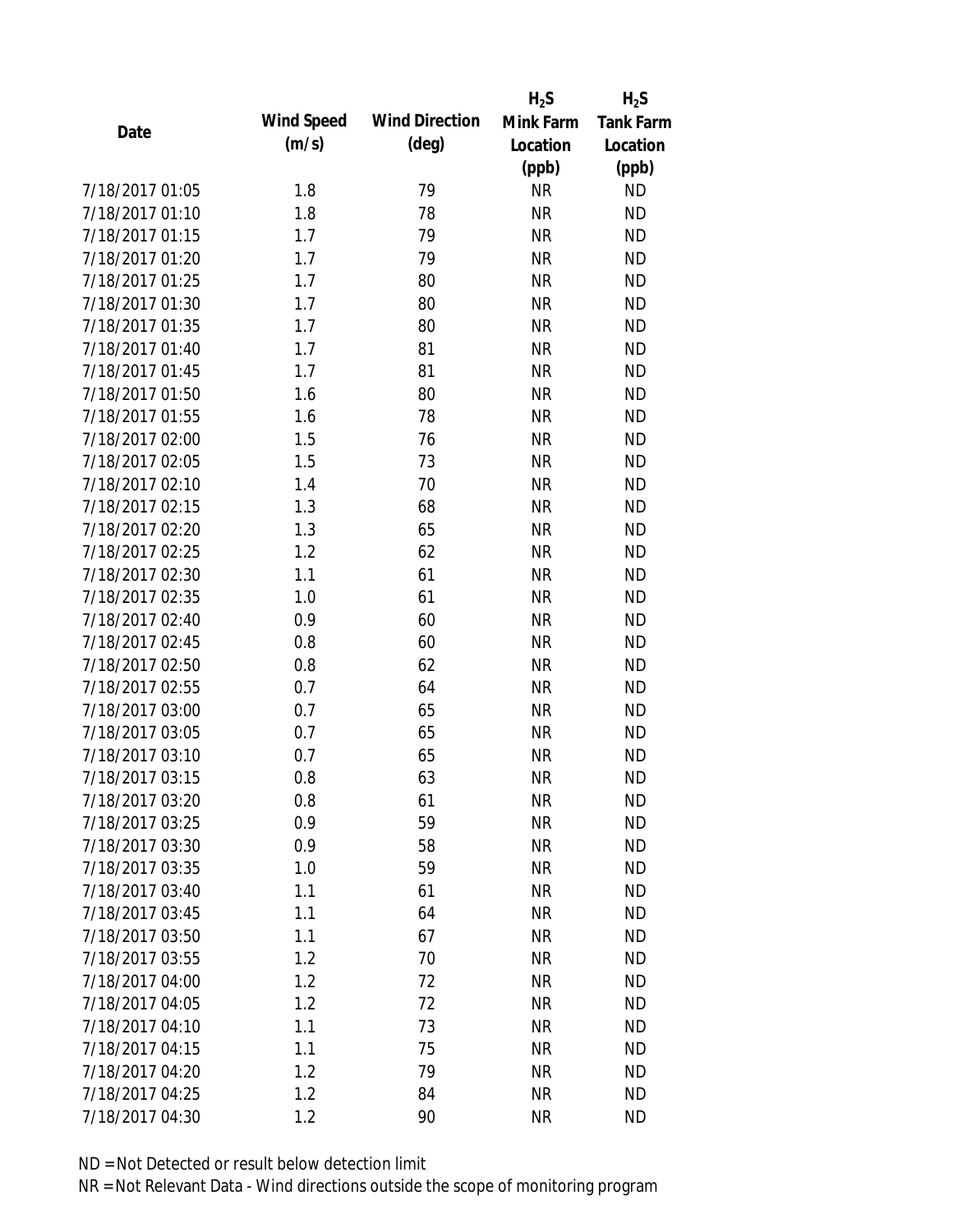|                 |            |                       | $H_2S$    | $H_2S$           |
|-----------------|------------|-----------------------|-----------|------------------|
| Date            | Wind Speed | <b>Wind Direction</b> | Mink Farm | <b>Tank Farm</b> |
|                 | (m/s)      | $(\text{deg})$        | Location  | Location         |
|                 |            |                       | (ppb)     | (ppb)            |
| 7/18/2017 01:05 | 1.8        | 79                    | <b>NR</b> | <b>ND</b>        |
| 7/18/2017 01:10 | 1.8        | 78                    | <b>NR</b> | <b>ND</b>        |
| 7/18/2017 01:15 | 1.7        | 79                    | <b>NR</b> | <b>ND</b>        |
| 7/18/2017 01:20 | 1.7        | 79                    | <b>NR</b> | <b>ND</b>        |
| 7/18/2017 01:25 | 1.7        | 80                    | <b>NR</b> | <b>ND</b>        |
| 7/18/2017 01:30 | 1.7        | 80                    | <b>NR</b> | <b>ND</b>        |
| 7/18/2017 01:35 | 1.7        | 80                    | <b>NR</b> | <b>ND</b>        |
| 7/18/2017 01:40 | 1.7        | 81                    | <b>NR</b> | <b>ND</b>        |
| 7/18/2017 01:45 | 1.7        | 81                    | <b>NR</b> | <b>ND</b>        |
| 7/18/2017 01:50 | 1.6        | 80                    | <b>NR</b> | <b>ND</b>        |
| 7/18/2017 01:55 | 1.6        | 78                    | <b>NR</b> | <b>ND</b>        |
| 7/18/2017 02:00 | 1.5        | 76                    | <b>NR</b> | <b>ND</b>        |
| 7/18/2017 02:05 | 1.5        | 73                    | <b>NR</b> | <b>ND</b>        |
| 7/18/2017 02:10 | 1.4        | 70                    | <b>NR</b> | <b>ND</b>        |
| 7/18/2017 02:15 | 1.3        | 68                    | <b>NR</b> | <b>ND</b>        |
| 7/18/2017 02:20 | 1.3        | 65                    | <b>NR</b> | <b>ND</b>        |
| 7/18/2017 02:25 | 1.2        | 62                    | <b>NR</b> | <b>ND</b>        |
| 7/18/2017 02:30 | 1.1        | 61                    | <b>NR</b> | <b>ND</b>        |
| 7/18/2017 02:35 | 1.0        | 61                    | <b>NR</b> | <b>ND</b>        |
| 7/18/2017 02:40 | 0.9        | 60                    | <b>NR</b> | <b>ND</b>        |
| 7/18/2017 02:45 | 0.8        | 60                    | <b>NR</b> | <b>ND</b>        |
| 7/18/2017 02:50 | 0.8        | 62                    | <b>NR</b> | <b>ND</b>        |
| 7/18/2017 02:55 | 0.7        | 64                    | <b>NR</b> | <b>ND</b>        |
| 7/18/2017 03:00 | 0.7        | 65                    | <b>NR</b> | <b>ND</b>        |
| 7/18/2017 03:05 | 0.7        | 65                    | <b>NR</b> | <b>ND</b>        |
| 7/18/2017 03:10 | 0.7        | 65                    | <b>NR</b> | <b>ND</b>        |
| 7/18/2017 03:15 | 0.8        | 63                    | <b>NR</b> | <b>ND</b>        |
| 7/18/2017 03:20 | 0.8        | 61                    | <b>NR</b> | <b>ND</b>        |
| 7/18/2017 03:25 | 0.9        | 59                    | <b>NR</b> | <b>ND</b>        |
| 7/18/2017 03:30 | 0.9        | 58                    | <b>NR</b> | <b>ND</b>        |
| 7/18/2017 03:35 | 1.0        | 59                    | <b>NR</b> | <b>ND</b>        |
| 7/18/2017 03:40 | 1.1        | 61                    | <b>NR</b> | <b>ND</b>        |
| 7/18/2017 03:45 | 1.1        | 64                    | <b>NR</b> | <b>ND</b>        |
| 7/18/2017 03:50 | 1.1        | 67                    | <b>NR</b> | <b>ND</b>        |
| 7/18/2017 03:55 | 1.2        | 70                    | <b>NR</b> | <b>ND</b>        |
| 7/18/2017 04:00 | 1.2        | 72                    | <b>NR</b> | <b>ND</b>        |
| 7/18/2017 04:05 | 1.2        | 72                    | <b>NR</b> | <b>ND</b>        |
| 7/18/2017 04:10 | 1.1        | 73                    | <b>NR</b> | <b>ND</b>        |
| 7/18/2017 04:15 | 1.1        | 75                    | <b>NR</b> | <b>ND</b>        |
| 7/18/2017 04:20 | 1.2        | 79                    | <b>NR</b> | <b>ND</b>        |
| 7/18/2017 04:25 | 1.2        | 84                    | <b>NR</b> | <b>ND</b>        |
| 7/18/2017 04:30 | 1.2        | 90                    | <b>NR</b> | <b>ND</b>        |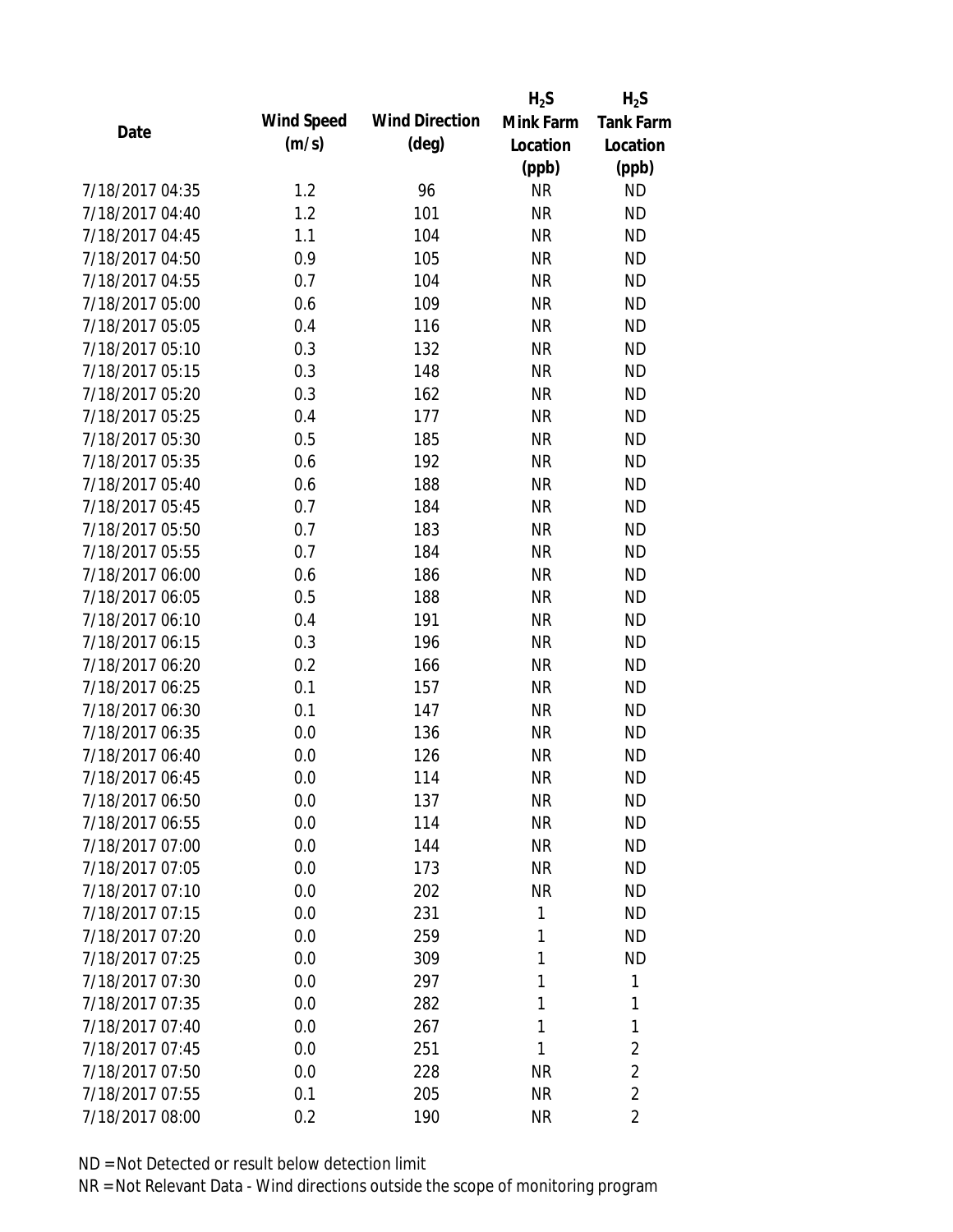|                 |                   |                       | $H_2S$    | $H_2S$           |
|-----------------|-------------------|-----------------------|-----------|------------------|
| Date            | <b>Wind Speed</b> | <b>Wind Direction</b> | Mink Farm | <b>Tank Farm</b> |
|                 | (m/s)             | $(\text{deg})$        | Location  | Location         |
|                 |                   |                       | (ppb)     | (ppb)            |
| 7/18/2017 04:35 | 1.2               | 96                    | <b>NR</b> | <b>ND</b>        |
| 7/18/2017 04:40 | 1.2               | 101                   | <b>NR</b> | <b>ND</b>        |
| 7/18/2017 04:45 | 1.1               | 104                   | <b>NR</b> | <b>ND</b>        |
| 7/18/2017 04:50 | 0.9               | 105                   | <b>NR</b> | <b>ND</b>        |
| 7/18/2017 04:55 | 0.7               | 104                   | <b>NR</b> | <b>ND</b>        |
| 7/18/2017 05:00 | 0.6               | 109                   | <b>NR</b> | <b>ND</b>        |
| 7/18/2017 05:05 | 0.4               | 116                   | <b>NR</b> | <b>ND</b>        |
| 7/18/2017 05:10 | 0.3               | 132                   | <b>NR</b> | <b>ND</b>        |
| 7/18/2017 05:15 | 0.3               | 148                   | <b>NR</b> | <b>ND</b>        |
| 7/18/2017 05:20 | 0.3               | 162                   | <b>NR</b> | <b>ND</b>        |
| 7/18/2017 05:25 | 0.4               | 177                   | <b>NR</b> | <b>ND</b>        |
| 7/18/2017 05:30 | 0.5               | 185                   | <b>NR</b> | <b>ND</b>        |
| 7/18/2017 05:35 | 0.6               | 192                   | <b>NR</b> | <b>ND</b>        |
| 7/18/2017 05:40 | 0.6               | 188                   | <b>NR</b> | <b>ND</b>        |
| 7/18/2017 05:45 | 0.7               | 184                   | <b>NR</b> | <b>ND</b>        |
| 7/18/2017 05:50 | 0.7               | 183                   | <b>NR</b> | <b>ND</b>        |
| 7/18/2017 05:55 | 0.7               | 184                   | <b>NR</b> | <b>ND</b>        |
| 7/18/2017 06:00 | 0.6               | 186                   | <b>NR</b> | <b>ND</b>        |
| 7/18/2017 06:05 | 0.5               | 188                   | <b>NR</b> | <b>ND</b>        |
| 7/18/2017 06:10 | 0.4               | 191                   | <b>NR</b> | <b>ND</b>        |
| 7/18/2017 06:15 | 0.3               | 196                   | <b>NR</b> | <b>ND</b>        |
| 7/18/2017 06:20 | 0.2               | 166                   | <b>NR</b> | <b>ND</b>        |
| 7/18/2017 06:25 | 0.1               | 157                   | <b>NR</b> | <b>ND</b>        |
| 7/18/2017 06:30 | 0.1               | 147                   | <b>NR</b> | <b>ND</b>        |
| 7/18/2017 06:35 | 0.0               | 136                   | <b>NR</b> | <b>ND</b>        |
| 7/18/2017 06:40 | 0.0               | 126                   | <b>NR</b> | <b>ND</b>        |
| 7/18/2017 06:45 | 0.0               | 114                   | <b>NR</b> | <b>ND</b>        |
| 7/18/2017 06:50 | 0.0               | 137                   | NR        | <b>ND</b>        |
| 7/18/2017 06:55 | 0.0               | 114                   | <b>NR</b> | <b>ND</b>        |
| 7/18/2017 07:00 | 0.0               | 144                   | <b>NR</b> | <b>ND</b>        |
| 7/18/2017 07:05 | 0.0               | 173                   | <b>NR</b> | <b>ND</b>        |
| 7/18/2017 07:10 | 0.0               | 202                   | <b>NR</b> | <b>ND</b>        |
| 7/18/2017 07:15 | 0.0               | 231                   | 1         | <b>ND</b>        |
| 7/18/2017 07:20 | 0.0               | 259                   | 1         | <b>ND</b>        |
| 7/18/2017 07:25 | 0.0               | 309                   | 1         | <b>ND</b>        |
| 7/18/2017 07:30 | 0.0               | 297                   | 1         | 1                |
| 7/18/2017 07:35 | 0.0               | 282                   | 1         | 1                |
| 7/18/2017 07:40 | 0.0               | 267                   | 1         | 1                |
| 7/18/2017 07:45 | 0.0               | 251                   | 1         | $\overline{2}$   |
| 7/18/2017 07:50 | 0.0               | 228                   | ΝR        | $\overline{2}$   |
| 7/18/2017 07:55 | 0.1               | 205                   | <b>NR</b> | $\overline{2}$   |
| 7/18/2017 08:00 | 0.2               | 190                   | <b>NR</b> | $\overline{2}$   |
|                 |                   |                       |           |                  |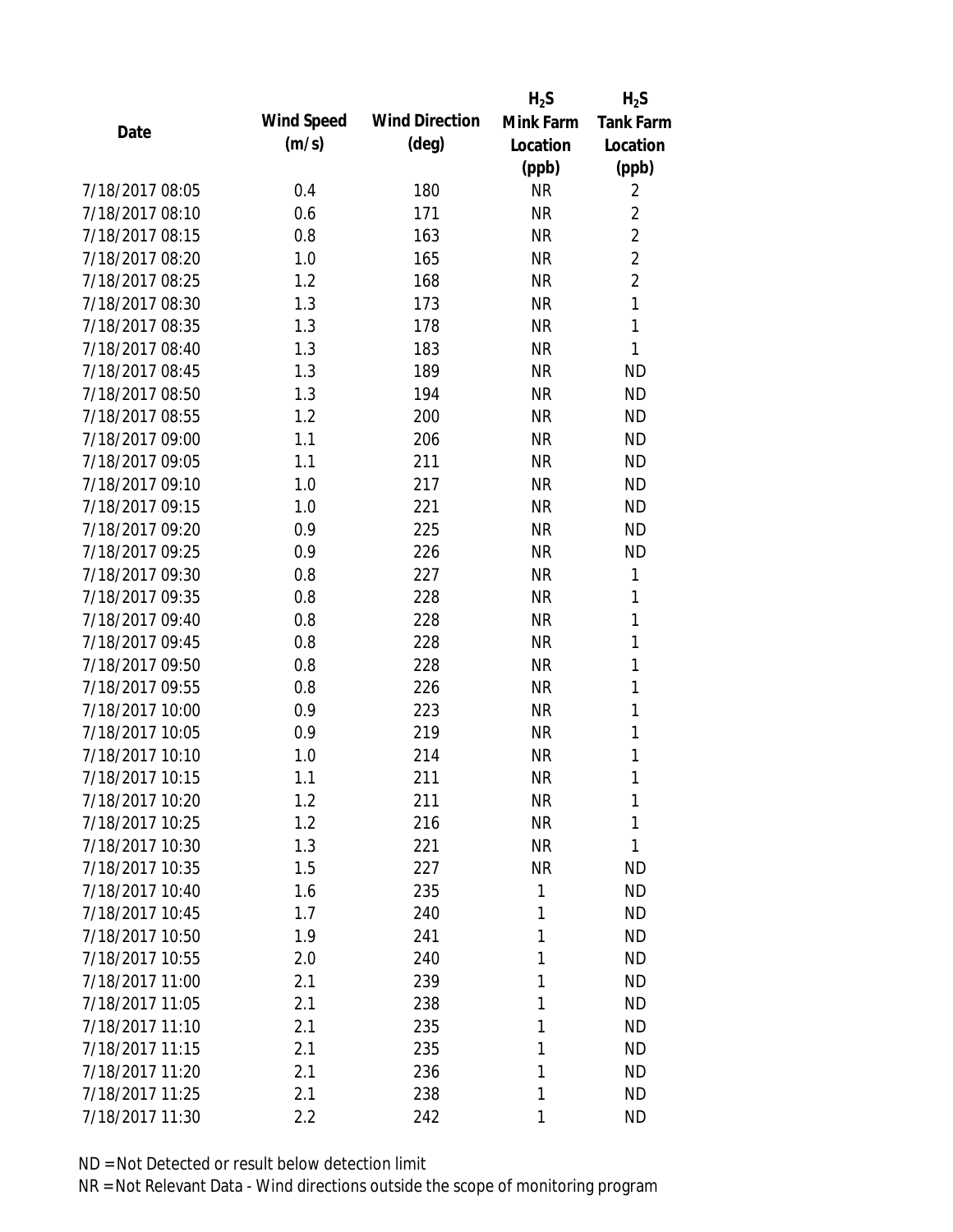|                 |            |                       | $H_2S$    | $H_2S$           |
|-----------------|------------|-----------------------|-----------|------------------|
| Date            | Wind Speed | <b>Wind Direction</b> | Mink Farm | <b>Tank Farm</b> |
|                 | (m/s)      | $(\text{deg})$        | Location  | Location         |
|                 |            |                       | (ppb)     | (ppb)            |
| 7/18/2017 08:05 | 0.4        | 180                   | <b>NR</b> | 2                |
| 7/18/2017 08:10 | 0.6        | 171                   | <b>NR</b> | $\overline{2}$   |
| 7/18/2017 08:15 | 0.8        | 163                   | <b>NR</b> | $\overline{2}$   |
| 7/18/2017 08:20 | 1.0        | 165                   | <b>NR</b> | $\overline{2}$   |
| 7/18/2017 08:25 | 1.2        | 168                   | <b>NR</b> | $\overline{2}$   |
| 7/18/2017 08:30 | 1.3        | 173                   | <b>NR</b> | 1                |
| 7/18/2017 08:35 | 1.3        | 178                   | <b>NR</b> | $\mathbf{1}$     |
| 7/18/2017 08:40 | 1.3        | 183                   | <b>NR</b> | 1                |
| 7/18/2017 08:45 | 1.3        | 189                   | <b>NR</b> | <b>ND</b>        |
| 7/18/2017 08:50 | 1.3        | 194                   | <b>NR</b> | <b>ND</b>        |
| 7/18/2017 08:55 | 1.2        | 200                   | <b>NR</b> | <b>ND</b>        |
| 7/18/2017 09:00 | 1.1        | 206                   | <b>NR</b> | <b>ND</b>        |
| 7/18/2017 09:05 | 1.1        | 211                   | <b>NR</b> | <b>ND</b>        |
| 7/18/2017 09:10 | 1.0        | 217                   | <b>NR</b> | <b>ND</b>        |
| 7/18/2017 09:15 | 1.0        | 221                   | <b>NR</b> | <b>ND</b>        |
| 7/18/2017 09:20 | 0.9        | 225                   | <b>NR</b> | <b>ND</b>        |
| 7/18/2017 09:25 | 0.9        | 226                   | <b>NR</b> | <b>ND</b>        |
| 7/18/2017 09:30 | 0.8        | 227                   | <b>NR</b> | 1                |
| 7/18/2017 09:35 | 0.8        | 228                   | <b>NR</b> | 1                |
| 7/18/2017 09:40 | 0.8        | 228                   | <b>NR</b> | 1                |
| 7/18/2017 09:45 | 0.8        | 228                   | <b>NR</b> | 1                |
| 7/18/2017 09:50 | 0.8        | 228                   | <b>NR</b> | 1                |
| 7/18/2017 09:55 | 0.8        | 226                   | <b>NR</b> | 1                |
| 7/18/2017 10:00 | 0.9        | 223                   | <b>NR</b> | 1                |
| 7/18/2017 10:05 | 0.9        | 219                   | <b>NR</b> | 1                |
| 7/18/2017 10:10 | 1.0        | 214                   | <b>NR</b> | 1                |
| 7/18/2017 10:15 | 1.1        | 211                   | <b>NR</b> | 1                |
| 7/18/2017 10:20 | 1.2        | 211                   | <b>NR</b> | 1                |
| 7/18/2017 10:25 | 1.2        | 216                   | <b>NR</b> | 1                |
| 7/18/2017 10:30 | 1.3        | 221                   | <b>NR</b> | 1                |
| 7/18/2017 10:35 | 1.5        | 227                   | <b>NR</b> | ND               |
| 7/18/2017 10:40 | 1.6        | 235                   | 1         | <b>ND</b>        |
| 7/18/2017 10:45 | 1.7        | 240                   | 1         | ND               |
| 7/18/2017 10:50 | 1.9        | 241                   | 1         | <b>ND</b>        |
| 7/18/2017 10:55 | 2.0        | 240                   | 1         | <b>ND</b>        |
| 7/18/2017 11:00 | 2.1        | 239                   | 1         | <b>ND</b>        |
| 7/18/2017 11:05 | 2.1        | 238                   | 1         | <b>ND</b>        |
| 7/18/2017 11:10 | 2.1        | 235                   | 1         | <b>ND</b>        |
| 7/18/2017 11:15 | 2.1        | 235                   | 1         | <b>ND</b>        |
| 7/18/2017 11:20 | 2.1        | 236                   | 1         | <b>ND</b>        |
| 7/18/2017 11:25 | 2.1        | 238                   | 1         | <b>ND</b>        |
| 7/18/2017 11:30 | 2.2        | 242                   | 1         | <b>ND</b>        |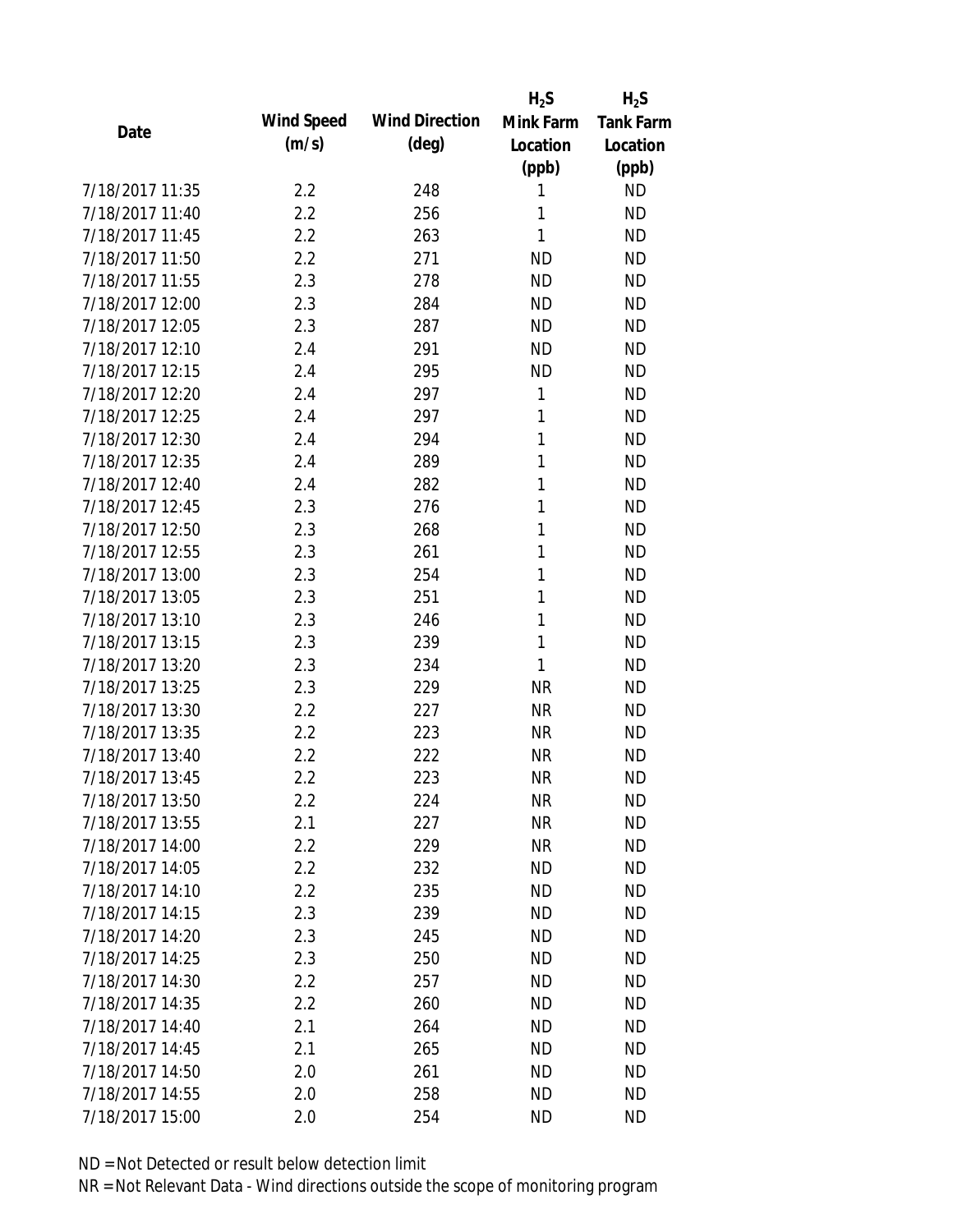|                 |            |                       | $H_2S$    | $H_2S$           |
|-----------------|------------|-----------------------|-----------|------------------|
| Date            | Wind Speed | <b>Wind Direction</b> | Mink Farm | <b>Tank Farm</b> |
|                 | (m/s)      | $(\text{deg})$        | Location  | Location         |
|                 |            |                       | (ppb)     | (ppb)            |
| 7/18/2017 11:35 | 2.2        | 248                   | 1         | <b>ND</b>        |
| 7/18/2017 11:40 | 2.2        | 256                   | 1         | <b>ND</b>        |
| 7/18/2017 11:45 | 2.2        | 263                   | 1         | <b>ND</b>        |
| 7/18/2017 11:50 | 2.2        | 271                   | <b>ND</b> | <b>ND</b>        |
| 7/18/2017 11:55 | 2.3        | 278                   | <b>ND</b> | <b>ND</b>        |
| 7/18/2017 12:00 | 2.3        | 284                   | <b>ND</b> | <b>ND</b>        |
| 7/18/2017 12:05 | 2.3        | 287                   | <b>ND</b> | <b>ND</b>        |
| 7/18/2017 12:10 | 2.4        | 291                   | <b>ND</b> | <b>ND</b>        |
| 7/18/2017 12:15 | 2.4        | 295                   | <b>ND</b> | <b>ND</b>        |
| 7/18/2017 12:20 | 2.4        | 297                   | 1         | <b>ND</b>        |
| 7/18/2017 12:25 | 2.4        | 297                   | 1         | <b>ND</b>        |
| 7/18/2017 12:30 | 2.4        | 294                   | 1         | <b>ND</b>        |
| 7/18/2017 12:35 | 2.4        | 289                   | 1         | <b>ND</b>        |
| 7/18/2017 12:40 | 2.4        | 282                   | 1         | <b>ND</b>        |
| 7/18/2017 12:45 | 2.3        | 276                   | 1         | <b>ND</b>        |
| 7/18/2017 12:50 | 2.3        | 268                   | 1         | <b>ND</b>        |
| 7/18/2017 12:55 | 2.3        | 261                   | 1         | <b>ND</b>        |
| 7/18/2017 13:00 | 2.3        | 254                   | 1         | <b>ND</b>        |
| 7/18/2017 13:05 | 2.3        | 251                   | 1         | <b>ND</b>        |
| 7/18/2017 13:10 | 2.3        | 246                   | 1         | <b>ND</b>        |
| 7/18/2017 13:15 | 2.3        | 239                   | 1         | <b>ND</b>        |
| 7/18/2017 13:20 | 2.3        | 234                   | 1         | <b>ND</b>        |
| 7/18/2017 13:25 | 2.3        | 229                   | <b>NR</b> | <b>ND</b>        |
| 7/18/2017 13:30 | 2.2        | 227                   | <b>NR</b> | <b>ND</b>        |
| 7/18/2017 13:35 | 2.2        | 223                   | <b>NR</b> | <b>ND</b>        |
| 7/18/2017 13:40 | 2.2        | 222                   | <b>NR</b> | <b>ND</b>        |
| 7/18/2017 13:45 | 2.2        | 223                   | <b>NR</b> | <b>ND</b>        |
| 7/18/2017 13:50 | 2.2        | 224                   | NR        | <b>ND</b>        |
| 7/18/2017 13:55 | 2.1        | 227                   | <b>NR</b> | <b>ND</b>        |
| 7/18/2017 14:00 | 2.2        | 229                   | <b>NR</b> | <b>ND</b>        |
| 7/18/2017 14:05 | 2.2        | 232                   | <b>ND</b> | <b>ND</b>        |
| 7/18/2017 14:10 | 2.2        | 235                   | <b>ND</b> | <b>ND</b>        |
| 7/18/2017 14:15 | 2.3        | 239                   | ND        | <b>ND</b>        |
| 7/18/2017 14:20 | 2.3        | 245                   | <b>ND</b> | <b>ND</b>        |
| 7/18/2017 14:25 | 2.3        | 250                   | <b>ND</b> | <b>ND</b>        |
| 7/18/2017 14:30 | 2.2        | 257                   | ND        | <b>ND</b>        |
| 7/18/2017 14:35 | 2.2        | 260                   | <b>ND</b> | <b>ND</b>        |
| 7/18/2017 14:40 | 2.1        | 264                   | ND        | <b>ND</b>        |
| 7/18/2017 14:45 | 2.1        | 265                   | <b>ND</b> | <b>ND</b>        |
| 7/18/2017 14:50 | 2.0        | 261                   | <b>ND</b> | <b>ND</b>        |
| 7/18/2017 14:55 | 2.0        | 258                   | <b>ND</b> | <b>ND</b>        |
| 7/18/2017 15:00 | 2.0        | 254                   | <b>ND</b> | <b>ND</b>        |
|                 |            |                       |           |                  |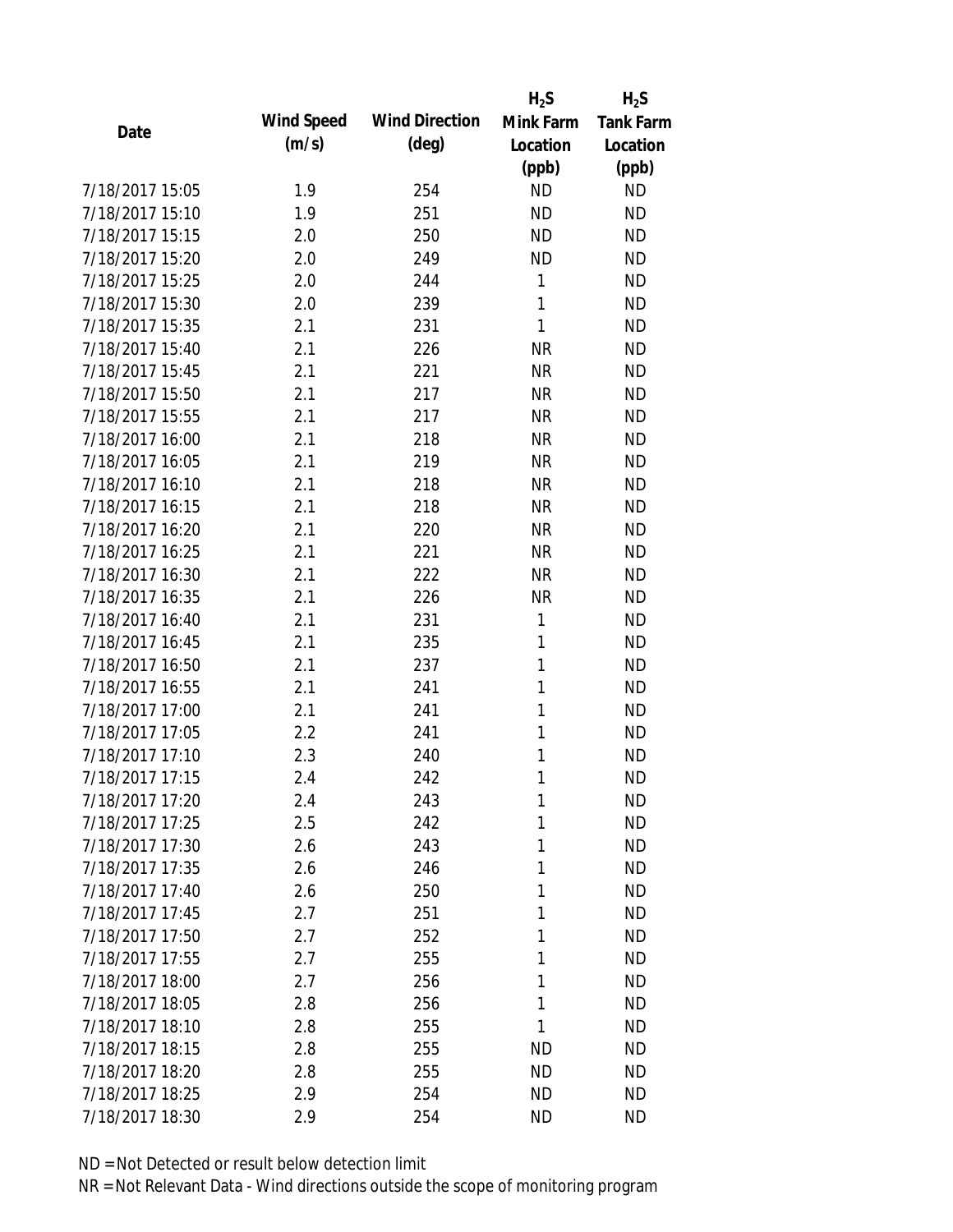|                 |            |                       | $H_2S$    | $H_2S$           |
|-----------------|------------|-----------------------|-----------|------------------|
| Date            | Wind Speed | <b>Wind Direction</b> | Mink Farm | <b>Tank Farm</b> |
|                 | (m/s)      | $(\text{deg})$        | Location  | Location         |
|                 |            |                       | (ppb)     | (ppb)            |
| 7/18/2017 15:05 | 1.9        | 254                   | <b>ND</b> | <b>ND</b>        |
| 7/18/2017 15:10 | 1.9        | 251                   | <b>ND</b> | <b>ND</b>        |
| 7/18/2017 15:15 | 2.0        | 250                   | <b>ND</b> | <b>ND</b>        |
| 7/18/2017 15:20 | 2.0        | 249                   | <b>ND</b> | <b>ND</b>        |
| 7/18/2017 15:25 | 2.0        | 244                   | 1         | <b>ND</b>        |
| 7/18/2017 15:30 | 2.0        | 239                   | 1         | <b>ND</b>        |
| 7/18/2017 15:35 | 2.1        | 231                   | 1         | <b>ND</b>        |
| 7/18/2017 15:40 | 2.1        | 226                   | <b>NR</b> | <b>ND</b>        |
| 7/18/2017 15:45 | 2.1        | 221                   | <b>NR</b> | <b>ND</b>        |
| 7/18/2017 15:50 | 2.1        | 217                   | <b>NR</b> | <b>ND</b>        |
| 7/18/2017 15:55 | 2.1        | 217                   | <b>NR</b> | <b>ND</b>        |
| 7/18/2017 16:00 | 2.1        | 218                   | <b>NR</b> | <b>ND</b>        |
| 7/18/2017 16:05 | 2.1        | 219                   | <b>NR</b> | <b>ND</b>        |
| 7/18/2017 16:10 | 2.1        | 218                   | <b>NR</b> | <b>ND</b>        |
| 7/18/2017 16:15 | 2.1        | 218                   | <b>NR</b> | <b>ND</b>        |
| 7/18/2017 16:20 | 2.1        | 220                   | <b>NR</b> | <b>ND</b>        |
| 7/18/2017 16:25 | 2.1        | 221                   | <b>NR</b> | <b>ND</b>        |
| 7/18/2017 16:30 | 2.1        | 222                   | <b>NR</b> | <b>ND</b>        |
| 7/18/2017 16:35 | 2.1        | 226                   | <b>NR</b> | <b>ND</b>        |
| 7/18/2017 16:40 | 2.1        | 231                   | 1         | <b>ND</b>        |
| 7/18/2017 16:45 | 2.1        | 235                   | 1         | <b>ND</b>        |
| 7/18/2017 16:50 | 2.1        | 237                   | 1         | <b>ND</b>        |
| 7/18/2017 16:55 | 2.1        | 241                   | 1         | <b>ND</b>        |
| 7/18/2017 17:00 | 2.1        | 241                   | 1         | <b>ND</b>        |
| 7/18/2017 17:05 | 2.2        | 241                   | 1         | <b>ND</b>        |
| 7/18/2017 17:10 | 2.3        | 240                   | 1         | <b>ND</b>        |
| 7/18/2017 17:15 | 2.4        | 242                   | 1         | <b>ND</b>        |
| 7/18/2017 17:20 | 2.4        | 243                   | 1         | <b>ND</b>        |
| 7/18/2017 17:25 | 2.5        | 242                   | 1         | <b>ND</b>        |
| 7/18/2017 17:30 | 2.6        | 243                   | 1         | <b>ND</b>        |
| 7/18/2017 17:35 | 2.6        | 246                   | 1         | <b>ND</b>        |
| 7/18/2017 17:40 | 2.6        | 250                   | 1         | <b>ND</b>        |
| 7/18/2017 17:45 | 2.7        | 251                   | 1         | <b>ND</b>        |
| 7/18/2017 17:50 | 2.7        | 252                   | 1         | <b>ND</b>        |
| 7/18/2017 17:55 | 2.7        | 255                   | 1         | <b>ND</b>        |
| 7/18/2017 18:00 | 2.7        | 256                   | 1         | <b>ND</b>        |
| 7/18/2017 18:05 | 2.8        | 256                   | 1         | <b>ND</b>        |
| 7/18/2017 18:10 | 2.8        | 255                   | 1         | <b>ND</b>        |
| 7/18/2017 18:15 | 2.8        | 255                   | ND        | <b>ND</b>        |
| 7/18/2017 18:20 | 2.8        | 255                   | ND        | ND               |
| 7/18/2017 18:25 | 2.9        | 254                   | <b>ND</b> | ND               |
| 7/18/2017 18:30 | 2.9        | 254                   | <b>ND</b> | <b>ND</b>        |
|                 |            |                       |           |                  |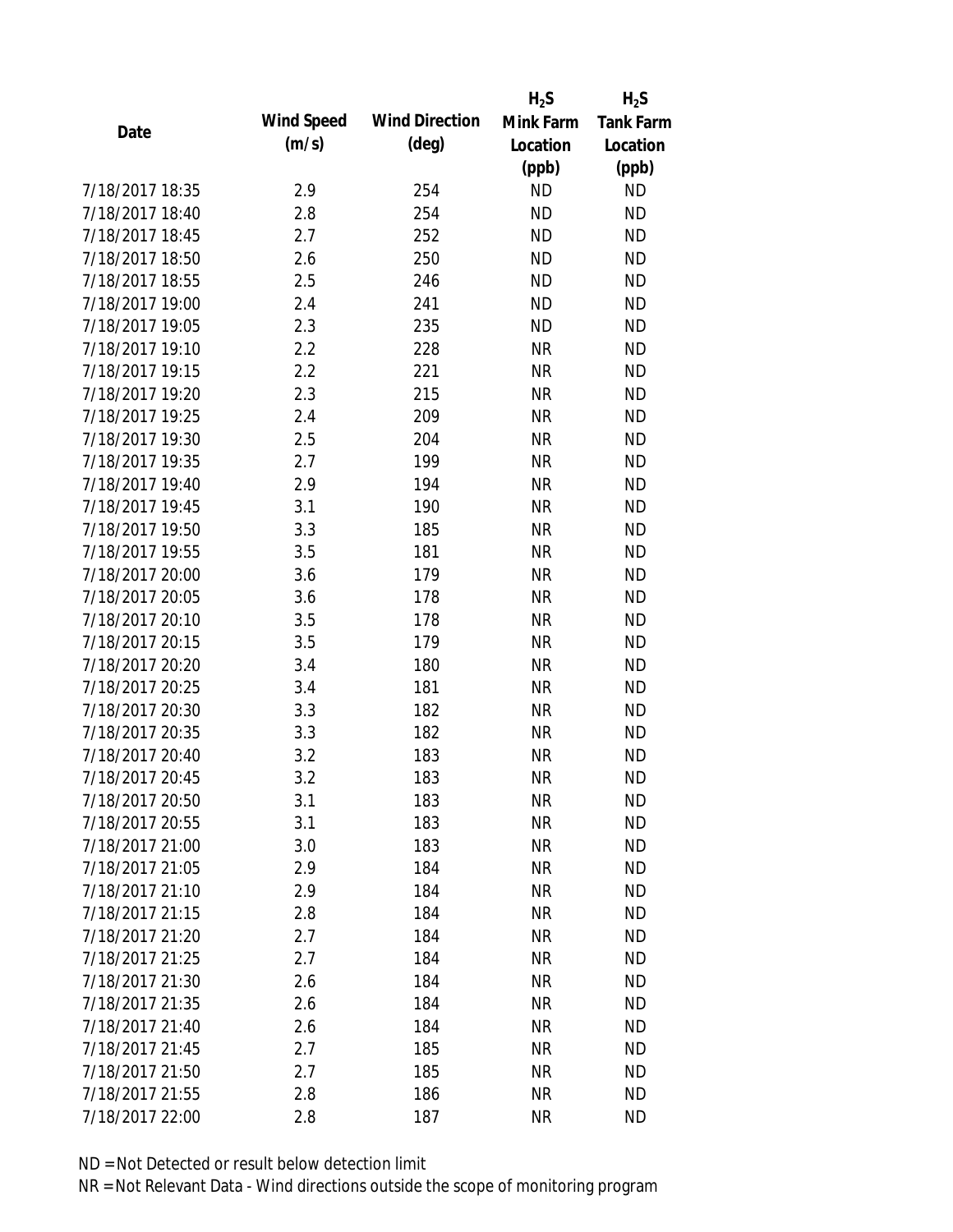|                 |            |                       | $H_2S$    | $H_2S$           |
|-----------------|------------|-----------------------|-----------|------------------|
| Date            | Wind Speed | <b>Wind Direction</b> | Mink Farm | <b>Tank Farm</b> |
|                 | (m/s)      | $(\text{deg})$        | Location  | Location         |
|                 |            |                       | (ppb)     | (ppb)            |
| 7/18/2017 18:35 | 2.9        | 254                   | <b>ND</b> | <b>ND</b>        |
| 7/18/2017 18:40 | 2.8        | 254                   | <b>ND</b> | <b>ND</b>        |
| 7/18/2017 18:45 | 2.7        | 252                   | <b>ND</b> | <b>ND</b>        |
| 7/18/2017 18:50 | 2.6        | 250                   | <b>ND</b> | <b>ND</b>        |
| 7/18/2017 18:55 | 2.5        | 246                   | <b>ND</b> | <b>ND</b>        |
| 7/18/2017 19:00 | 2.4        | 241                   | <b>ND</b> | <b>ND</b>        |
| 7/18/2017 19:05 | 2.3        | 235                   | <b>ND</b> | <b>ND</b>        |
| 7/18/2017 19:10 | 2.2        | 228                   | <b>NR</b> | <b>ND</b>        |
| 7/18/2017 19:15 | 2.2        | 221                   | <b>NR</b> | <b>ND</b>        |
| 7/18/2017 19:20 | 2.3        | 215                   | <b>NR</b> | <b>ND</b>        |
| 7/18/2017 19:25 | 2.4        | 209                   | <b>NR</b> | <b>ND</b>        |
| 7/18/2017 19:30 | 2.5        | 204                   | <b>NR</b> | <b>ND</b>        |
| 7/18/2017 19:35 | 2.7        | 199                   | <b>NR</b> | <b>ND</b>        |
| 7/18/2017 19:40 | 2.9        | 194                   | <b>NR</b> | <b>ND</b>        |
| 7/18/2017 19:45 | 3.1        | 190                   | <b>NR</b> | <b>ND</b>        |
| 7/18/2017 19:50 | 3.3        | 185                   | <b>NR</b> | <b>ND</b>        |
| 7/18/2017 19:55 | 3.5        | 181                   | <b>NR</b> | <b>ND</b>        |
| 7/18/2017 20:00 | 3.6        | 179                   | <b>NR</b> | <b>ND</b>        |
| 7/18/2017 20:05 | 3.6        | 178                   | <b>NR</b> | <b>ND</b>        |
| 7/18/2017 20:10 | 3.5        | 178                   | <b>NR</b> | <b>ND</b>        |
| 7/18/2017 20:15 | 3.5        | 179                   | <b>NR</b> | <b>ND</b>        |
| 7/18/2017 20:20 | 3.4        | 180                   | <b>NR</b> | <b>ND</b>        |
| 7/18/2017 20:25 | 3.4        | 181                   | <b>NR</b> | <b>ND</b>        |
| 7/18/2017 20:30 | 3.3        | 182                   | <b>NR</b> | <b>ND</b>        |
| 7/18/2017 20:35 | 3.3        | 182                   | <b>NR</b> | <b>ND</b>        |
| 7/18/2017 20:40 | 3.2        | 183                   | <b>NR</b> | <b>ND</b>        |
| 7/18/2017 20:45 | 3.2        | 183                   | <b>NR</b> | <b>ND</b>        |
| 7/18/2017 20:50 | 3.1        | 183                   | ΝR        | <b>ND</b>        |
| 7/18/2017 20:55 | 3.1        | 183                   | <b>NR</b> | <b>ND</b>        |
| 7/18/2017 21:00 | 3.0        | 183                   | <b>NR</b> | <b>ND</b>        |
| 7/18/2017 21:05 | 2.9        | 184                   | <b>NR</b> | <b>ND</b>        |
| 7/18/2017 21:10 | 2.9        | 184                   | <b>NR</b> | <b>ND</b>        |
| 7/18/2017 21:15 | 2.8        | 184                   | <b>NR</b> | <b>ND</b>        |
| 7/18/2017 21:20 | 2.7        | 184                   | <b>NR</b> | <b>ND</b>        |
| 7/18/2017 21:25 | 2.7        | 184                   | <b>NR</b> | <b>ND</b>        |
| 7/18/2017 21:30 | 2.6        | 184                   | <b>NR</b> | <b>ND</b>        |
| 7/18/2017 21:35 | 2.6        | 184                   | <b>NR</b> | <b>ND</b>        |
| 7/18/2017 21:40 | 2.6        | 184                   | <b>NR</b> | <b>ND</b>        |
| 7/18/2017 21:45 | 2.7        | 185                   | <b>NR</b> | <b>ND</b>        |
| 7/18/2017 21:50 | 2.7        | 185                   | ΝR        | <b>ND</b>        |
| 7/18/2017 21:55 | 2.8        | 186                   | <b>NR</b> | <b>ND</b>        |
| 7/18/2017 22:00 | 2.8        | 187                   | <b>NR</b> | <b>ND</b>        |
|                 |            |                       |           |                  |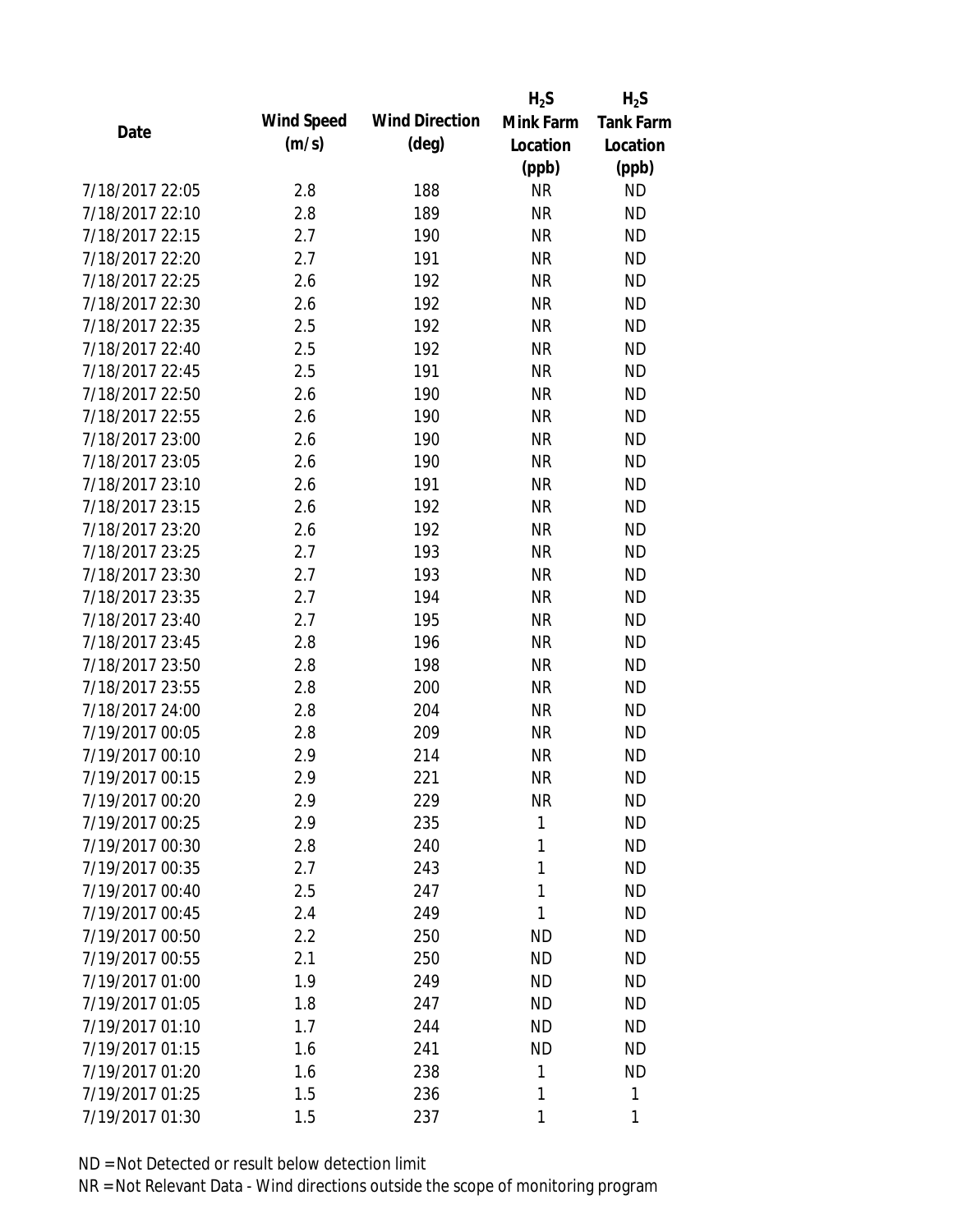|                 |                   |                       | $H_2S$    | $H_2S$           |
|-----------------|-------------------|-----------------------|-----------|------------------|
| Date            | <b>Wind Speed</b> | <b>Wind Direction</b> | Mink Farm | <b>Tank Farm</b> |
|                 | (m/s)             | $(\text{deg})$        | Location  | Location         |
|                 |                   |                       | (ppb)     | (ppb)            |
| 7/18/2017 22:05 | 2.8               | 188                   | <b>NR</b> | <b>ND</b>        |
| 7/18/2017 22:10 | 2.8               | 189                   | <b>NR</b> | <b>ND</b>        |
| 7/18/2017 22:15 | 2.7               | 190                   | <b>NR</b> | <b>ND</b>        |
| 7/18/2017 22:20 | 2.7               | 191                   | <b>NR</b> | <b>ND</b>        |
| 7/18/2017 22:25 | 2.6               | 192                   | <b>NR</b> | <b>ND</b>        |
| 7/18/2017 22:30 | 2.6               | 192                   | <b>NR</b> | <b>ND</b>        |
| 7/18/2017 22:35 | 2.5               | 192                   | <b>NR</b> | <b>ND</b>        |
| 7/18/2017 22:40 | 2.5               | 192                   | <b>NR</b> | <b>ND</b>        |
| 7/18/2017 22:45 | 2.5               | 191                   | <b>NR</b> | <b>ND</b>        |
| 7/18/2017 22:50 | 2.6               | 190                   | <b>NR</b> | <b>ND</b>        |
| 7/18/2017 22:55 | 2.6               | 190                   | <b>NR</b> | <b>ND</b>        |
| 7/18/2017 23:00 | 2.6               | 190                   | <b>NR</b> | <b>ND</b>        |
| 7/18/2017 23:05 | 2.6               | 190                   | <b>NR</b> | <b>ND</b>        |
| 7/18/2017 23:10 | 2.6               | 191                   | <b>NR</b> | <b>ND</b>        |
| 7/18/2017 23:15 | 2.6               | 192                   | <b>NR</b> | <b>ND</b>        |
| 7/18/2017 23:20 | 2.6               | 192                   | <b>NR</b> | <b>ND</b>        |
| 7/18/2017 23:25 | 2.7               | 193                   | <b>NR</b> | <b>ND</b>        |
| 7/18/2017 23:30 | 2.7               | 193                   | <b>NR</b> | <b>ND</b>        |
| 7/18/2017 23:35 | 2.7               | 194                   | <b>NR</b> | <b>ND</b>        |
| 7/18/2017 23:40 | 2.7               | 195                   | <b>NR</b> | <b>ND</b>        |
| 7/18/2017 23:45 | 2.8               | 196                   | <b>NR</b> | <b>ND</b>        |
| 7/18/2017 23:50 | 2.8               | 198                   | <b>NR</b> | <b>ND</b>        |
| 7/18/2017 23:55 | 2.8               | 200                   | <b>NR</b> | <b>ND</b>        |
| 7/18/2017 24:00 | 2.8               | 204                   | <b>NR</b> | <b>ND</b>        |
| 7/19/2017 00:05 | 2.8               | 209                   | <b>NR</b> | <b>ND</b>        |
| 7/19/2017 00:10 | 2.9               | 214                   | <b>NR</b> | <b>ND</b>        |
| 7/19/2017 00:15 | 2.9               | 221                   | <b>NR</b> | <b>ND</b>        |
| 7/19/2017 00:20 | 2.9               | 229                   | <b>NR</b> | <b>ND</b>        |
| 7/19/2017 00:25 | 2.9               | 235                   | 1         | <b>ND</b>        |
| 7/19/2017 00:30 | 2.8               | 240                   | 1         | <b>ND</b>        |
| 7/19/2017 00:35 | 2.7               | 243                   | 1         | <b>ND</b>        |
| 7/19/2017 00:40 | 2.5               | 247                   | 1         | <b>ND</b>        |
| 7/19/2017 00:45 | 2.4               | 249                   | 1         | <b>ND</b>        |
| 7/19/2017 00:50 | 2.2               | 250                   | ΝD        | <b>ND</b>        |
| 7/19/2017 00:55 | 2.1               | 250                   | <b>ND</b> | <b>ND</b>        |
| 7/19/2017 01:00 | 1.9               | 249                   | <b>ND</b> | <b>ND</b>        |
| 7/19/2017 01:05 | 1.8               | 247                   | <b>ND</b> | <b>ND</b>        |
| 7/19/2017 01:10 | 1.7               | 244                   | <b>ND</b> | <b>ND</b>        |
| 7/19/2017 01:15 | 1.6               | 241                   | <b>ND</b> | <b>ND</b>        |
| 7/19/2017 01:20 | 1.6               | 238                   | 1         | <b>ND</b>        |
| 7/19/2017 01:25 | 1.5               | 236                   | 1         | 1                |
| 7/19/2017 01:30 | 1.5               | 237                   | 1         | 1                |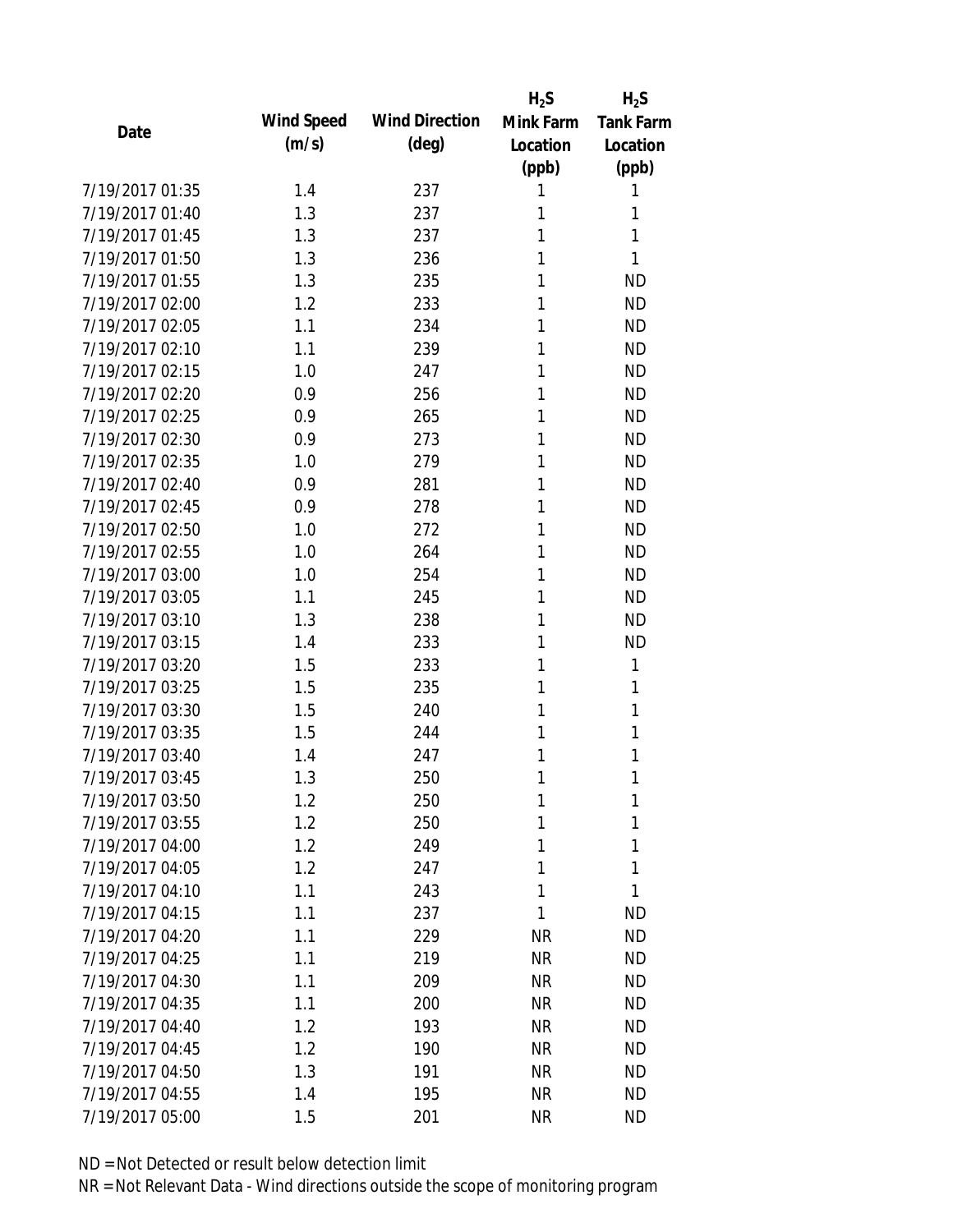|                 |            |                       | $H_2S$    | $H_2S$           |
|-----------------|------------|-----------------------|-----------|------------------|
| Date            | Wind Speed | <b>Wind Direction</b> | Mink Farm | <b>Tank Farm</b> |
|                 | (m/s)      | $(\text{deg})$        | Location  | Location         |
|                 |            |                       | (ppb)     | (ppb)            |
| 7/19/2017 01:35 | 1.4        | 237                   | 1         | 1                |
| 7/19/2017 01:40 | 1.3        | 237                   | 1         | 1                |
| 7/19/2017 01:45 | 1.3        | 237                   | 1         | 1                |
| 7/19/2017 01:50 | 1.3        | 236                   | 1         | 1                |
| 7/19/2017 01:55 | 1.3        | 235                   | 1         | <b>ND</b>        |
| 7/19/2017 02:00 | 1.2        | 233                   | 1         | <b>ND</b>        |
| 7/19/2017 02:05 | 1.1        | 234                   | 1         | <b>ND</b>        |
| 7/19/2017 02:10 | 1.1        | 239                   | 1         | <b>ND</b>        |
| 7/19/2017 02:15 | 1.0        | 247                   | 1         | <b>ND</b>        |
| 7/19/2017 02:20 | 0.9        | 256                   | 1         | <b>ND</b>        |
| 7/19/2017 02:25 | 0.9        | 265                   | 1         | <b>ND</b>        |
| 7/19/2017 02:30 | 0.9        | 273                   | 1         | <b>ND</b>        |
| 7/19/2017 02:35 | 1.0        | 279                   | 1         | <b>ND</b>        |
| 7/19/2017 02:40 | 0.9        | 281                   | 1         | <b>ND</b>        |
| 7/19/2017 02:45 | 0.9        | 278                   | 1         | <b>ND</b>        |
| 7/19/2017 02:50 | 1.0        | 272                   | 1         | <b>ND</b>        |
| 7/19/2017 02:55 | 1.0        | 264                   | 1         | <b>ND</b>        |
| 7/19/2017 03:00 | 1.0        | 254                   | 1         | <b>ND</b>        |
| 7/19/2017 03:05 | 1.1        | 245                   | 1         | <b>ND</b>        |
| 7/19/2017 03:10 | 1.3        | 238                   | 1         | <b>ND</b>        |
| 7/19/2017 03:15 | 1.4        | 233                   | 1         | <b>ND</b>        |
| 7/19/2017 03:20 | 1.5        | 233                   | 1         | 1                |
| 7/19/2017 03:25 | 1.5        | 235                   | 1         | 1                |
| 7/19/2017 03:30 | 1.5        | 240                   | 1         | 1                |
| 7/19/2017 03:35 | 1.5        | 244                   | 1         | 1                |
| 7/19/2017 03:40 | 1.4        | 247                   | 1         | 1                |
| 7/19/2017 03:45 | 1.3        | 250                   | 1         | 1                |
| 7/19/2017 03:50 | 1.2        | 250                   | 1         | 1                |
| 7/19/2017 03:55 | 1.2        | 250                   | 1         | 1                |
| 7/19/2017 04:00 | 1.2        | 249                   | 1         | 1                |
| 7/19/2017 04:05 | 1.2        | 247                   | 1         | 1                |
| 7/19/2017 04:10 | 1.1        | 243                   | 1         | 1                |
| 7/19/2017 04:15 | 1.1        | 237                   | 1         | <b>ND</b>        |
| 7/19/2017 04:20 | 1.1        | 229                   | <b>NR</b> | <b>ND</b>        |
| 7/19/2017 04:25 | 1.1        | 219                   | <b>NR</b> | <b>ND</b>        |
| 7/19/2017 04:30 | 1.1        | 209                   | <b>NR</b> | <b>ND</b>        |
| 7/19/2017 04:35 | 1.1        | 200                   | <b>NR</b> | <b>ND</b>        |
| 7/19/2017 04:40 | 1.2        | 193                   | <b>NR</b> | <b>ND</b>        |
| 7/19/2017 04:45 | 1.2        | 190                   | <b>NR</b> | <b>ND</b>        |
| 7/19/2017 04:50 | 1.3        | 191                   | ΝR        | <b>ND</b>        |
| 7/19/2017 04:55 | 1.4        | 195                   | <b>NR</b> | <b>ND</b>        |
| 7/19/2017 05:00 | 1.5        | 201                   | <b>NR</b> | <b>ND</b>        |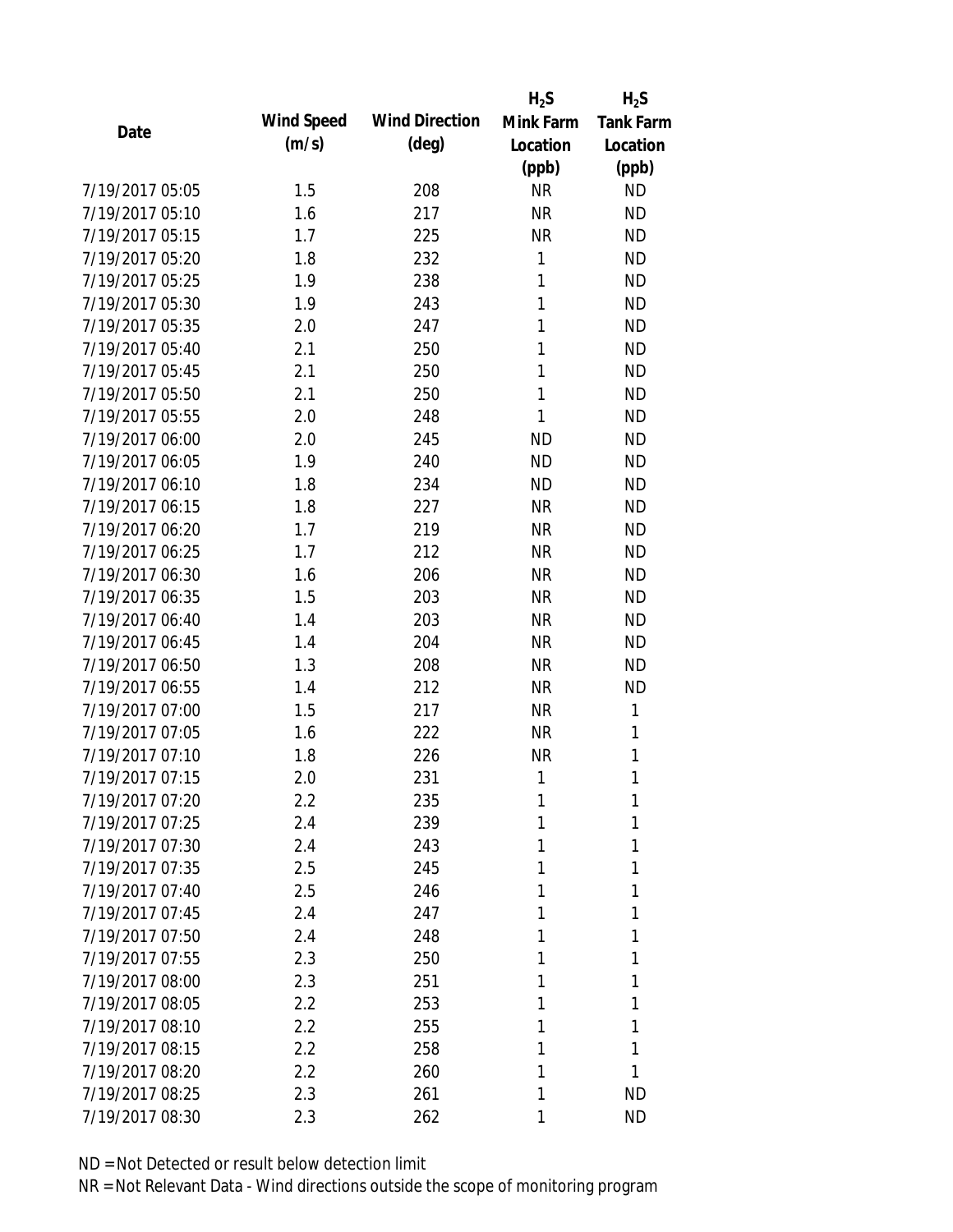|                 |            |                       | $H_2S$    | $H_2S$           |
|-----------------|------------|-----------------------|-----------|------------------|
| Date            | Wind Speed | <b>Wind Direction</b> | Mink Farm | <b>Tank Farm</b> |
|                 | (m/s)      | $(\text{deg})$        | Location  | Location         |
|                 |            |                       | (ppb)     | (ppb)            |
| 7/19/2017 05:05 | 1.5        | 208                   | <b>NR</b> | <b>ND</b>        |
| 7/19/2017 05:10 | 1.6        | 217                   | <b>NR</b> | <b>ND</b>        |
| 7/19/2017 05:15 | 1.7        | 225                   | <b>NR</b> | <b>ND</b>        |
| 7/19/2017 05:20 | 1.8        | 232                   | 1         | <b>ND</b>        |
| 7/19/2017 05:25 | 1.9        | 238                   | 1         | <b>ND</b>        |
| 7/19/2017 05:30 | 1.9        | 243                   | 1         | <b>ND</b>        |
| 7/19/2017 05:35 | 2.0        | 247                   | 1         | <b>ND</b>        |
| 7/19/2017 05:40 | 2.1        | 250                   | 1         | <b>ND</b>        |
| 7/19/2017 05:45 | 2.1        | 250                   | 1         | <b>ND</b>        |
| 7/19/2017 05:50 | 2.1        | 250                   | 1         | <b>ND</b>        |
| 7/19/2017 05:55 | 2.0        | 248                   | 1         | <b>ND</b>        |
| 7/19/2017 06:00 | 2.0        | 245                   | <b>ND</b> | <b>ND</b>        |
| 7/19/2017 06:05 | 1.9        | 240                   | <b>ND</b> | <b>ND</b>        |
| 7/19/2017 06:10 | 1.8        | 234                   | <b>ND</b> | <b>ND</b>        |
| 7/19/2017 06:15 | 1.8        | 227                   | <b>NR</b> | <b>ND</b>        |
| 7/19/2017 06:20 | 1.7        | 219                   | <b>NR</b> | <b>ND</b>        |
| 7/19/2017 06:25 | 1.7        | 212                   | <b>NR</b> | <b>ND</b>        |
| 7/19/2017 06:30 | 1.6        | 206                   | <b>NR</b> | <b>ND</b>        |
| 7/19/2017 06:35 | 1.5        | 203                   | <b>NR</b> | <b>ND</b>        |
| 7/19/2017 06:40 | 1.4        | 203                   | <b>NR</b> | <b>ND</b>        |
| 7/19/2017 06:45 | 1.4        | 204                   | <b>NR</b> | <b>ND</b>        |
| 7/19/2017 06:50 | 1.3        | 208                   | <b>NR</b> | <b>ND</b>        |
| 7/19/2017 06:55 | 1.4        | 212                   | <b>NR</b> | <b>ND</b>        |
| 7/19/2017 07:00 | 1.5        | 217                   | <b>NR</b> | 1                |
| 7/19/2017 07:05 | 1.6        | 222                   | <b>NR</b> | 1                |
| 7/19/2017 07:10 | 1.8        | 226                   | <b>NR</b> | 1                |
| 7/19/2017 07:15 | 2.0        | 231                   | 1         | 1                |
| 7/19/2017 07:20 | $2.2\,$    | 235                   | 1         | 1                |
| 7/19/2017 07:25 | 2.4        | 239                   | 1         | 1                |
| 7/19/2017 07:30 | 2.4        | 243                   | 1         | 1                |
| 7/19/2017 07:35 | 2.5        | 245                   | 1         | 1                |
| 7/19/2017 07:40 | 2.5        | 246                   | 1         | 1                |
| 7/19/2017 07:45 | 2.4        | 247                   | 1         | 1                |
| 7/19/2017 07:50 | 2.4        | 248                   | 1         | 1                |
| 7/19/2017 07:55 | 2.3        | 250                   | 1         | 1                |
| 7/19/2017 08:00 | 2.3        | 251                   | 1         | 1                |
| 7/19/2017 08:05 | 2.2        | 253                   | 1         | 1                |
| 7/19/2017 08:10 | 2.2        | 255                   | 1         | 1                |
| 7/19/2017 08:15 | 2.2        | 258                   | 1         | 1                |
| 7/19/2017 08:20 | 2.2        | 260                   | 1         | 1                |
| 7/19/2017 08:25 | 2.3        | 261                   | 1         | <b>ND</b>        |
| 7/19/2017 08:30 | 2.3        | 262                   | 1         | <b>ND</b>        |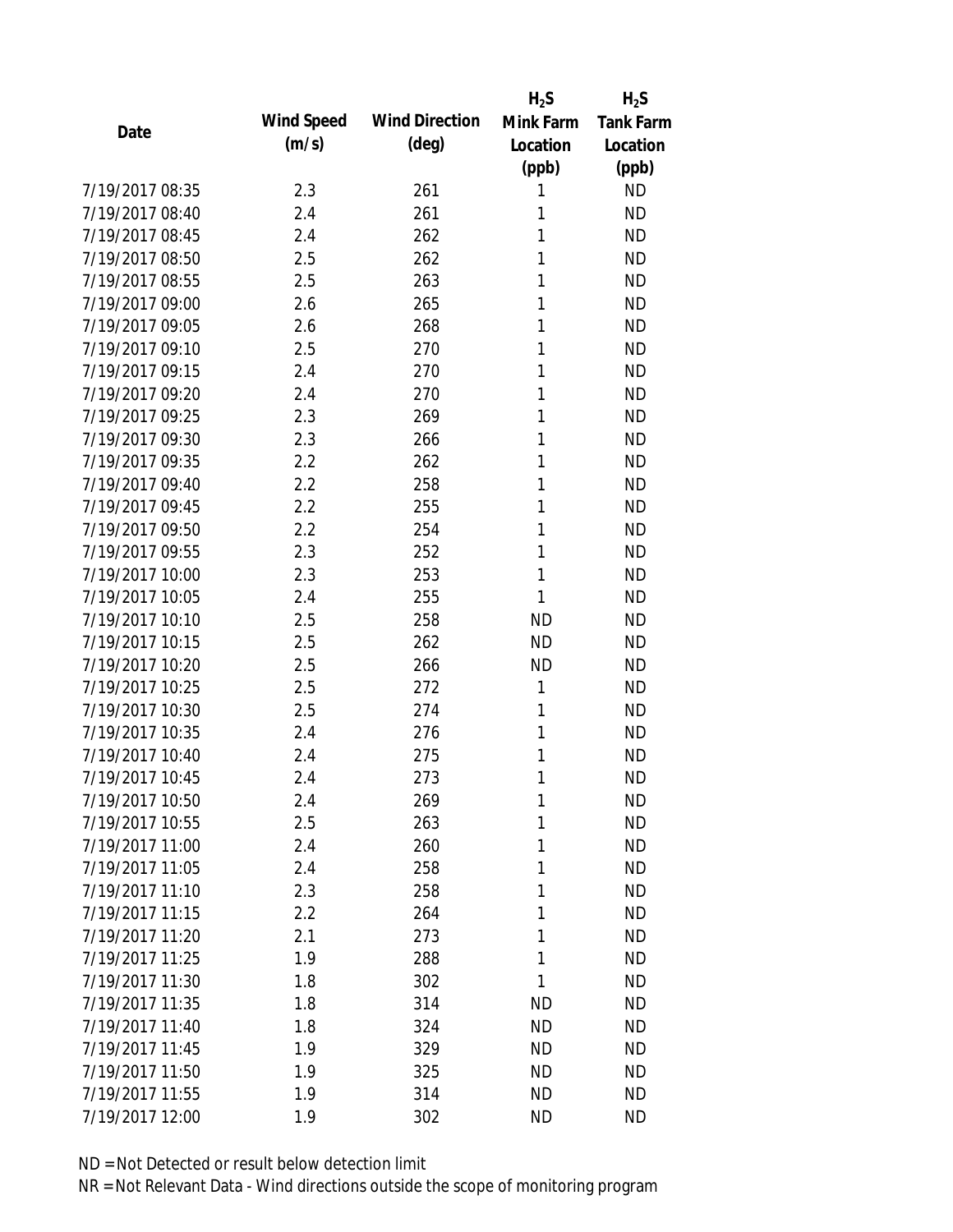|                 |            |                       | $H_2S$    | $H_2S$                 |
|-----------------|------------|-----------------------|-----------|------------------------|
| Date            | Wind Speed | <b>Wind Direction</b> | Mink Farm | <b>Tank Farm</b>       |
|                 | (m/s)      | $(\text{deg})$        | Location  | Location               |
|                 |            |                       | (ppb)     | (ppb)                  |
| 7/19/2017 08:35 | 2.3        | 261                   | 1         | <b>ND</b>              |
| 7/19/2017 08:40 | 2.4        | 261                   | 1         | <b>ND</b>              |
| 7/19/2017 08:45 | 2.4        | 262                   | 1         | <b>ND</b>              |
| 7/19/2017 08:50 | 2.5        | 262                   | 1         | <b>ND</b>              |
| 7/19/2017 08:55 | 2.5        | 263                   | 1         | <b>ND</b>              |
| 7/19/2017 09:00 | 2.6        | 265                   | 1         | <b>ND</b>              |
| 7/19/2017 09:05 | 2.6        | 268                   | 1         | <b>ND</b>              |
| 7/19/2017 09:10 | 2.5        | 270                   | 1         | <b>ND</b>              |
| 7/19/2017 09:15 | 2.4        | 270                   | 1         | <b>ND</b>              |
| 7/19/2017 09:20 | 2.4        | 270                   | 1         | <b>ND</b>              |
| 7/19/2017 09:25 | 2.3        | 269                   | 1         | <b>ND</b>              |
| 7/19/2017 09:30 | 2.3        | 266                   | 1         | <b>ND</b>              |
| 7/19/2017 09:35 | 2.2        | 262                   | 1         | <b>ND</b>              |
| 7/19/2017 09:40 | 2.2        | 258                   | 1         | <b>ND</b>              |
| 7/19/2017 09:45 | 2.2        | 255                   | 1         | <b>ND</b>              |
| 7/19/2017 09:50 | 2.2        | 254                   | 1         | <b>ND</b>              |
| 7/19/2017 09:55 | 2.3        | 252                   | 1         | <b>ND</b>              |
| 7/19/2017 10:00 | 2.3        | 253                   | 1         | <b>ND</b>              |
| 7/19/2017 10:05 | 2.4        | 255                   | 1         | <b>ND</b>              |
| 7/19/2017 10:10 | 2.5        | 258                   | <b>ND</b> | <b>ND</b>              |
| 7/19/2017 10:15 | 2.5        | 262                   | <b>ND</b> | <b>ND</b>              |
| 7/19/2017 10:20 | 2.5        | 266                   | <b>ND</b> | <b>ND</b>              |
| 7/19/2017 10:25 | 2.5        | 272                   | 1         | <b>ND</b>              |
| 7/19/2017 10:30 | 2.5        | 274                   | 1         | <b>ND</b>              |
| 7/19/2017 10:35 | 2.4        | 276                   | 1         | <b>ND</b>              |
| 7/19/2017 10:40 | 2.4        | 275                   | 1         | <b>ND</b>              |
| 7/19/2017 10:45 | 2.4        | 273                   | 1         | <b>ND</b>              |
| 7/19/2017 10:50 | 2.4        | 269                   | 1         | <b>ND</b>              |
| 7/19/2017 10:55 | 2.5        | 263                   | 1         | <b>ND</b>              |
| 7/19/2017 11:00 | 2.4        | 260                   | 1         | <b>ND</b>              |
| 7/19/2017 11:05 | 2.4        | 258                   | 1         | <b>ND</b>              |
| 7/19/2017 11:10 | 2.3        | 258                   | 1         | <b>ND</b>              |
| 7/19/2017 11:15 | 2.2        | 264                   | 1         | <b>ND</b>              |
| 7/19/2017 11:20 | 2.1        | 273                   | 1         | <b>ND</b>              |
| 7/19/2017 11:25 | 1.9        | 288                   | 1         | <b>ND</b>              |
| 7/19/2017 11:30 | 1.8        | 302                   | 1         | <b>ND</b>              |
| 7/19/2017 11:35 | 1.8        | 314                   | <b>ND</b> | <b>ND</b>              |
| 7/19/2017 11:40 |            |                       |           |                        |
| 7/19/2017 11:45 | 1.8        | 324                   | <b>ND</b> | <b>ND</b>              |
| 7/19/2017 11:50 | 1.9        | 329                   | <b>ND</b> | <b>ND</b><br><b>ND</b> |
|                 | 1.9        | 325                   | ND        |                        |
| 7/19/2017 11:55 | 1.9        | 314                   | <b>ND</b> | <b>ND</b>              |
| 7/19/2017 12:00 | 1.9        | 302                   | <b>ND</b> | <b>ND</b>              |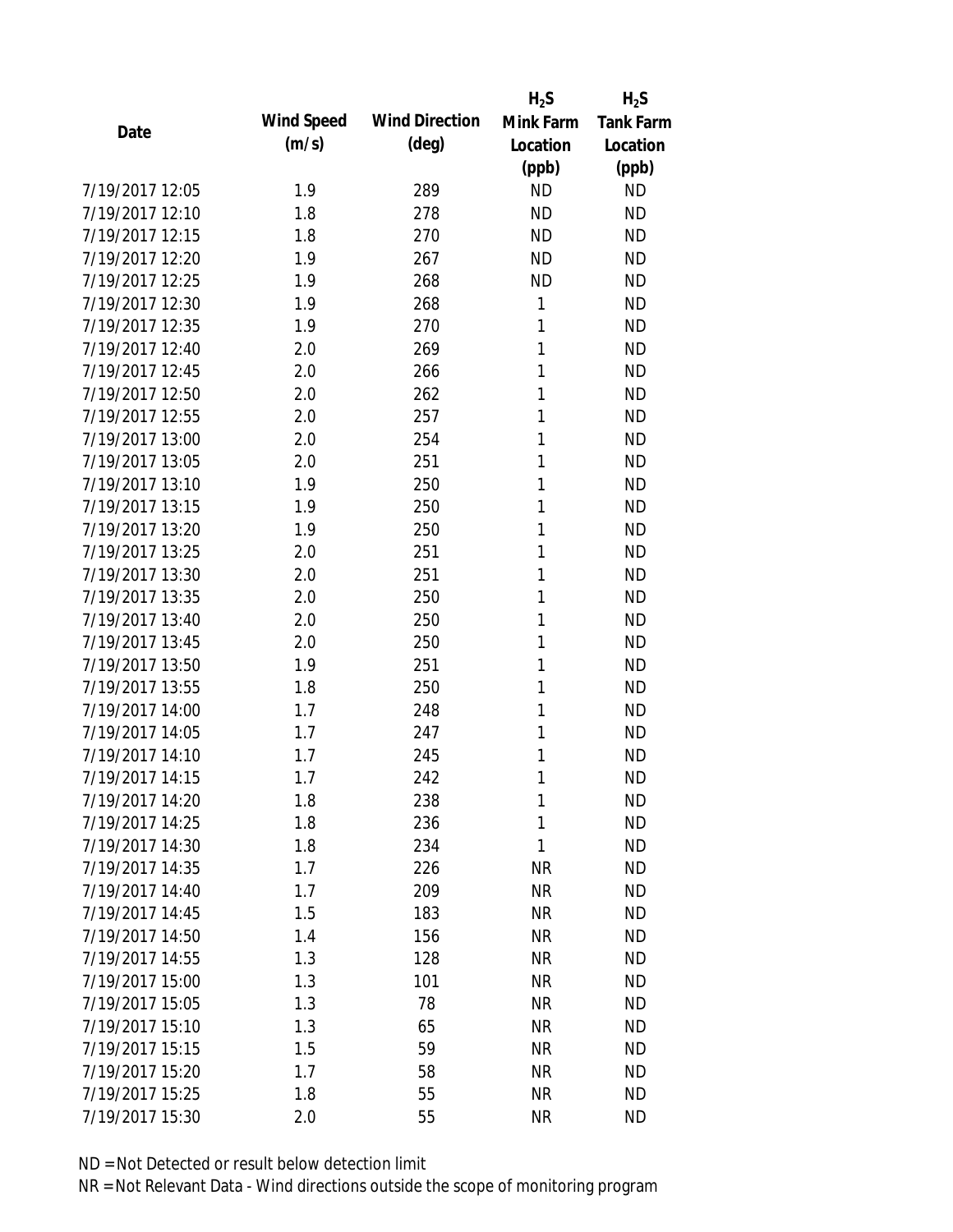|                 |            |                       | $H_2S$    | $H_2S$           |
|-----------------|------------|-----------------------|-----------|------------------|
| Date            | Wind Speed | <b>Wind Direction</b> | Mink Farm | <b>Tank Farm</b> |
|                 | (m/s)      | $(\text{deg})$        | Location  | Location         |
|                 |            |                       | (ppb)     | (ppb)            |
| 7/19/2017 12:05 | 1.9        | 289                   | <b>ND</b> | <b>ND</b>        |
| 7/19/2017 12:10 | 1.8        | 278                   | <b>ND</b> | <b>ND</b>        |
| 7/19/2017 12:15 | 1.8        | 270                   | <b>ND</b> | <b>ND</b>        |
| 7/19/2017 12:20 | 1.9        | 267                   | <b>ND</b> | <b>ND</b>        |
| 7/19/2017 12:25 | 1.9        | 268                   | <b>ND</b> | <b>ND</b>        |
| 7/19/2017 12:30 | 1.9        | 268                   | 1         | <b>ND</b>        |
| 7/19/2017 12:35 | 1.9        | 270                   | 1         | <b>ND</b>        |
| 7/19/2017 12:40 | 2.0        | 269                   | 1         | <b>ND</b>        |
| 7/19/2017 12:45 | 2.0        | 266                   | 1         | <b>ND</b>        |
| 7/19/2017 12:50 | 2.0        | 262                   | 1         | <b>ND</b>        |
| 7/19/2017 12:55 | 2.0        | 257                   | 1         | <b>ND</b>        |
| 7/19/2017 13:00 | 2.0        | 254                   | 1         | <b>ND</b>        |
| 7/19/2017 13:05 | 2.0        | 251                   | 1         | <b>ND</b>        |
| 7/19/2017 13:10 | 1.9        | 250                   | 1         | <b>ND</b>        |
| 7/19/2017 13:15 | 1.9        | 250                   | 1         | <b>ND</b>        |
| 7/19/2017 13:20 | 1.9        | 250                   | 1         | <b>ND</b>        |
| 7/19/2017 13:25 | 2.0        | 251                   | 1         | <b>ND</b>        |
| 7/19/2017 13:30 | 2.0        | 251                   | 1         | <b>ND</b>        |
| 7/19/2017 13:35 | 2.0        | 250                   | 1         | <b>ND</b>        |
| 7/19/2017 13:40 | 2.0        | 250                   | 1         | <b>ND</b>        |
| 7/19/2017 13:45 | 2.0        | 250                   | 1         | <b>ND</b>        |
| 7/19/2017 13:50 | 1.9        | 251                   | 1         | <b>ND</b>        |
| 7/19/2017 13:55 | 1.8        | 250                   | 1         | <b>ND</b>        |
| 7/19/2017 14:00 | 1.7        | 248                   | 1         | <b>ND</b>        |
| 7/19/2017 14:05 | 1.7        | 247                   | 1         | <b>ND</b>        |
| 7/19/2017 14:10 | 1.7        | 245                   | 1         | <b>ND</b>        |
| 7/19/2017 14:15 | 1.7        | 242                   | 1         | <b>ND</b>        |
| 7/19/2017 14:20 | 1.8        | 238                   | 1         | <b>ND</b>        |
| 7/19/2017 14:25 | 1.8        | 236                   | 1         | <b>ND</b>        |
| 7/19/2017 14:30 | 1.8        | 234                   | 1         | <b>ND</b>        |
| 7/19/2017 14:35 | 1.7        | 226                   | NR        | <b>ND</b>        |
| 7/19/2017 14:40 | 1.7        | 209                   | <b>NR</b> | <b>ND</b>        |
| 7/19/2017 14:45 | 1.5        | 183                   | <b>NR</b> | <b>ND</b>        |
| 7/19/2017 14:50 | 1.4        | 156                   | <b>NR</b> | <b>ND</b>        |
| 7/19/2017 14:55 | 1.3        | 128                   | <b>NR</b> | <b>ND</b>        |
| 7/19/2017 15:00 | 1.3        | 101                   | <b>NR</b> | <b>ND</b>        |
| 7/19/2017 15:05 | 1.3        | 78                    | <b>NR</b> | <b>ND</b>        |
| 7/19/2017 15:10 | 1.3        | 65                    | <b>NR</b> | <b>ND</b>        |
| 7/19/2017 15:15 | 1.5        | 59                    | <b>NR</b> | <b>ND</b>        |
| 7/19/2017 15:20 | 1.7        | 58                    | <b>NR</b> | <b>ND</b>        |
| 7/19/2017 15:25 | 1.8        | 55                    | <b>NR</b> | <b>ND</b>        |
| 7/19/2017 15:30 | 2.0        | 55                    | <b>NR</b> | <b>ND</b>        |
|                 |            |                       |           |                  |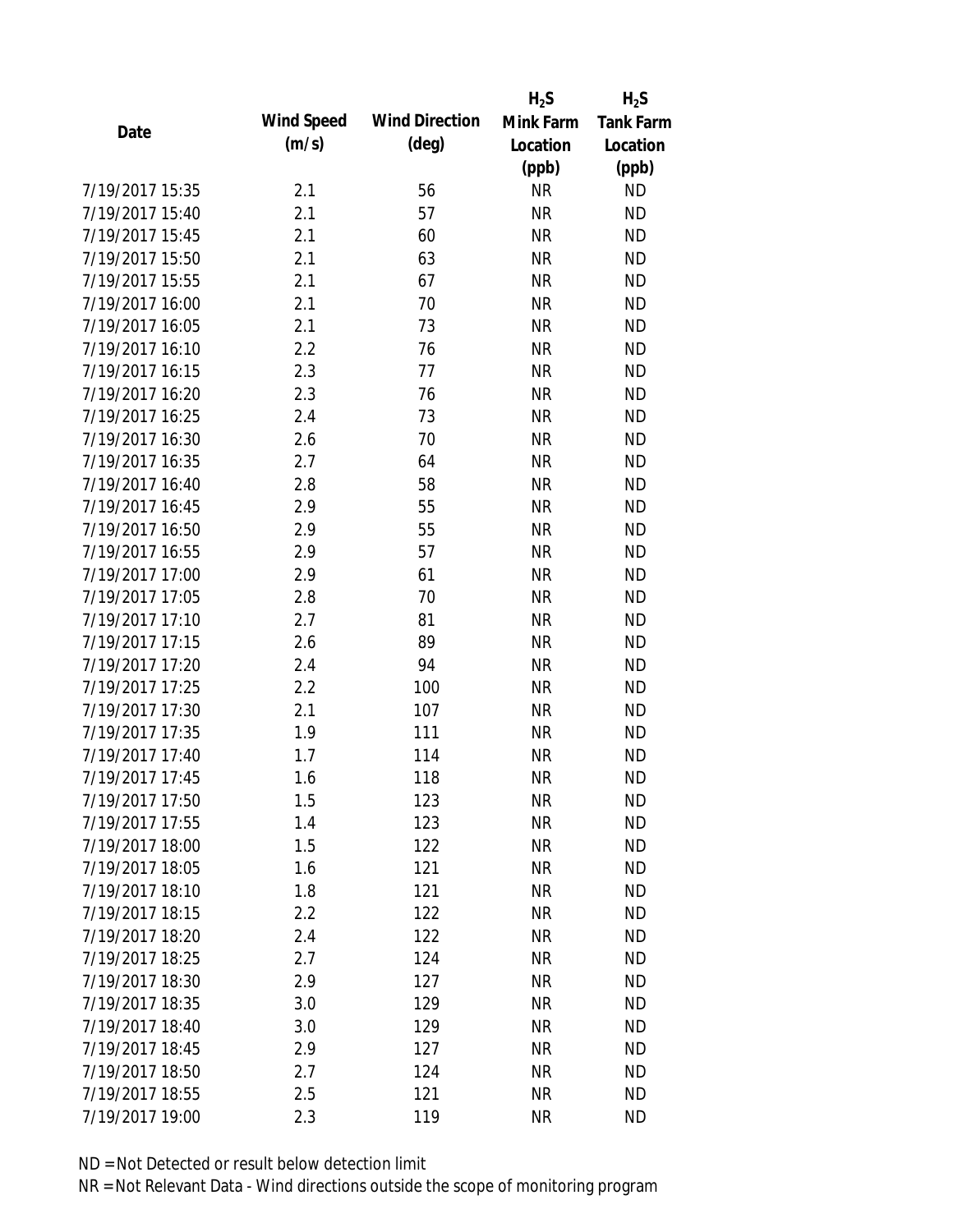|                 |            |                       | $H_2S$    | $H_2S$           |
|-----------------|------------|-----------------------|-----------|------------------|
| Date            | Wind Speed | <b>Wind Direction</b> | Mink Farm | <b>Tank Farm</b> |
|                 | (m/s)      | $(\text{deg})$        | Location  | Location         |
|                 |            |                       | (ppb)     | (ppb)            |
| 7/19/2017 15:35 | 2.1        | 56                    | <b>NR</b> | <b>ND</b>        |
| 7/19/2017 15:40 | 2.1        | 57                    | <b>NR</b> | <b>ND</b>        |
| 7/19/2017 15:45 | 2.1        | 60                    | <b>NR</b> | <b>ND</b>        |
| 7/19/2017 15:50 | 2.1        | 63                    | <b>NR</b> | <b>ND</b>        |
| 7/19/2017 15:55 | 2.1        | 67                    | <b>NR</b> | <b>ND</b>        |
| 7/19/2017 16:00 | 2.1        | 70                    | <b>NR</b> | <b>ND</b>        |
| 7/19/2017 16:05 | 2.1        | 73                    | <b>NR</b> | <b>ND</b>        |
| 7/19/2017 16:10 | 2.2        | 76                    | <b>NR</b> | <b>ND</b>        |
| 7/19/2017 16:15 | 2.3        | 77                    | <b>NR</b> | <b>ND</b>        |
| 7/19/2017 16:20 | 2.3        | 76                    | <b>NR</b> | <b>ND</b>        |
| 7/19/2017 16:25 | 2.4        | 73                    | <b>NR</b> | <b>ND</b>        |
| 7/19/2017 16:30 | 2.6        | 70                    | <b>NR</b> | <b>ND</b>        |
| 7/19/2017 16:35 | 2.7        | 64                    | <b>NR</b> | <b>ND</b>        |
| 7/19/2017 16:40 | 2.8        | 58                    | <b>NR</b> | <b>ND</b>        |
| 7/19/2017 16:45 | 2.9        | 55                    | <b>NR</b> | <b>ND</b>        |
| 7/19/2017 16:50 | 2.9        | 55                    | <b>NR</b> | <b>ND</b>        |
| 7/19/2017 16:55 | 2.9        | 57                    | <b>NR</b> | <b>ND</b>        |
| 7/19/2017 17:00 | 2.9        | 61                    | <b>NR</b> | <b>ND</b>        |
| 7/19/2017 17:05 | 2.8        | 70                    | <b>NR</b> | <b>ND</b>        |
| 7/19/2017 17:10 | 2.7        | 81                    | <b>NR</b> | <b>ND</b>        |
| 7/19/2017 17:15 | 2.6        | 89                    | <b>NR</b> | <b>ND</b>        |
| 7/19/2017 17:20 | 2.4        | 94                    | <b>NR</b> | <b>ND</b>        |
| 7/19/2017 17:25 | 2.2        | 100                   | <b>NR</b> | <b>ND</b>        |
| 7/19/2017 17:30 | 2.1        | 107                   | <b>NR</b> | <b>ND</b>        |
| 7/19/2017 17:35 | 1.9        | 111                   | <b>NR</b> | <b>ND</b>        |
| 7/19/2017 17:40 | 1.7        | 114                   | <b>NR</b> | <b>ND</b>        |
| 7/19/2017 17:45 | 1.6        | 118                   | <b>NR</b> | <b>ND</b>        |
| 7/19/2017 17:50 | 1.5        | 123                   | <b>NR</b> | <b>ND</b>        |
| 7/19/2017 17:55 | 1.4        | 123                   | <b>NR</b> | <b>ND</b>        |
| 7/19/2017 18:00 | 1.5        | 122                   | <b>NR</b> | <b>ND</b>        |
| 7/19/2017 18:05 | 1.6        | 121                   | <b>NR</b> | <b>ND</b>        |
| 7/19/2017 18:10 | 1.8        | 121                   | <b>NR</b> | <b>ND</b>        |
| 7/19/2017 18:15 | 2.2        | 122                   | <b>NR</b> | <b>ND</b>        |
| 7/19/2017 18:20 | 2.4        | 122                   | <b>NR</b> | <b>ND</b>        |
| 7/19/2017 18:25 | 2.7        | 124                   | <b>NR</b> | <b>ND</b>        |
| 7/19/2017 18:30 | 2.9        | 127                   | <b>NR</b> | <b>ND</b>        |
| 7/19/2017 18:35 | 3.0        | 129                   | <b>NR</b> | <b>ND</b>        |
| 7/19/2017 18:40 | 3.0        | 129                   | <b>NR</b> | <b>ND</b>        |
| 7/19/2017 18:45 | 2.9        | 127                   | <b>NR</b> | <b>ND</b>        |
| 7/19/2017 18:50 | 2.7        | 124                   | <b>NR</b> | <b>ND</b>        |
| 7/19/2017 18:55 | 2.5        | 121                   | <b>NR</b> | <b>ND</b>        |
| 7/19/2017 19:00 | 2.3        | 119                   | <b>NR</b> | <b>ND</b>        |
|                 |            |                       |           |                  |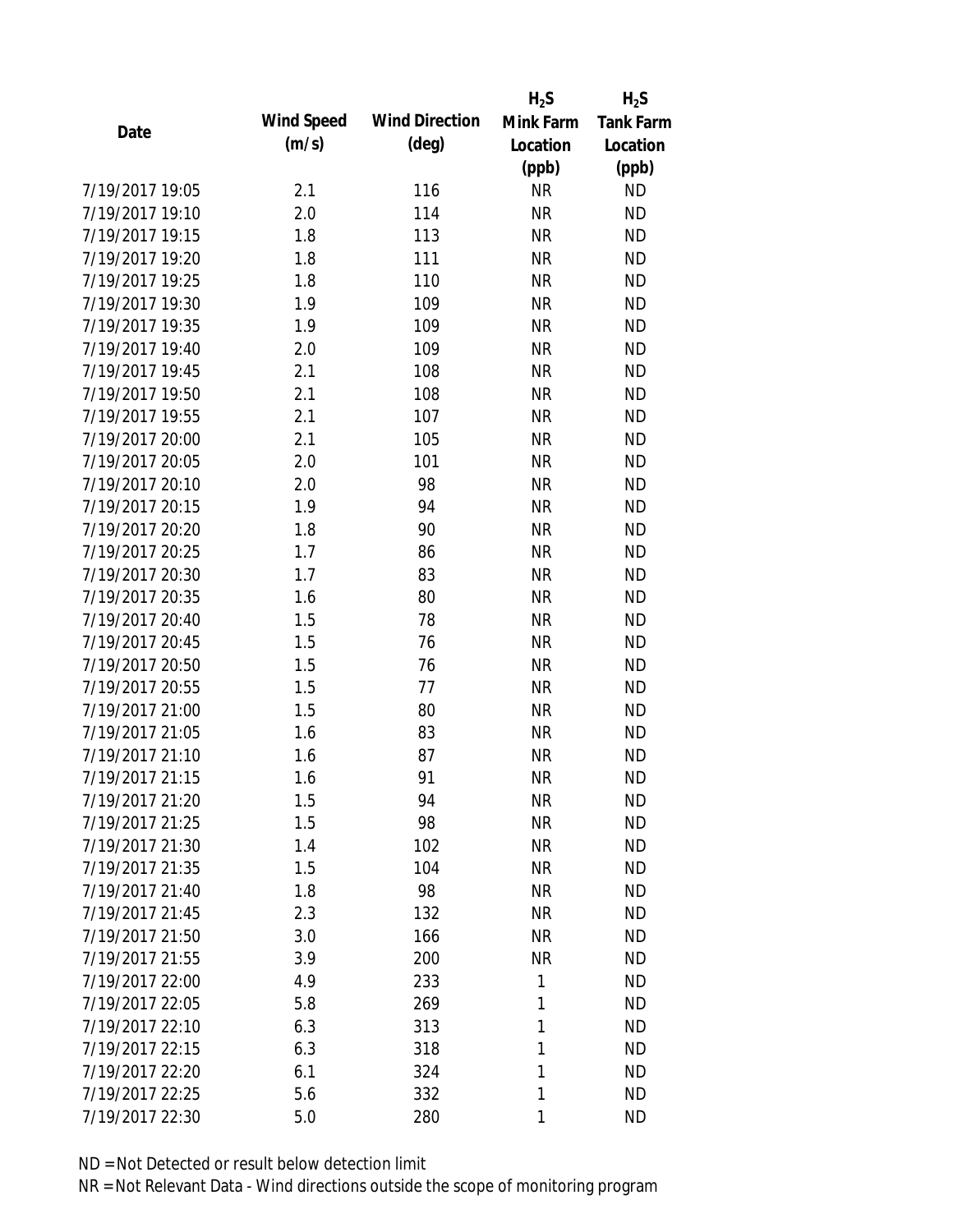|                 |            |                       | $H_2S$    | $H_2S$           |
|-----------------|------------|-----------------------|-----------|------------------|
| Date            | Wind Speed | <b>Wind Direction</b> | Mink Farm | <b>Tank Farm</b> |
|                 | (m/s)      | $(\text{deg})$        | Location  | Location         |
|                 |            |                       | (ppb)     | (ppb)            |
| 7/19/2017 19:05 | 2.1        | 116                   | <b>NR</b> | <b>ND</b>        |
| 7/19/2017 19:10 | 2.0        | 114                   | <b>NR</b> | <b>ND</b>        |
| 7/19/2017 19:15 | 1.8        | 113                   | <b>NR</b> | <b>ND</b>        |
| 7/19/2017 19:20 | 1.8        | 111                   | <b>NR</b> | <b>ND</b>        |
| 7/19/2017 19:25 | 1.8        | 110                   | <b>NR</b> | <b>ND</b>        |
| 7/19/2017 19:30 | 1.9        | 109                   | <b>NR</b> | <b>ND</b>        |
| 7/19/2017 19:35 | 1.9        | 109                   | <b>NR</b> | <b>ND</b>        |
| 7/19/2017 19:40 | 2.0        | 109                   | <b>NR</b> | <b>ND</b>        |
| 7/19/2017 19:45 | 2.1        | 108                   | <b>NR</b> | <b>ND</b>        |
| 7/19/2017 19:50 | 2.1        | 108                   | <b>NR</b> | <b>ND</b>        |
| 7/19/2017 19:55 | 2.1        | 107                   | <b>NR</b> | <b>ND</b>        |
| 7/19/2017 20:00 | 2.1        | 105                   | <b>NR</b> | <b>ND</b>        |
| 7/19/2017 20:05 | 2.0        | 101                   | <b>NR</b> | <b>ND</b>        |
| 7/19/2017 20:10 | 2.0        | 98                    | <b>NR</b> | <b>ND</b>        |
| 7/19/2017 20:15 | 1.9        | 94                    | <b>NR</b> | <b>ND</b>        |
| 7/19/2017 20:20 | 1.8        | 90                    | <b>NR</b> | <b>ND</b>        |
| 7/19/2017 20:25 | 1.7        | 86                    | <b>NR</b> | <b>ND</b>        |
| 7/19/2017 20:30 | 1.7        | 83                    | <b>NR</b> | <b>ND</b>        |
| 7/19/2017 20:35 | 1.6        | 80                    | <b>NR</b> | <b>ND</b>        |
| 7/19/2017 20:40 | 1.5        | 78                    | <b>NR</b> | <b>ND</b>        |
| 7/19/2017 20:45 | 1.5        | 76                    | <b>NR</b> | <b>ND</b>        |
| 7/19/2017 20:50 | 1.5        | 76                    | <b>NR</b> | <b>ND</b>        |
| 7/19/2017 20:55 | 1.5        | 77                    | <b>NR</b> | <b>ND</b>        |
| 7/19/2017 21:00 | 1.5        | 80                    | <b>NR</b> | <b>ND</b>        |
| 7/19/2017 21:05 | 1.6        | 83                    | <b>NR</b> | <b>ND</b>        |
| 7/19/2017 21:10 | 1.6        | 87                    | <b>NR</b> | <b>ND</b>        |
| 7/19/2017 21:15 | 1.6        | 91                    | <b>NR</b> | <b>ND</b>        |
| 7/19/2017 21:20 | 1.5        | 94                    | <b>NR</b> | <b>ND</b>        |
| 7/19/2017 21:25 | 1.5        | 98                    | <b>NR</b> | <b>ND</b>        |
| 7/19/2017 21:30 | 1.4        | 102                   | <b>NR</b> | <b>ND</b>        |
| 7/19/2017 21:35 | 1.5        | 104                   | <b>NR</b> | <b>ND</b>        |
| 7/19/2017 21:40 | 1.8        | 98                    | <b>NR</b> | <b>ND</b>        |
| 7/19/2017 21:45 | 2.3        | 132                   | <b>NR</b> | <b>ND</b>        |
| 7/19/2017 21:50 | 3.0        | 166                   | <b>NR</b> | <b>ND</b>        |
| 7/19/2017 21:55 | 3.9        | 200                   | <b>NR</b> | <b>ND</b>        |
| 7/19/2017 22:00 | 4.9        | 233                   | 1         | <b>ND</b>        |
| 7/19/2017 22:05 | 5.8        | 269                   | 1         | <b>ND</b>        |
| 7/19/2017 22:10 | 6.3        | 313                   | 1         | <b>ND</b>        |
| 7/19/2017 22:15 | 6.3        | 318                   | 1         | <b>ND</b>        |
| 7/19/2017 22:20 | 6.1        | 324                   | 1         | <b>ND</b>        |
| 7/19/2017 22:25 | 5.6        | 332                   | 1         | <b>ND</b>        |
| 7/19/2017 22:30 | 5.0        | 280                   | 1         | <b>ND</b>        |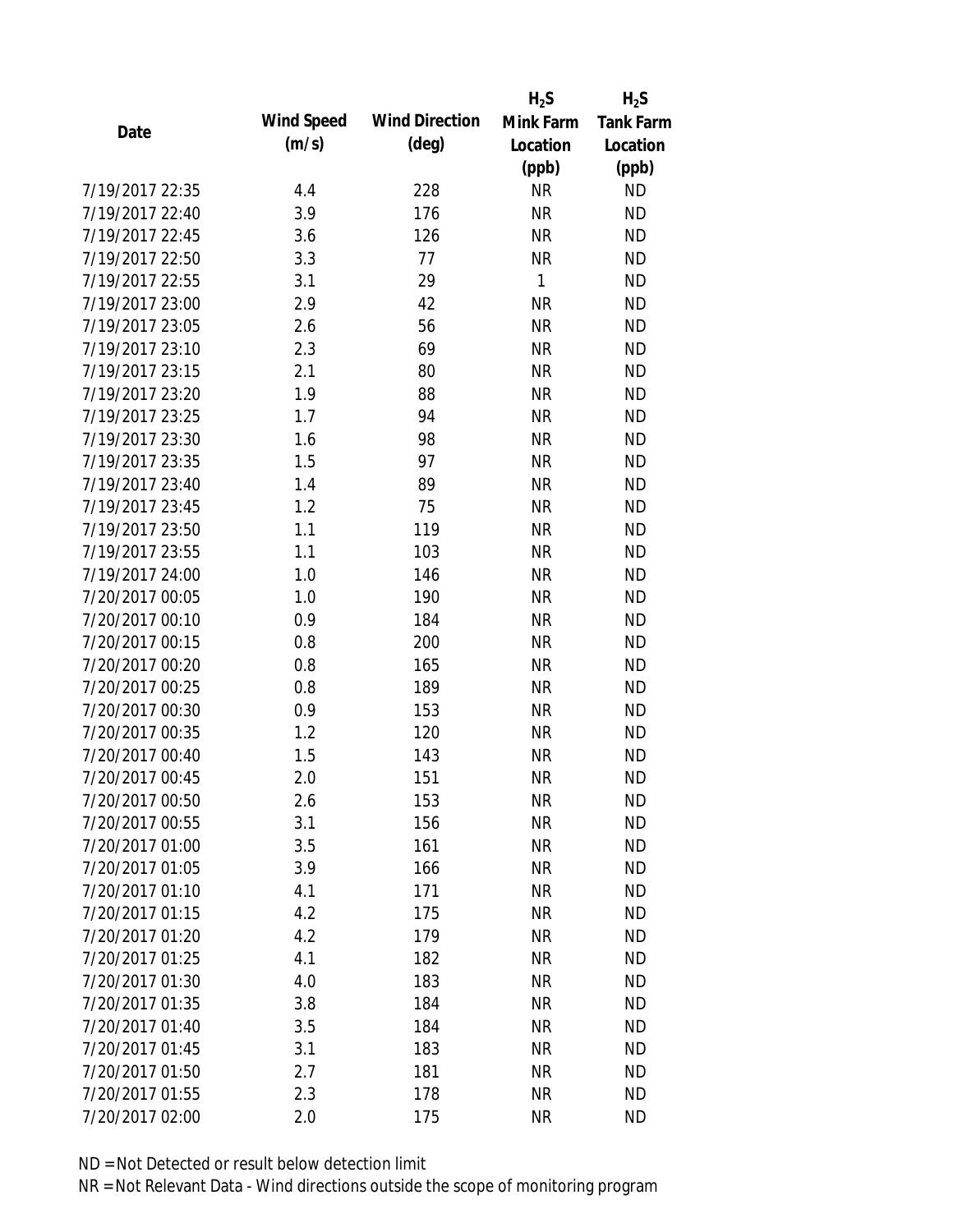|                 |            |                       | $H_2S$    | $H_2S$           |
|-----------------|------------|-----------------------|-----------|------------------|
| Date            | Wind Speed | <b>Wind Direction</b> | Mink Farm | <b>Tank Farm</b> |
|                 | (m/s)      | $(\text{deg})$        | Location  | Location         |
|                 |            |                       | (ppb)     | (ppb)            |
| 7/19/2017 22:35 | 4.4        | 228                   | <b>NR</b> | <b>ND</b>        |
| 7/19/2017 22:40 | 3.9        | 176                   | <b>NR</b> | <b>ND</b>        |
| 7/19/2017 22:45 | 3.6        | 126                   | <b>NR</b> | <b>ND</b>        |
| 7/19/2017 22:50 | 3.3        | 77                    | <b>NR</b> | <b>ND</b>        |
| 7/19/2017 22:55 | 3.1        | 29                    | 1         | <b>ND</b>        |
| 7/19/2017 23:00 | 2.9        | 42                    | <b>NR</b> | <b>ND</b>        |
| 7/19/2017 23:05 | 2.6        | 56                    | <b>NR</b> | <b>ND</b>        |
| 7/19/2017 23:10 | 2.3        | 69                    | <b>NR</b> | <b>ND</b>        |
| 7/19/2017 23:15 | 2.1        | 80                    | <b>NR</b> | <b>ND</b>        |
| 7/19/2017 23:20 | 1.9        | 88                    | <b>NR</b> | <b>ND</b>        |
| 7/19/2017 23:25 | 1.7        | 94                    | <b>NR</b> | <b>ND</b>        |
| 7/19/2017 23:30 | 1.6        | 98                    | <b>NR</b> | <b>ND</b>        |
| 7/19/2017 23:35 | 1.5        | 97                    | <b>NR</b> | <b>ND</b>        |
| 7/19/2017 23:40 | 1.4        | 89                    | <b>NR</b> | <b>ND</b>        |
| 7/19/2017 23:45 | 1.2        | 75                    | <b>NR</b> | <b>ND</b>        |
| 7/19/2017 23:50 | 1.1        | 119                   | <b>NR</b> | <b>ND</b>        |
| 7/19/2017 23:55 | 1.1        | 103                   | <b>NR</b> | <b>ND</b>        |
| 7/19/2017 24:00 | 1.0        | 146                   | <b>NR</b> | <b>ND</b>        |
| 7/20/2017 00:05 | 1.0        | 190                   | <b>NR</b> | <b>ND</b>        |
| 7/20/2017 00:10 | 0.9        | 184                   | <b>NR</b> | <b>ND</b>        |
| 7/20/2017 00:15 | 0.8        | 200                   | <b>NR</b> | <b>ND</b>        |
| 7/20/2017 00:20 | 0.8        | 165                   | <b>NR</b> | <b>ND</b>        |
| 7/20/2017 00:25 | 0.8        | 189                   | <b>NR</b> | <b>ND</b>        |
| 7/20/2017 00:30 | 0.9        | 153                   | <b>NR</b> | <b>ND</b>        |
| 7/20/2017 00:35 | 1.2        | 120                   | <b>NR</b> | <b>ND</b>        |
| 7/20/2017 00:40 | 1.5        | 143                   | <b>NR</b> | <b>ND</b>        |
| 7/20/2017 00:45 | 2.0        | 151                   | <b>NR</b> | <b>ND</b>        |
| 7/20/2017 00:50 | 2.6        | 153                   | <b>NR</b> | <b>ND</b>        |
| 7/20/2017 00:55 | 3.1        | 156                   | <b>NR</b> | <b>ND</b>        |
| 7/20/2017 01:00 | 3.5        | 161                   | <b>NR</b> | <b>ND</b>        |
| 7/20/2017 01:05 | 3.9        | 166                   | <b>NR</b> | <b>ND</b>        |
| 7/20/2017 01:10 | 4.1        | 171                   | <b>NR</b> | <b>ND</b>        |
| 7/20/2017 01:15 | 4.2        | 175                   | <b>NR</b> | <b>ND</b>        |
| 7/20/2017 01:20 | 4.2        | 179                   | <b>NR</b> | <b>ND</b>        |
| 7/20/2017 01:25 | 4.1        | 182                   | <b>NR</b> | <b>ND</b>        |
| 7/20/2017 01:30 | 4.0        | 183                   | <b>NR</b> | <b>ND</b>        |
| 7/20/2017 01:35 | 3.8        | 184                   | <b>NR</b> | <b>ND</b>        |
| 7/20/2017 01:40 | 3.5        | 184                   | <b>NR</b> | <b>ND</b>        |
| 7/20/2017 01:45 | 3.1        | 183                   | <b>NR</b> | <b>ND</b>        |
| 7/20/2017 01:50 | 2.7        | 181                   | <b>NR</b> | <b>ND</b>        |
| 7/20/2017 01:55 | 2.3        | 178                   | <b>NR</b> | <b>ND</b>        |
| 7/20/2017 02:00 | 2.0        | 175                   | <b>NR</b> | <b>ND</b>        |
|                 |            |                       |           |                  |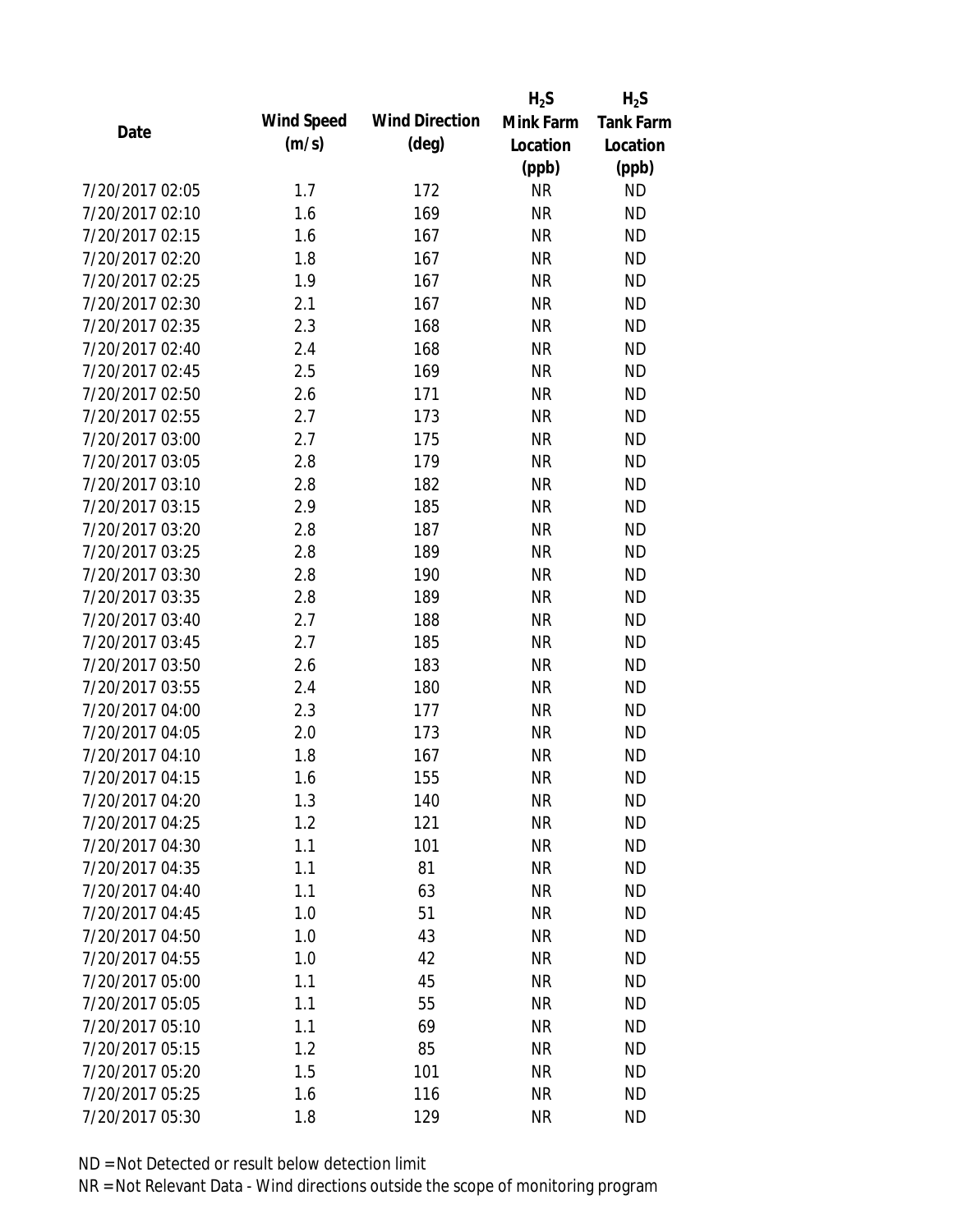|                 |            |                       | $H_2S$    | $H_2S$           |
|-----------------|------------|-----------------------|-----------|------------------|
| Date            | Wind Speed | <b>Wind Direction</b> | Mink Farm | <b>Tank Farm</b> |
|                 | (m/s)      | $(\text{deg})$        | Location  | Location         |
|                 |            |                       | (ppb)     | (ppb)            |
| 7/20/2017 02:05 | 1.7        | 172                   | <b>NR</b> | <b>ND</b>        |
| 7/20/2017 02:10 | 1.6        | 169                   | <b>NR</b> | <b>ND</b>        |
| 7/20/2017 02:15 | 1.6        | 167                   | <b>NR</b> | <b>ND</b>        |
| 7/20/2017 02:20 | 1.8        | 167                   | <b>NR</b> | <b>ND</b>        |
| 7/20/2017 02:25 | 1.9        | 167                   | <b>NR</b> | <b>ND</b>        |
| 7/20/2017 02:30 | 2.1        | 167                   | <b>NR</b> | <b>ND</b>        |
| 7/20/2017 02:35 | 2.3        | 168                   | <b>NR</b> | <b>ND</b>        |
| 7/20/2017 02:40 | 2.4        | 168                   | <b>NR</b> | <b>ND</b>        |
| 7/20/2017 02:45 | 2.5        | 169                   | <b>NR</b> | <b>ND</b>        |
| 7/20/2017 02:50 | 2.6        | 171                   | <b>NR</b> | <b>ND</b>        |
| 7/20/2017 02:55 | 2.7        | 173                   | <b>NR</b> | <b>ND</b>        |
| 7/20/2017 03:00 | 2.7        | 175                   | <b>NR</b> | <b>ND</b>        |
| 7/20/2017 03:05 | 2.8        | 179                   | <b>NR</b> | <b>ND</b>        |
| 7/20/2017 03:10 | 2.8        | 182                   | <b>NR</b> | <b>ND</b>        |
| 7/20/2017 03:15 | 2.9        | 185                   | <b>NR</b> | <b>ND</b>        |
| 7/20/2017 03:20 | 2.8        | 187                   | <b>NR</b> | <b>ND</b>        |
| 7/20/2017 03:25 | 2.8        | 189                   | <b>NR</b> | <b>ND</b>        |
| 7/20/2017 03:30 | 2.8        | 190                   | <b>NR</b> | <b>ND</b>        |
| 7/20/2017 03:35 | 2.8        | 189                   | <b>NR</b> | <b>ND</b>        |
| 7/20/2017 03:40 | 2.7        | 188                   | <b>NR</b> | <b>ND</b>        |
| 7/20/2017 03:45 | 2.7        | 185                   | <b>NR</b> | <b>ND</b>        |
| 7/20/2017 03:50 | 2.6        | 183                   | <b>NR</b> | <b>ND</b>        |
| 7/20/2017 03:55 | 2.4        | 180                   | <b>NR</b> | <b>ND</b>        |
| 7/20/2017 04:00 | 2.3        | 177                   | <b>NR</b> | <b>ND</b>        |
| 7/20/2017 04:05 | 2.0        | 173                   | <b>NR</b> | <b>ND</b>        |
| 7/20/2017 04:10 | 1.8        | 167                   | <b>NR</b> | <b>ND</b>        |
| 7/20/2017 04:15 | 1.6        | 155                   | <b>NR</b> | <b>ND</b>        |
| 7/20/2017 04:20 | 1.3        | 140                   | <b>NR</b> | <b>ND</b>        |
| 7/20/2017 04:25 | 1.2        | 121                   | <b>NR</b> | <b>ND</b>        |
| 7/20/2017 04:30 | 1.1        | 101                   | <b>NR</b> | <b>ND</b>        |
| 7/20/2017 04:35 | 1.1        | 81                    | <b>NR</b> | <b>ND</b>        |
| 7/20/2017 04:40 | 1.1        | 63                    | <b>NR</b> | <b>ND</b>        |
| 7/20/2017 04:45 | 1.0        | 51                    | <b>NR</b> | <b>ND</b>        |
| 7/20/2017 04:50 | 1.0        | 43                    | <b>NR</b> | <b>ND</b>        |
| 7/20/2017 04:55 | 1.0        | 42                    | <b>NR</b> | ND               |
| 7/20/2017 05:00 | 1.1        | 45                    | <b>NR</b> | <b>ND</b>        |
| 7/20/2017 05:05 | 1.1        | 55                    | <b>NR</b> | <b>ND</b>        |
| 7/20/2017 05:10 | 1.1        | 69                    | <b>NR</b> | <b>ND</b>        |
| 7/20/2017 05:15 | 1.2        | 85                    | <b>NR</b> | <b>ND</b>        |
| 7/20/2017 05:20 | 1.5        | 101                   | <b>NR</b> | <b>ND</b>        |
| 7/20/2017 05:25 | 1.6        | 116                   | <b>NR</b> | <b>ND</b>        |
| 7/20/2017 05:30 | 1.8        | 129                   | <b>NR</b> | <b>ND</b>        |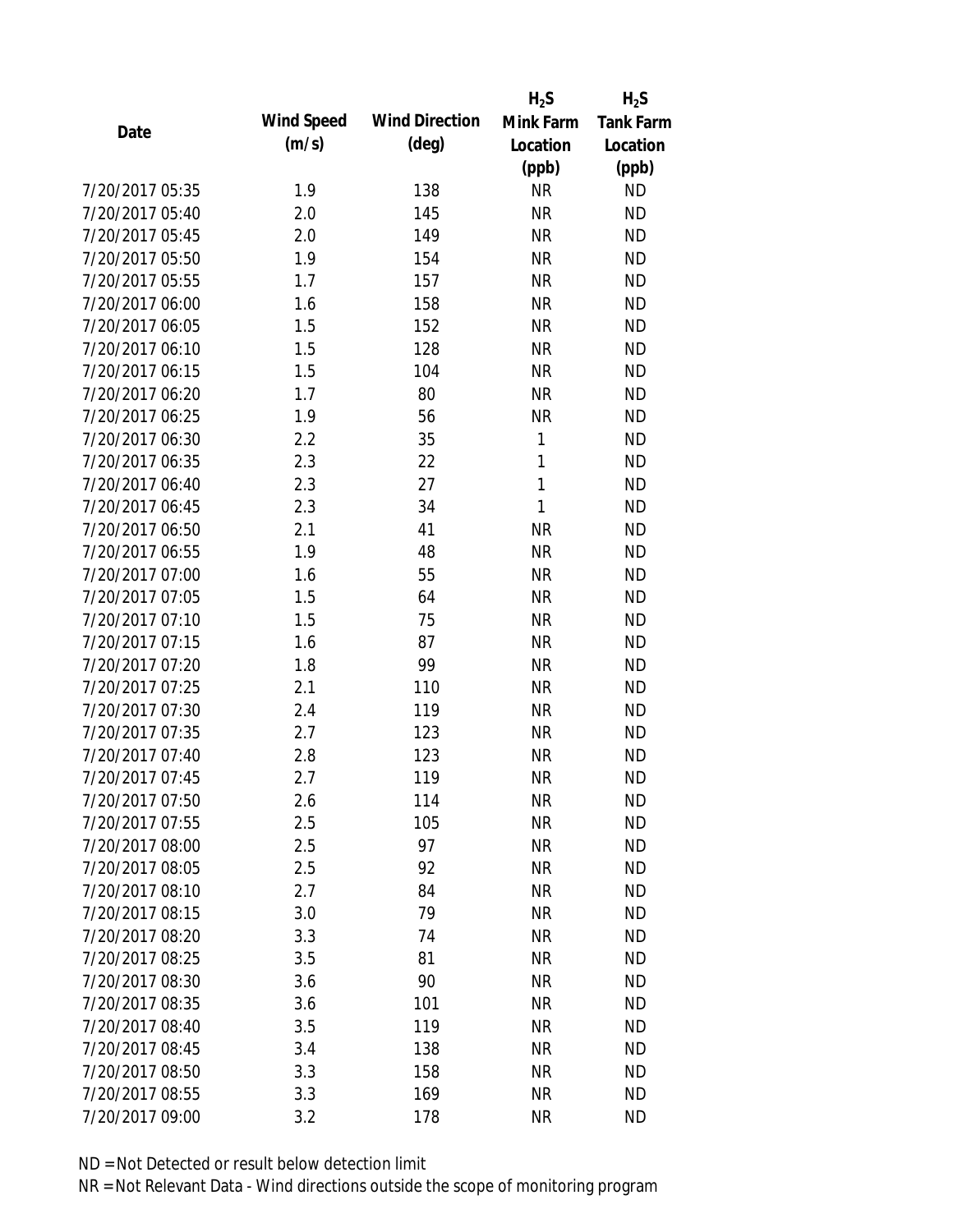|                 |            |                       | $H_2S$       | $H_2S$           |
|-----------------|------------|-----------------------|--------------|------------------|
| Date            | Wind Speed | <b>Wind Direction</b> | Mink Farm    | <b>Tank Farm</b> |
|                 | (m/s)      | $(\text{deg})$        | Location     | Location         |
|                 |            |                       | (ppb)        | (ppb)            |
| 7/20/2017 05:35 | 1.9        | 138                   | <b>NR</b>    | <b>ND</b>        |
| 7/20/2017 05:40 | 2.0        | 145                   | <b>NR</b>    | <b>ND</b>        |
| 7/20/2017 05:45 | 2.0        | 149                   | <b>NR</b>    | <b>ND</b>        |
| 7/20/2017 05:50 | 1.9        | 154                   | <b>NR</b>    | <b>ND</b>        |
| 7/20/2017 05:55 | 1.7        | 157                   | <b>NR</b>    | <b>ND</b>        |
| 7/20/2017 06:00 | 1.6        | 158                   | <b>NR</b>    | <b>ND</b>        |
| 7/20/2017 06:05 | 1.5        | 152                   | <b>NR</b>    | <b>ND</b>        |
| 7/20/2017 06:10 | 1.5        | 128                   | <b>NR</b>    | <b>ND</b>        |
| 7/20/2017 06:15 | 1.5        | 104                   | <b>NR</b>    | <b>ND</b>        |
| 7/20/2017 06:20 | 1.7        | 80                    | <b>NR</b>    | <b>ND</b>        |
| 7/20/2017 06:25 | 1.9        | 56                    | <b>NR</b>    | <b>ND</b>        |
| 7/20/2017 06:30 | 2.2        | 35                    | 1            | <b>ND</b>        |
| 7/20/2017 06:35 | 2.3        | 22                    | $\mathbf{1}$ | <b>ND</b>        |
| 7/20/2017 06:40 | 2.3        | 27                    | $\mathbf{1}$ | <b>ND</b>        |
| 7/20/2017 06:45 | 2.3        | 34                    | $\mathbf{1}$ | <b>ND</b>        |
| 7/20/2017 06:50 | 2.1        | 41                    | <b>NR</b>    | <b>ND</b>        |
| 7/20/2017 06:55 | 1.9        | 48                    | <b>NR</b>    | <b>ND</b>        |
| 7/20/2017 07:00 | 1.6        | 55                    | <b>NR</b>    | <b>ND</b>        |
| 7/20/2017 07:05 | 1.5        | 64                    | <b>NR</b>    | <b>ND</b>        |
| 7/20/2017 07:10 | 1.5        | 75                    | <b>NR</b>    | <b>ND</b>        |
| 7/20/2017 07:15 | 1.6        | 87                    | <b>NR</b>    | <b>ND</b>        |
| 7/20/2017 07:20 | 1.8        | 99                    | <b>NR</b>    | <b>ND</b>        |
| 7/20/2017 07:25 | 2.1        | 110                   | <b>NR</b>    | <b>ND</b>        |
| 7/20/2017 07:30 | 2.4        | 119                   | <b>NR</b>    | <b>ND</b>        |
| 7/20/2017 07:35 | 2.7        | 123                   | <b>NR</b>    | <b>ND</b>        |
| 7/20/2017 07:40 | 2.8        | 123                   | <b>NR</b>    | <b>ND</b>        |
| 7/20/2017 07:45 | 2.7        | 119                   | <b>NR</b>    | <b>ND</b>        |
| 7/20/2017 07:50 | 2.6        | 114                   | <b>NR</b>    | <b>ND</b>        |
| 7/20/2017 07:55 | 2.5        | 105                   | <b>NR</b>    | <b>ND</b>        |
| 7/20/2017 08:00 | 2.5        | 97                    | <b>NR</b>    | <b>ND</b>        |
| 7/20/2017 08:05 | 2.5        | 92                    | <b>NR</b>    | <b>ND</b>        |
| 7/20/2017 08:10 | 2.7        | 84                    | <b>NR</b>    | <b>ND</b>        |
| 7/20/2017 08:15 | 3.0        | 79                    | <b>NR</b>    | <b>ND</b>        |
| 7/20/2017 08:20 | 3.3        | 74                    | <b>NR</b>    | <b>ND</b>        |
| 7/20/2017 08:25 | 3.5        | 81                    | <b>NR</b>    | <b>ND</b>        |
| 7/20/2017 08:30 | 3.6        | 90                    | <b>NR</b>    | <b>ND</b>        |
| 7/20/2017 08:35 | 3.6        | 101                   | <b>NR</b>    | <b>ND</b>        |
| 7/20/2017 08:40 | 3.5        | 119                   | <b>NR</b>    | <b>ND</b>        |
| 7/20/2017 08:45 | 3.4        | 138                   | <b>NR</b>    | <b>ND</b>        |
| 7/20/2017 08:50 | 3.3        | 158                   | ΝR           | <b>ND</b>        |
| 7/20/2017 08:55 | 3.3        | 169                   | <b>NR</b>    | <b>ND</b>        |
| 7/20/2017 09:00 | 3.2        | 178                   | <b>NR</b>    | <b>ND</b>        |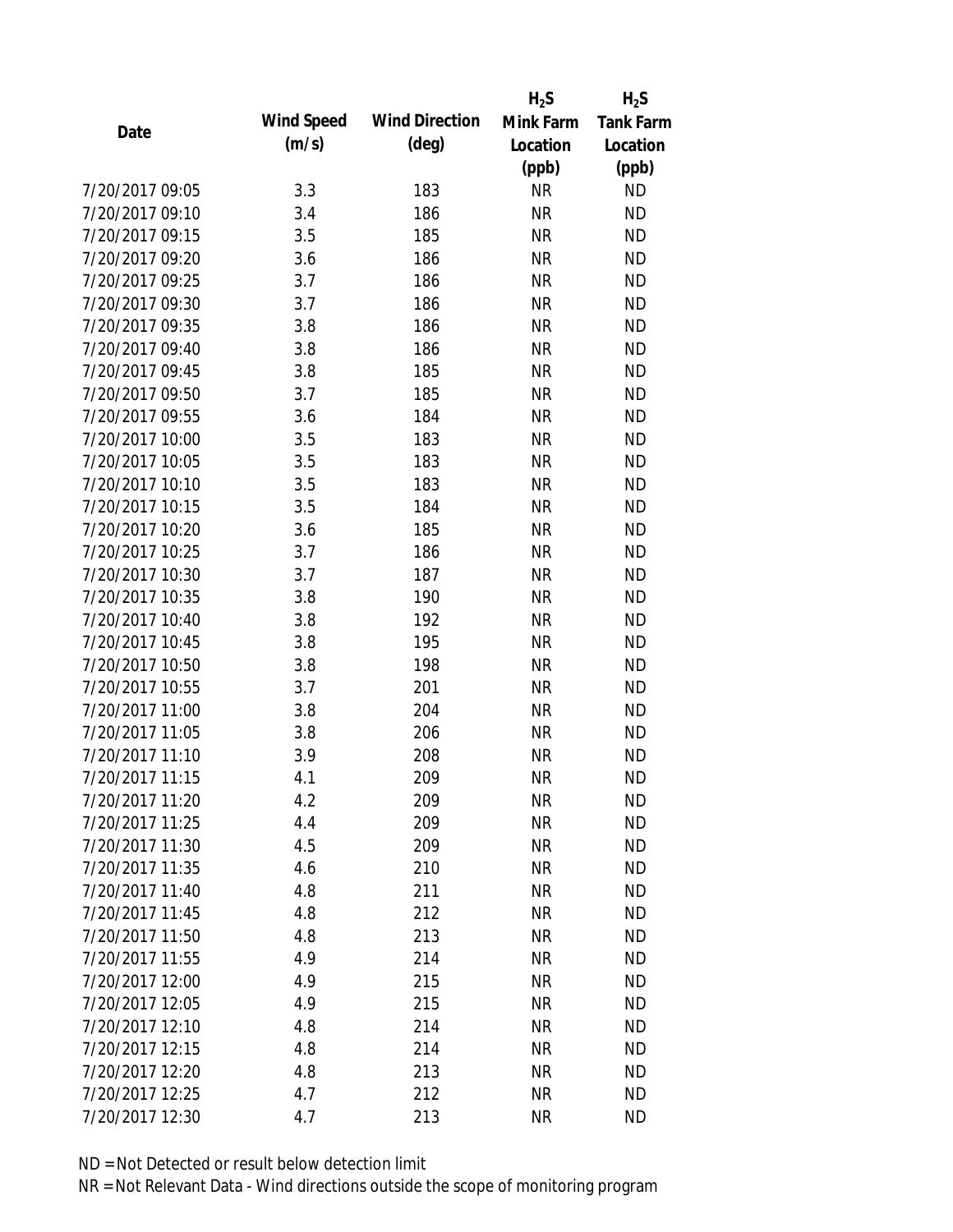|                 |            |                       | $H_2S$    | $H_2S$           |
|-----------------|------------|-----------------------|-----------|------------------|
| Date            | Wind Speed | <b>Wind Direction</b> | Mink Farm | <b>Tank Farm</b> |
|                 | (m/s)      | $(\text{deg})$        | Location  | Location         |
|                 |            |                       | (ppb)     | (ppb)            |
| 7/20/2017 09:05 | 3.3        | 183                   | <b>NR</b> | <b>ND</b>        |
| 7/20/2017 09:10 | 3.4        | 186                   | <b>NR</b> | <b>ND</b>        |
| 7/20/2017 09:15 | 3.5        | 185                   | <b>NR</b> | <b>ND</b>        |
| 7/20/2017 09:20 | 3.6        | 186                   | <b>NR</b> | <b>ND</b>        |
| 7/20/2017 09:25 | 3.7        | 186                   | <b>NR</b> | <b>ND</b>        |
| 7/20/2017 09:30 | 3.7        | 186                   | <b>NR</b> | <b>ND</b>        |
| 7/20/2017 09:35 | 3.8        | 186                   | <b>NR</b> | <b>ND</b>        |
| 7/20/2017 09:40 | 3.8        | 186                   | <b>NR</b> | <b>ND</b>        |
| 7/20/2017 09:45 | 3.8        | 185                   | <b>NR</b> | <b>ND</b>        |
| 7/20/2017 09:50 | 3.7        | 185                   | <b>NR</b> | <b>ND</b>        |
| 7/20/2017 09:55 | 3.6        | 184                   | <b>NR</b> | <b>ND</b>        |
| 7/20/2017 10:00 | 3.5        | 183                   | <b>NR</b> | <b>ND</b>        |
| 7/20/2017 10:05 | 3.5        | 183                   | <b>NR</b> | <b>ND</b>        |
| 7/20/2017 10:10 | 3.5        | 183                   | <b>NR</b> | <b>ND</b>        |
| 7/20/2017 10:15 | 3.5        | 184                   | <b>NR</b> | <b>ND</b>        |
| 7/20/2017 10:20 | 3.6        | 185                   | <b>NR</b> | <b>ND</b>        |
| 7/20/2017 10:25 | 3.7        | 186                   | <b>NR</b> | <b>ND</b>        |
| 7/20/2017 10:30 | 3.7        | 187                   | <b>NR</b> | <b>ND</b>        |
| 7/20/2017 10:35 | 3.8        | 190                   | <b>NR</b> | <b>ND</b>        |
| 7/20/2017 10:40 | 3.8        | 192                   | <b>NR</b> | <b>ND</b>        |
| 7/20/2017 10:45 | 3.8        | 195                   | <b>NR</b> | <b>ND</b>        |
| 7/20/2017 10:50 | 3.8        | 198                   | <b>NR</b> | <b>ND</b>        |
| 7/20/2017 10:55 | 3.7        | 201                   | <b>NR</b> | <b>ND</b>        |
| 7/20/2017 11:00 | 3.8        | 204                   | <b>NR</b> | <b>ND</b>        |
| 7/20/2017 11:05 | 3.8        | 206                   | <b>NR</b> | <b>ND</b>        |
| 7/20/2017 11:10 | 3.9        | 208                   | <b>NR</b> | <b>ND</b>        |
| 7/20/2017 11:15 | 4.1        | 209                   | <b>NR</b> | <b>ND</b>        |
| 7/20/2017 11:20 | 4.2        | 209                   | <b>NR</b> | <b>ND</b>        |
| 7/20/2017 11:25 | 4.4        | 209                   | <b>NR</b> | <b>ND</b>        |
| 7/20/2017 11:30 | 4.5        | 209                   | <b>NR</b> | <b>ND</b>        |
| 7/20/2017 11:35 | 4.6        | 210                   | <b>NR</b> | <b>ND</b>        |
| 7/20/2017 11:40 | 4.8        | 211                   | <b>NR</b> | <b>ND</b>        |
| 7/20/2017 11:45 | 4.8        | 212                   | <b>NR</b> | <b>ND</b>        |
| 7/20/2017 11:50 | 4.8        | 213                   | <b>NR</b> | <b>ND</b>        |
| 7/20/2017 11:55 | 4.9        | 214                   | <b>NR</b> | <b>ND</b>        |
| 7/20/2017 12:00 | 4.9        | 215                   | <b>NR</b> | <b>ND</b>        |
| 7/20/2017 12:05 | 4.9        | 215                   | <b>NR</b> | <b>ND</b>        |
| 7/20/2017 12:10 | 4.8        | 214                   | <b>NR</b> | <b>ND</b>        |
| 7/20/2017 12:15 | 4.8        | 214                   | <b>NR</b> | <b>ND</b>        |
| 7/20/2017 12:20 | 4.8        |                       |           | <b>ND</b>        |
|                 |            | 213                   | NR        |                  |
| 7/20/2017 12:25 | 4.7        | 212                   | <b>NR</b> | <b>ND</b>        |
| 7/20/2017 12:30 | 4.7        | 213                   | <b>NR</b> | <b>ND</b>        |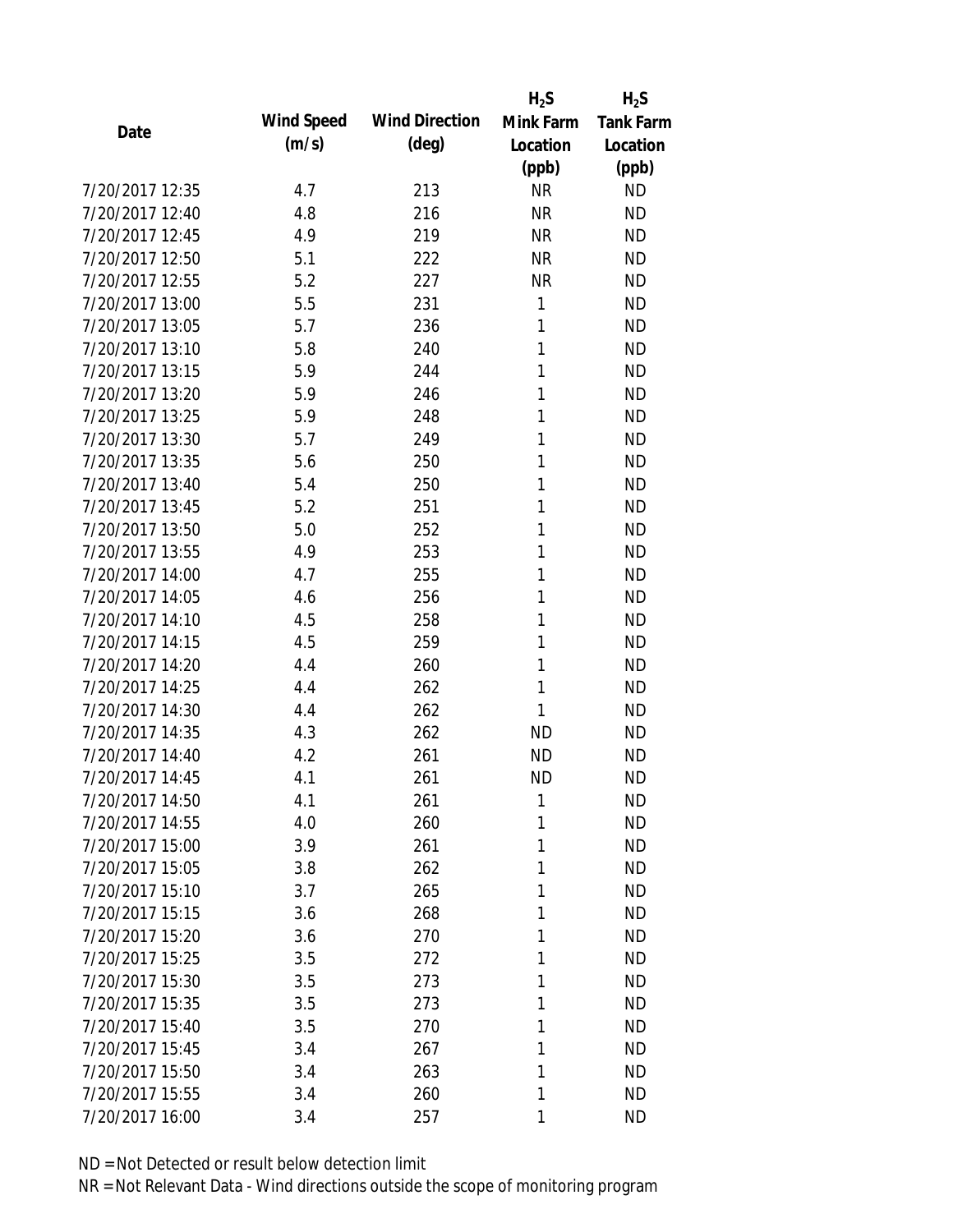|                 |            |                       | $H_2S$    | $H_2S$           |
|-----------------|------------|-----------------------|-----------|------------------|
| Date            | Wind Speed | <b>Wind Direction</b> | Mink Farm | <b>Tank Farm</b> |
|                 | (m/s)      | $(\text{deg})$        | Location  | Location         |
|                 |            |                       | (ppb)     | (ppb)            |
| 7/20/2017 12:35 | 4.7        | 213                   | <b>NR</b> | <b>ND</b>        |
| 7/20/2017 12:40 | 4.8        | 216                   | <b>NR</b> | <b>ND</b>        |
| 7/20/2017 12:45 | 4.9        | 219                   | <b>NR</b> | <b>ND</b>        |
| 7/20/2017 12:50 | 5.1        | 222                   | <b>NR</b> | <b>ND</b>        |
| 7/20/2017 12:55 | 5.2        | 227                   | <b>NR</b> | <b>ND</b>        |
| 7/20/2017 13:00 | 5.5        | 231                   | 1         | <b>ND</b>        |
| 7/20/2017 13:05 | 5.7        | 236                   | 1         | <b>ND</b>        |
| 7/20/2017 13:10 | 5.8        | 240                   | 1         | <b>ND</b>        |
| 7/20/2017 13:15 | 5.9        | 244                   | 1         | <b>ND</b>        |
| 7/20/2017 13:20 | 5.9        | 246                   | 1         | <b>ND</b>        |
| 7/20/2017 13:25 | 5.9        | 248                   | 1         | <b>ND</b>        |
| 7/20/2017 13:30 | 5.7        | 249                   | 1         | <b>ND</b>        |
| 7/20/2017 13:35 | 5.6        | 250                   | 1         | <b>ND</b>        |
| 7/20/2017 13:40 | 5.4        | 250                   | 1         | <b>ND</b>        |
| 7/20/2017 13:45 | 5.2        | 251                   | 1         | <b>ND</b>        |
| 7/20/2017 13:50 | 5.0        | 252                   | 1         | <b>ND</b>        |
| 7/20/2017 13:55 | 4.9        | 253                   | 1         | <b>ND</b>        |
| 7/20/2017 14:00 | 4.7        | 255                   | 1         | <b>ND</b>        |
| 7/20/2017 14:05 | 4.6        | 256                   | 1         | <b>ND</b>        |
| 7/20/2017 14:10 | 4.5        | 258                   | 1         | <b>ND</b>        |
| 7/20/2017 14:15 | 4.5        | 259                   | 1         | <b>ND</b>        |
| 7/20/2017 14:20 | 4.4        | 260                   | 1         | <b>ND</b>        |
| 7/20/2017 14:25 | 4.4        | 262                   | 1         | <b>ND</b>        |
| 7/20/2017 14:30 | 4.4        | 262                   | 1         | <b>ND</b>        |
| 7/20/2017 14:35 | 4.3        | 262                   | <b>ND</b> | <b>ND</b>        |
| 7/20/2017 14:40 | 4.2        | 261                   | <b>ND</b> | <b>ND</b>        |
| 7/20/2017 14:45 | 4.1        | 261                   | <b>ND</b> | <b>ND</b>        |
| 7/20/2017 14:50 | 4.1        | 261                   | 1         | <b>ND</b>        |
| 7/20/2017 14:55 | 4.0        | 260                   | 1         | <b>ND</b>        |
| 7/20/2017 15:00 | 3.9        | 261                   | 1         | <b>ND</b>        |
| 7/20/2017 15:05 | 3.8        | 262                   | 1         | <b>ND</b>        |
| 7/20/2017 15:10 | 3.7        | 265                   | 1         | <b>ND</b>        |
| 7/20/2017 15:15 | 3.6        | 268                   | 1         | <b>ND</b>        |
| 7/20/2017 15:20 | 3.6        | 270                   | 1         | <b>ND</b>        |
| 7/20/2017 15:25 | 3.5        | 272                   | 1         | <b>ND</b>        |
| 7/20/2017 15:30 | 3.5        | 273                   | 1         | <b>ND</b>        |
| 7/20/2017 15:35 | 3.5        | 273                   | 1         | <b>ND</b>        |
| 7/20/2017 15:40 | 3.5        | 270                   | 1         | <b>ND</b>        |
| 7/20/2017 15:45 | 3.4        | 267                   | 1         | <b>ND</b>        |
| 7/20/2017 15:50 | 3.4        | 263                   | 1         | <b>ND</b>        |
| 7/20/2017 15:55 | 3.4        | 260                   | 1         | <b>ND</b>        |
| 7/20/2017 16:00 | 3.4        | 257                   | 1         | <b>ND</b>        |
|                 |            |                       |           |                  |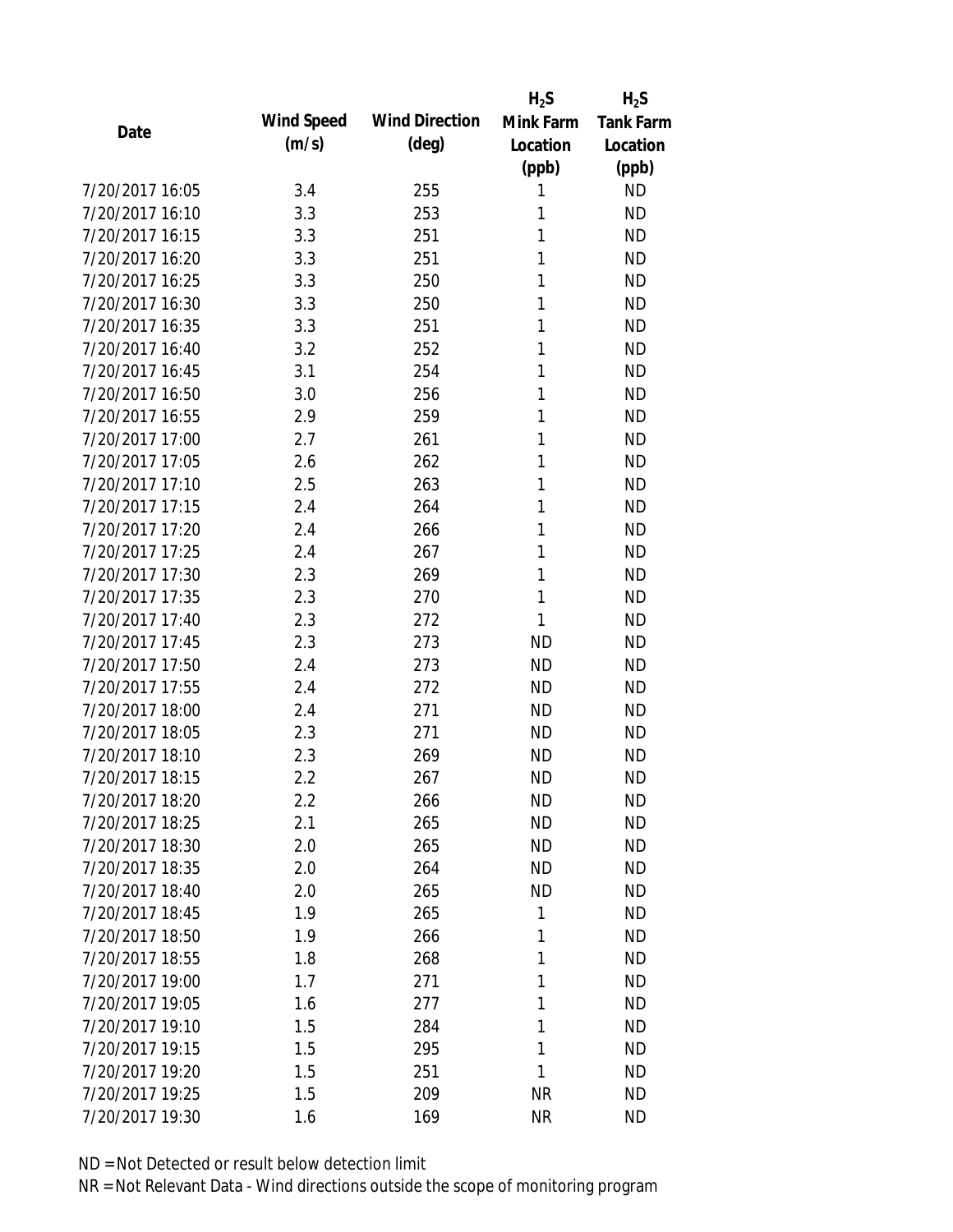|                 |            |                       | $H_2S$    | $H_2S$           |
|-----------------|------------|-----------------------|-----------|------------------|
| Date            | Wind Speed | <b>Wind Direction</b> | Mink Farm | <b>Tank Farm</b> |
|                 | (m/s)      | $(\text{deg})$        | Location  | Location         |
|                 |            |                       | (ppb)     | (ppb)            |
| 7/20/2017 16:05 | 3.4        | 255                   | 1         | <b>ND</b>        |
| 7/20/2017 16:10 | 3.3        | 253                   | 1         | <b>ND</b>        |
| 7/20/2017 16:15 | 3.3        | 251                   | 1         | <b>ND</b>        |
| 7/20/2017 16:20 | 3.3        | 251                   | 1         | <b>ND</b>        |
| 7/20/2017 16:25 | 3.3        | 250                   | 1         | <b>ND</b>        |
| 7/20/2017 16:30 | 3.3        | 250                   | 1         | <b>ND</b>        |
| 7/20/2017 16:35 | 3.3        | 251                   | 1         | <b>ND</b>        |
| 7/20/2017 16:40 | 3.2        | 252                   | 1         | <b>ND</b>        |
| 7/20/2017 16:45 | 3.1        | 254                   | 1         | <b>ND</b>        |
| 7/20/2017 16:50 | 3.0        | 256                   | 1         | <b>ND</b>        |
| 7/20/2017 16:55 | 2.9        | 259                   | 1         | <b>ND</b>        |
| 7/20/2017 17:00 | 2.7        | 261                   | 1         | <b>ND</b>        |
| 7/20/2017 17:05 | 2.6        | 262                   | 1         | <b>ND</b>        |
| 7/20/2017 17:10 | 2.5        | 263                   | 1         | <b>ND</b>        |
| 7/20/2017 17:15 | 2.4        | 264                   | 1         | <b>ND</b>        |
| 7/20/2017 17:20 | 2.4        | 266                   | 1         | <b>ND</b>        |
| 7/20/2017 17:25 | 2.4        | 267                   | 1         | <b>ND</b>        |
| 7/20/2017 17:30 | 2.3        | 269                   | 1         | <b>ND</b>        |
| 7/20/2017 17:35 | 2.3        | 270                   | 1         | <b>ND</b>        |
| 7/20/2017 17:40 | 2.3        | 272                   | 1         | <b>ND</b>        |
| 7/20/2017 17:45 | 2.3        | 273                   | <b>ND</b> | <b>ND</b>        |
| 7/20/2017 17:50 | 2.4        | 273                   | <b>ND</b> | <b>ND</b>        |
| 7/20/2017 17:55 | 2.4        | 272                   | <b>ND</b> | <b>ND</b>        |
| 7/20/2017 18:00 | 2.4        | 271                   | <b>ND</b> | <b>ND</b>        |
| 7/20/2017 18:05 | 2.3        | 271                   | <b>ND</b> | <b>ND</b>        |
| 7/20/2017 18:10 | 2.3        | 269                   | <b>ND</b> | <b>ND</b>        |
| 7/20/2017 18:15 | 2.2        | 267                   | <b>ND</b> | <b>ND</b>        |
| 7/20/2017 18:20 | 2.2        | 266                   | <b>ND</b> | <b>ND</b>        |
| 7/20/2017 18:25 | 2.1        | 265                   | <b>ND</b> | <b>ND</b>        |
| 7/20/2017 18:30 | 2.0        | 265                   | ND        | <b>ND</b>        |
| 7/20/2017 18:35 | 2.0        | 264                   | <b>ND</b> | <b>ND</b>        |
| 7/20/2017 18:40 | 2.0        | 265                   | <b>ND</b> | <b>ND</b>        |
| 7/20/2017 18:45 | 1.9        | 265                   | 1         | <b>ND</b>        |
| 7/20/2017 18:50 | 1.9        | 266                   | 1         | <b>ND</b>        |
| 7/20/2017 18:55 | 1.8        | 268                   | 1         | <b>ND</b>        |
| 7/20/2017 19:00 | 1.7        | 271                   | 1         | <b>ND</b>        |
| 7/20/2017 19:05 | 1.6        | 277                   | 1         | <b>ND</b>        |
| 7/20/2017 19:10 | 1.5        | 284                   | 1         | <b>ND</b>        |
| 7/20/2017 19:15 | 1.5        | 295                   | 1         | <b>ND</b>        |
| 7/20/2017 19:20 | 1.5        | 251                   | 1         | <b>ND</b>        |
| 7/20/2017 19:25 | 1.5        | 209                   | <b>NR</b> | <b>ND</b>        |
| 7/20/2017 19:30 | 1.6        | 169                   | <b>NR</b> | <b>ND</b>        |
|                 |            |                       |           |                  |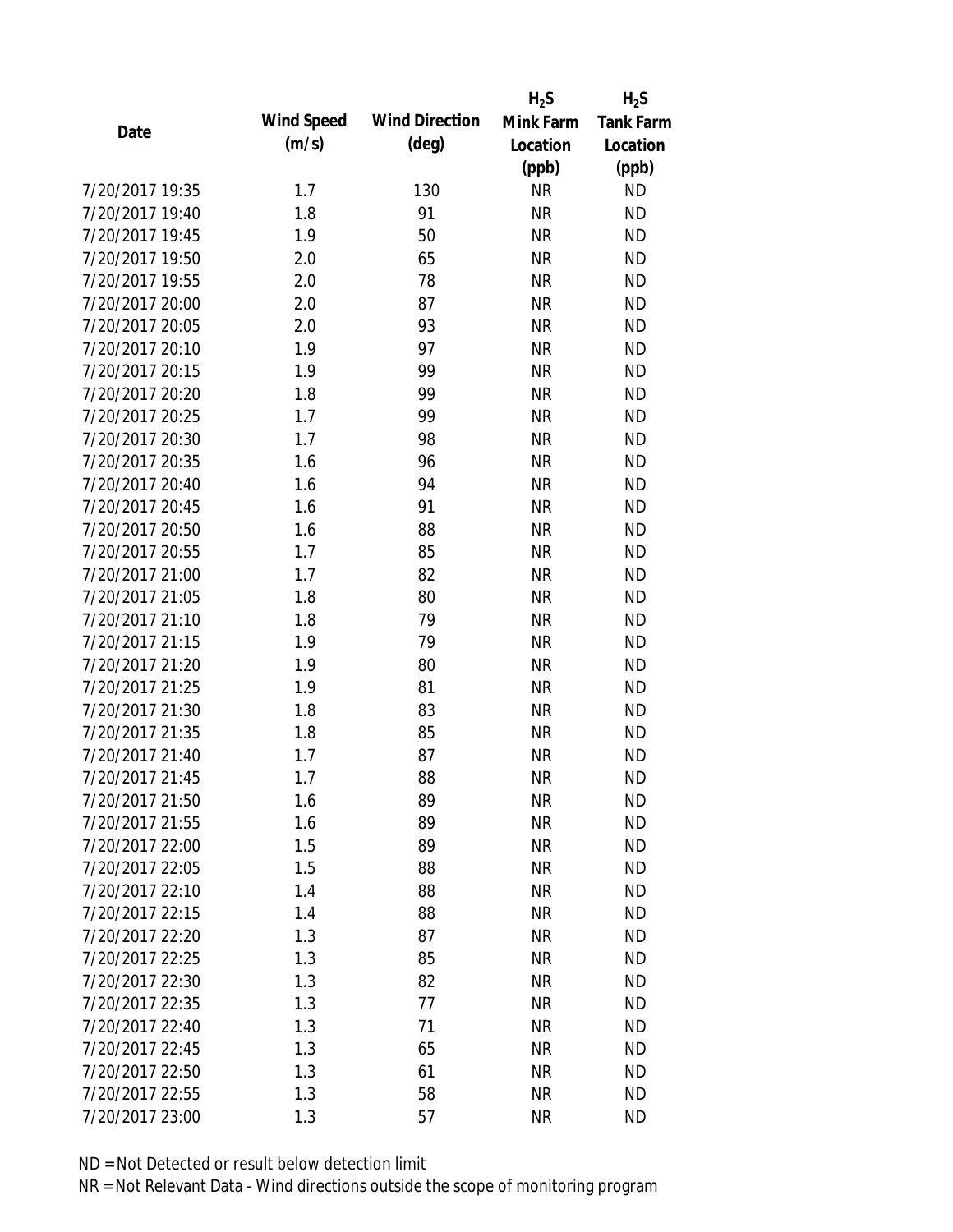|                 |                   |                       | $H_2S$    | $H_2S$           |
|-----------------|-------------------|-----------------------|-----------|------------------|
| Date            | <b>Wind Speed</b> | <b>Wind Direction</b> | Mink Farm | <b>Tank Farm</b> |
|                 | (m/s)             | $(\text{deg})$        | Location  | Location         |
|                 |                   |                       | (ppb)     | (ppb)            |
| 7/20/2017 19:35 | 1.7               | 130                   | <b>NR</b> | <b>ND</b>        |
| 7/20/2017 19:40 | 1.8               | 91                    | <b>NR</b> | <b>ND</b>        |
| 7/20/2017 19:45 | 1.9               | 50                    | <b>NR</b> | <b>ND</b>        |
| 7/20/2017 19:50 | 2.0               | 65                    | <b>NR</b> | <b>ND</b>        |
| 7/20/2017 19:55 | 2.0               | 78                    | <b>NR</b> | <b>ND</b>        |
| 7/20/2017 20:00 | 2.0               | 87                    | <b>NR</b> | <b>ND</b>        |
| 7/20/2017 20:05 | 2.0               | 93                    | <b>NR</b> | <b>ND</b>        |
| 7/20/2017 20:10 | 1.9               | 97                    | <b>NR</b> | <b>ND</b>        |
| 7/20/2017 20:15 | 1.9               | 99                    | <b>NR</b> | <b>ND</b>        |
| 7/20/2017 20:20 | 1.8               | 99                    | <b>NR</b> | <b>ND</b>        |
| 7/20/2017 20:25 | 1.7               | 99                    | <b>NR</b> | <b>ND</b>        |
| 7/20/2017 20:30 | 1.7               | 98                    | <b>NR</b> | <b>ND</b>        |
| 7/20/2017 20:35 | 1.6               | 96                    | <b>NR</b> | <b>ND</b>        |
| 7/20/2017 20:40 | 1.6               | 94                    | <b>NR</b> | <b>ND</b>        |
| 7/20/2017 20:45 | 1.6               | 91                    | <b>NR</b> | <b>ND</b>        |
| 7/20/2017 20:50 | 1.6               | 88                    | <b>NR</b> | <b>ND</b>        |
| 7/20/2017 20:55 | 1.7               | 85                    | <b>NR</b> | <b>ND</b>        |
| 7/20/2017 21:00 | 1.7               | 82                    | <b>NR</b> | <b>ND</b>        |
| 7/20/2017 21:05 | 1.8               | 80                    | <b>NR</b> | <b>ND</b>        |
| 7/20/2017 21:10 | 1.8               | 79                    | <b>NR</b> | <b>ND</b>        |
| 7/20/2017 21:15 | 1.9               | 79                    | <b>NR</b> | <b>ND</b>        |
| 7/20/2017 21:20 | 1.9               | 80                    | <b>NR</b> | <b>ND</b>        |
| 7/20/2017 21:25 | 1.9               | 81                    | <b>NR</b> | <b>ND</b>        |
| 7/20/2017 21:30 | 1.8               | 83                    | <b>NR</b> | <b>ND</b>        |
| 7/20/2017 21:35 | 1.8               | 85                    | <b>NR</b> | <b>ND</b>        |
| 7/20/2017 21:40 | 1.7               | 87                    | <b>NR</b> | <b>ND</b>        |
| 7/20/2017 21:45 | 1.7               | 88                    | <b>NR</b> | <b>ND</b>        |
| 7/20/2017 21:50 | 1.6               | 89                    | <b>NR</b> | <b>ND</b>        |
| 7/20/2017 21:55 | 1.6               | 89                    | <b>NR</b> | <b>ND</b>        |
| 7/20/2017 22:00 | 1.5               | 89                    | <b>NR</b> | <b>ND</b>        |
| 7/20/2017 22:05 | 1.5               | 88                    | <b>NR</b> | <b>ND</b>        |
| 7/20/2017 22:10 | 1.4               | 88                    | <b>NR</b> | <b>ND</b>        |
| 7/20/2017 22:15 | 1.4               | 88                    | <b>NR</b> | <b>ND</b>        |
| 7/20/2017 22:20 | 1.3               | 87                    | <b>NR</b> | <b>ND</b>        |
| 7/20/2017 22:25 | 1.3               | 85                    | <b>NR</b> | <b>ND</b>        |
| 7/20/2017 22:30 | 1.3               | 82                    | <b>NR</b> | <b>ND</b>        |
| 7/20/2017 22:35 | 1.3               | 77                    | <b>NR</b> | <b>ND</b>        |
| 7/20/2017 22:40 | 1.3               | 71                    | <b>NR</b> | <b>ND</b>        |
| 7/20/2017 22:45 | 1.3               | 65                    | <b>NR</b> | <b>ND</b>        |
| 7/20/2017 22:50 | 1.3               | 61                    | NR        | <b>ND</b>        |
| 7/20/2017 22:55 | 1.3               | 58                    | <b>NR</b> | <b>ND</b>        |
| 7/20/2017 23:00 | 1.3               | 57                    | <b>NR</b> | <b>ND</b>        |
|                 |                   |                       |           |                  |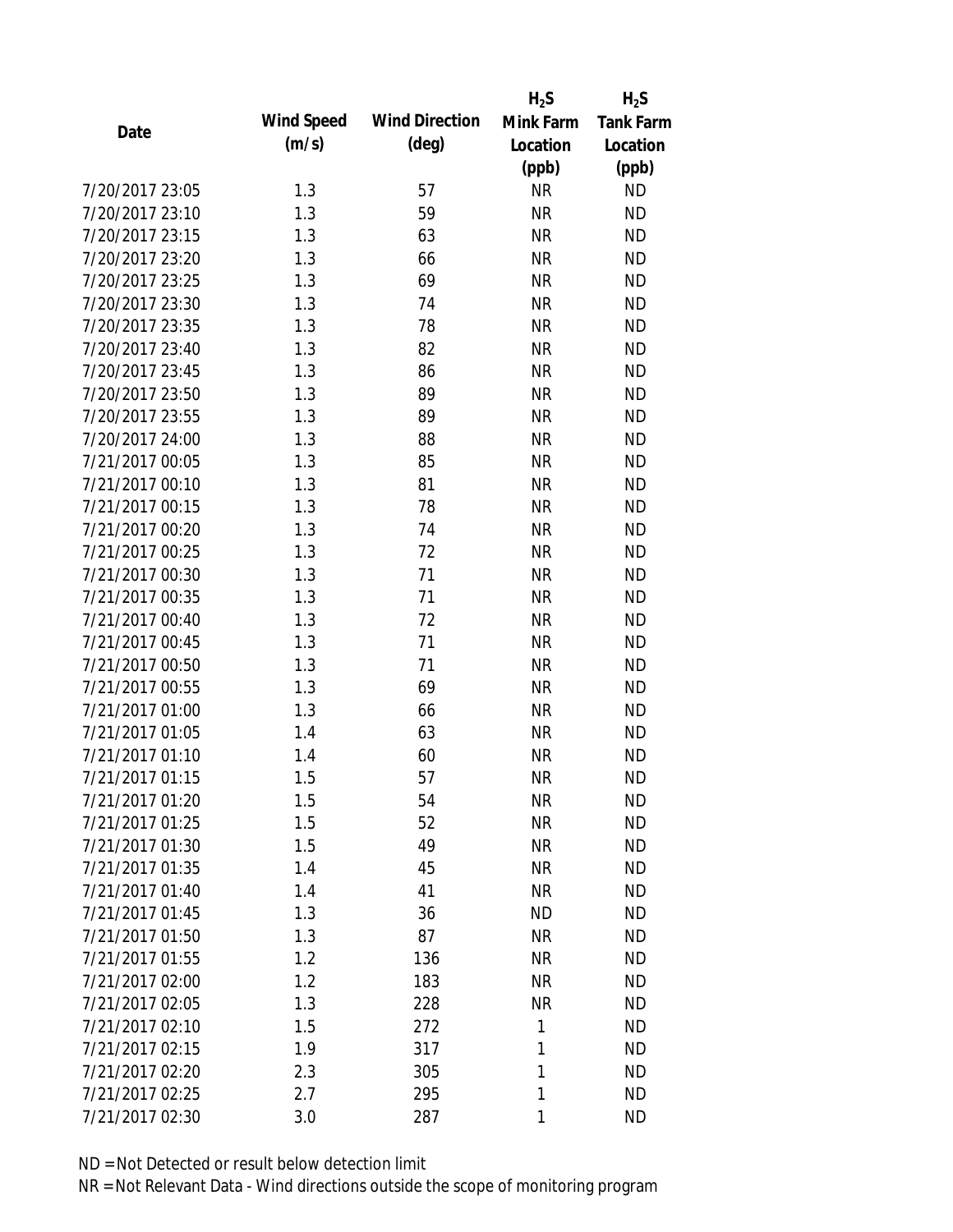|                 |            |                       | $H_2S$    | $H_2S$           |
|-----------------|------------|-----------------------|-----------|------------------|
| Date            | Wind Speed | <b>Wind Direction</b> | Mink Farm | <b>Tank Farm</b> |
|                 | (m/s)      | $(\text{deg})$        | Location  | Location         |
|                 |            |                       | (ppb)     | (ppb)            |
| 7/20/2017 23:05 | 1.3        | 57                    | <b>NR</b> | <b>ND</b>        |
| 7/20/2017 23:10 | 1.3        | 59                    | <b>NR</b> | <b>ND</b>        |
| 7/20/2017 23:15 | 1.3        | 63                    | <b>NR</b> | <b>ND</b>        |
| 7/20/2017 23:20 | 1.3        | 66                    | <b>NR</b> | <b>ND</b>        |
| 7/20/2017 23:25 | 1.3        | 69                    | <b>NR</b> | <b>ND</b>        |
| 7/20/2017 23:30 | 1.3        | 74                    | <b>NR</b> | <b>ND</b>        |
| 7/20/2017 23:35 | 1.3        | 78                    | <b>NR</b> | <b>ND</b>        |
| 7/20/2017 23:40 | 1.3        | 82                    | <b>NR</b> | <b>ND</b>        |
| 7/20/2017 23:45 | 1.3        | 86                    | <b>NR</b> | <b>ND</b>        |
| 7/20/2017 23:50 | 1.3        | 89                    | <b>NR</b> | <b>ND</b>        |
| 7/20/2017 23:55 | 1.3        | 89                    | <b>NR</b> | <b>ND</b>        |
| 7/20/2017 24:00 | 1.3        | 88                    | <b>NR</b> | <b>ND</b>        |
| 7/21/2017 00:05 | 1.3        | 85                    | <b>NR</b> | <b>ND</b>        |
| 7/21/2017 00:10 | 1.3        | 81                    | <b>NR</b> | <b>ND</b>        |
| 7/21/2017 00:15 | 1.3        | 78                    | <b>NR</b> | <b>ND</b>        |
| 7/21/2017 00:20 | 1.3        | 74                    | <b>NR</b> | <b>ND</b>        |
| 7/21/2017 00:25 | 1.3        | 72                    | <b>NR</b> | <b>ND</b>        |
| 7/21/2017 00:30 | 1.3        | 71                    | <b>NR</b> | <b>ND</b>        |
| 7/21/2017 00:35 | 1.3        | 71                    | <b>NR</b> | <b>ND</b>        |
| 7/21/2017 00:40 | 1.3        | 72                    | <b>NR</b> | <b>ND</b>        |
| 7/21/2017 00:45 | 1.3        | 71                    | <b>NR</b> | <b>ND</b>        |
| 7/21/2017 00:50 | 1.3        | 71                    | <b>NR</b> | <b>ND</b>        |
| 7/21/2017 00:55 | 1.3        | 69                    | <b>NR</b> | <b>ND</b>        |
| 7/21/2017 01:00 | 1.3        | 66                    | <b>NR</b> | <b>ND</b>        |
| 7/21/2017 01:05 | 1.4        | 63                    | <b>NR</b> | <b>ND</b>        |
| 7/21/2017 01:10 | 1.4        | 60                    | <b>NR</b> | <b>ND</b>        |
| 7/21/2017 01:15 | 1.5        | 57                    | <b>NR</b> | <b>ND</b>        |
| 7/21/2017 01:20 | 1.5        | 54                    | <b>NR</b> | <b>ND</b>        |
| 7/21/2017 01:25 | 1.5        | 52                    | <b>NR</b> | <b>ND</b>        |
| 7/21/2017 01:30 | 1.5        | 49                    | <b>NR</b> | <b>ND</b>        |
| 7/21/2017 01:35 | 1.4        | 45                    | <b>NR</b> | <b>ND</b>        |
| 7/21/2017 01:40 | 1.4        | 41                    | <b>NR</b> | <b>ND</b>        |
| 7/21/2017 01:45 | 1.3        | 36                    | <b>ND</b> | <b>ND</b>        |
| 7/21/2017 01:50 | 1.3        | 87                    | <b>NR</b> | <b>ND</b>        |
| 7/21/2017 01:55 | 1.2        | 136                   | <b>NR</b> | <b>ND</b>        |
| 7/21/2017 02:00 | 1.2        | 183                   | <b>NR</b> | <b>ND</b>        |
| 7/21/2017 02:05 | 1.3        | 228                   | <b>NR</b> | <b>ND</b>        |
| 7/21/2017 02:10 | 1.5        | 272                   | 1         | <b>ND</b>        |
| 7/21/2017 02:15 | 1.9        | 317                   | 1         | <b>ND</b>        |
| 7/21/2017 02:20 | 2.3        | 305                   | 1         | <b>ND</b>        |
| 7/21/2017 02:25 | 2.7        | 295                   | 1         | <b>ND</b>        |
| 7/21/2017 02:30 | 3.0        | 287                   | 1         | <b>ND</b>        |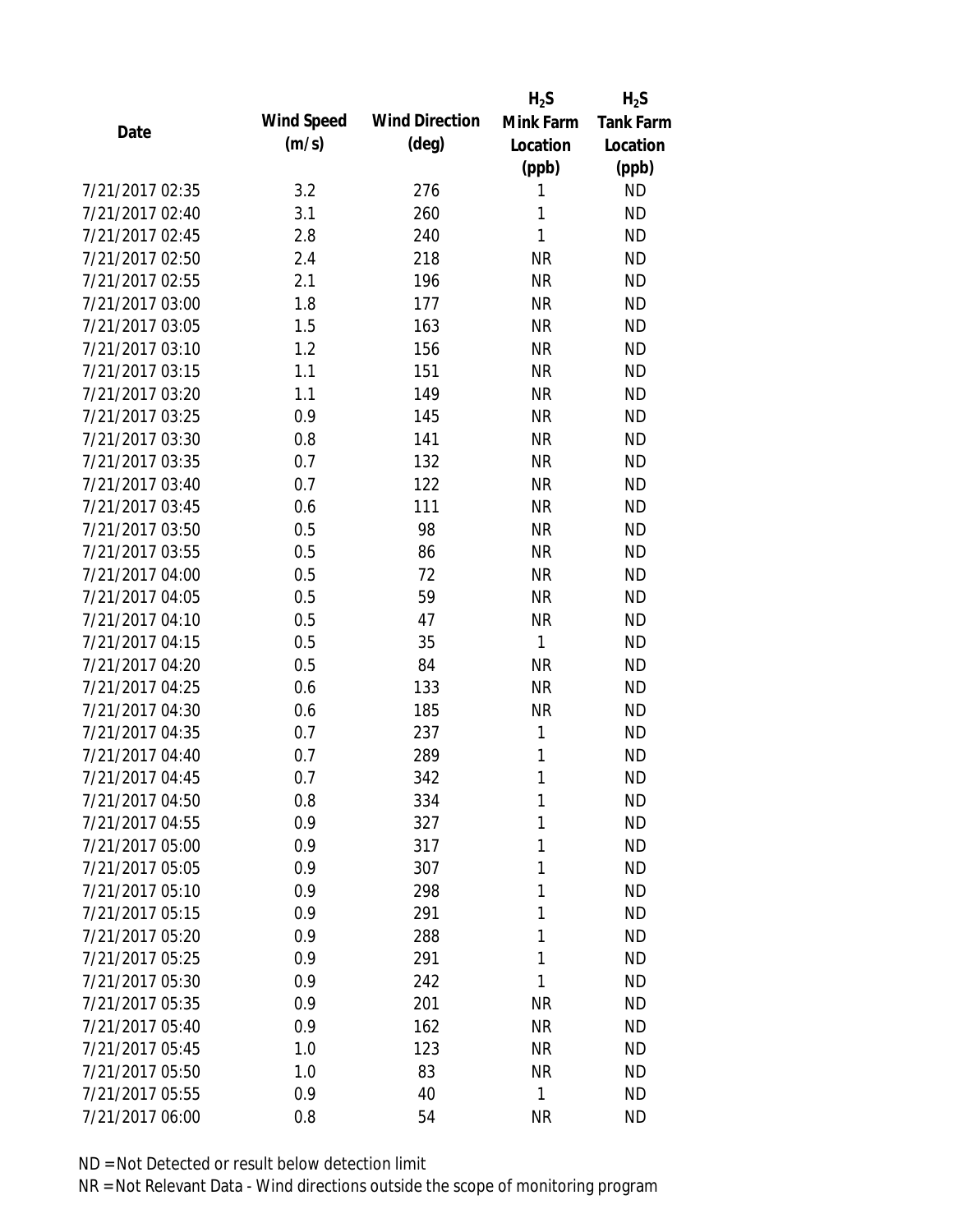|                 |            |                       | $H_2S$    | $H_2S$           |
|-----------------|------------|-----------------------|-----------|------------------|
| Date            | Wind Speed | <b>Wind Direction</b> | Mink Farm | <b>Tank Farm</b> |
|                 | (m/s)      | $(\text{deg})$        | Location  | Location         |
|                 |            |                       | (ppb)     | (ppb)            |
| 7/21/2017 02:35 | 3.2        | 276                   | 1         | <b>ND</b>        |
| 7/21/2017 02:40 | 3.1        | 260                   | 1         | <b>ND</b>        |
| 7/21/2017 02:45 | 2.8        | 240                   | 1         | <b>ND</b>        |
| 7/21/2017 02:50 | 2.4        | 218                   | <b>NR</b> | <b>ND</b>        |
| 7/21/2017 02:55 | 2.1        | 196                   | <b>NR</b> | <b>ND</b>        |
| 7/21/2017 03:00 | 1.8        | 177                   | <b>NR</b> | <b>ND</b>        |
| 7/21/2017 03:05 | 1.5        | 163                   | <b>NR</b> | <b>ND</b>        |
| 7/21/2017 03:10 | 1.2        | 156                   | <b>NR</b> | <b>ND</b>        |
| 7/21/2017 03:15 | 1.1        | 151                   | <b>NR</b> | <b>ND</b>        |
| 7/21/2017 03:20 | 1.1        | 149                   | <b>NR</b> | <b>ND</b>        |
| 7/21/2017 03:25 | 0.9        | 145                   | <b>NR</b> | <b>ND</b>        |
| 7/21/2017 03:30 | 0.8        | 141                   | <b>NR</b> | <b>ND</b>        |
| 7/21/2017 03:35 | 0.7        | 132                   | <b>NR</b> | <b>ND</b>        |
| 7/21/2017 03:40 | 0.7        | 122                   | <b>NR</b> | <b>ND</b>        |
| 7/21/2017 03:45 | 0.6        | 111                   | <b>NR</b> | <b>ND</b>        |
| 7/21/2017 03:50 | 0.5        | 98                    | <b>NR</b> | <b>ND</b>        |
| 7/21/2017 03:55 | 0.5        | 86                    | <b>NR</b> | <b>ND</b>        |
| 7/21/2017 04:00 | 0.5        | 72                    | <b>NR</b> | <b>ND</b>        |
| 7/21/2017 04:05 | 0.5        | 59                    | <b>NR</b> | <b>ND</b>        |
| 7/21/2017 04:10 | 0.5        | 47                    | <b>NR</b> | <b>ND</b>        |
| 7/21/2017 04:15 | 0.5        | 35                    | 1         | <b>ND</b>        |
| 7/21/2017 04:20 | 0.5        | 84                    | <b>NR</b> | <b>ND</b>        |
| 7/21/2017 04:25 | 0.6        | 133                   | <b>NR</b> | <b>ND</b>        |
| 7/21/2017 04:30 | 0.6        | 185                   | <b>NR</b> | <b>ND</b>        |
| 7/21/2017 04:35 | 0.7        | 237                   | 1         | <b>ND</b>        |
| 7/21/2017 04:40 | 0.7        | 289                   | 1         | <b>ND</b>        |
| 7/21/2017 04:45 | 0.7        | 342                   | 1         | <b>ND</b>        |
| 7/21/2017 04:50 | 0.8        | 334                   | 1         | <b>ND</b>        |
| 7/21/2017 04:55 | 0.9        | 327                   | 1         | <b>ND</b>        |
| 7/21/2017 05:00 | 0.9        | 317                   | 1         | <b>ND</b>        |
| 7/21/2017 05:05 | 0.9        | 307                   | 1         | <b>ND</b>        |
| 7/21/2017 05:10 | 0.9        | 298                   | 1         | <b>ND</b>        |
| 7/21/2017 05:15 | 0.9        | 291                   | 1         | <b>ND</b>        |
| 7/21/2017 05:20 | 0.9        | 288                   | 1         | <b>ND</b>        |
| 7/21/2017 05:25 | 0.9        | 291                   | 1         | <b>ND</b>        |
| 7/21/2017 05:30 | 0.9        | 242                   | 1         | <b>ND</b>        |
| 7/21/2017 05:35 | 0.9        | 201                   | <b>NR</b> | <b>ND</b>        |
| 7/21/2017 05:40 | 0.9        | 162                   | <b>NR</b> | <b>ND</b>        |
| 7/21/2017 05:45 | 1.0        | 123                   | <b>NR</b> | <b>ND</b>        |
| 7/21/2017 05:50 | 1.0        | 83                    | <b>NR</b> | <b>ND</b>        |
| 7/21/2017 05:55 | 0.9        | 40                    | 1         | <b>ND</b>        |
| 7/21/2017 06:00 | 0.8        | 54                    | <b>NR</b> | <b>ND</b>        |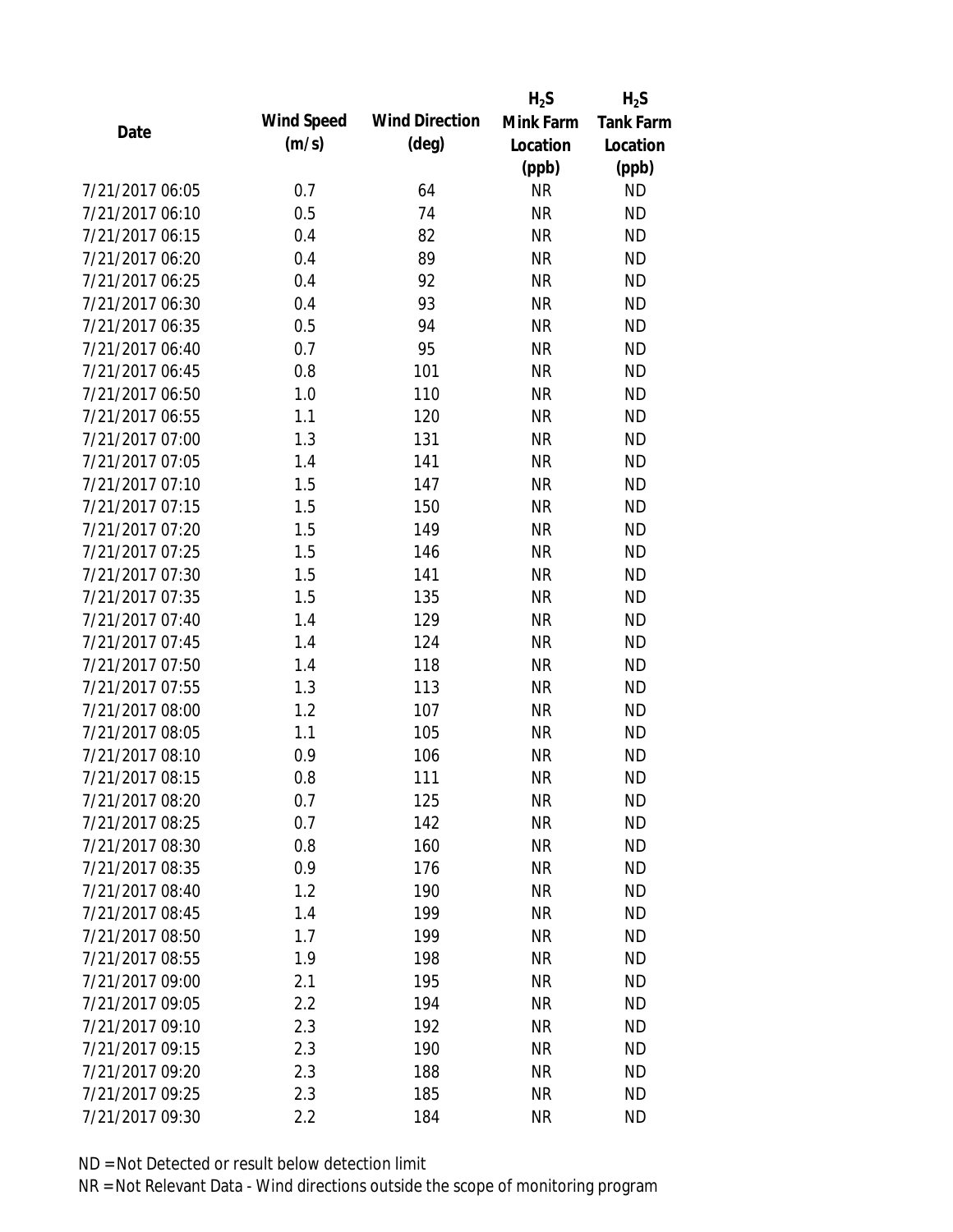|                 |            |                       | $H_2S$    | $H_2S$           |
|-----------------|------------|-----------------------|-----------|------------------|
| Date            | Wind Speed | <b>Wind Direction</b> | Mink Farm | <b>Tank Farm</b> |
|                 | (m/s)      | $(\text{deg})$        | Location  | Location         |
|                 |            |                       | (ppb)     | (ppb)            |
| 7/21/2017 06:05 | 0.7        | 64                    | <b>NR</b> | <b>ND</b>        |
| 7/21/2017 06:10 | 0.5        | 74                    | <b>NR</b> | <b>ND</b>        |
| 7/21/2017 06:15 | 0.4        | 82                    | <b>NR</b> | <b>ND</b>        |
| 7/21/2017 06:20 | 0.4        | 89                    | <b>NR</b> | <b>ND</b>        |
| 7/21/2017 06:25 | 0.4        | 92                    | <b>NR</b> | <b>ND</b>        |
| 7/21/2017 06:30 | 0.4        | 93                    | <b>NR</b> | <b>ND</b>        |
| 7/21/2017 06:35 | 0.5        | 94                    | <b>NR</b> | <b>ND</b>        |
| 7/21/2017 06:40 | 0.7        | 95                    | <b>NR</b> | <b>ND</b>        |
| 7/21/2017 06:45 | 0.8        | 101                   | <b>NR</b> | <b>ND</b>        |
| 7/21/2017 06:50 | 1.0        | 110                   | <b>NR</b> | <b>ND</b>        |
| 7/21/2017 06:55 | 1.1        | 120                   | <b>NR</b> | <b>ND</b>        |
| 7/21/2017 07:00 | 1.3        | 131                   | <b>NR</b> | <b>ND</b>        |
| 7/21/2017 07:05 | 1.4        | 141                   | <b>NR</b> | <b>ND</b>        |
| 7/21/2017 07:10 | 1.5        | 147                   | <b>NR</b> | <b>ND</b>        |
| 7/21/2017 07:15 | 1.5        | 150                   | <b>NR</b> | <b>ND</b>        |
| 7/21/2017 07:20 | 1.5        | 149                   | <b>NR</b> | <b>ND</b>        |
| 7/21/2017 07:25 | 1.5        | 146                   | <b>NR</b> | <b>ND</b>        |
| 7/21/2017 07:30 | 1.5        | 141                   | <b>NR</b> | <b>ND</b>        |
| 7/21/2017 07:35 | 1.5        | 135                   | <b>NR</b> | <b>ND</b>        |
| 7/21/2017 07:40 | 1.4        | 129                   | <b>NR</b> | <b>ND</b>        |
| 7/21/2017 07:45 | 1.4        | 124                   | <b>NR</b> | <b>ND</b>        |
| 7/21/2017 07:50 | 1.4        | 118                   | <b>NR</b> | <b>ND</b>        |
| 7/21/2017 07:55 | 1.3        | 113                   | <b>NR</b> | <b>ND</b>        |
| 7/21/2017 08:00 | 1.2        | 107                   | <b>NR</b> | <b>ND</b>        |
| 7/21/2017 08:05 | 1.1        | 105                   | <b>NR</b> | <b>ND</b>        |
| 7/21/2017 08:10 | 0.9        | 106                   | <b>NR</b> | <b>ND</b>        |
| 7/21/2017 08:15 | 0.8        | 111                   | <b>NR</b> | <b>ND</b>        |
| 7/21/2017 08:20 | 0.7        | 125                   | <b>NR</b> | <b>ND</b>        |
| 7/21/2017 08:25 | 0.7        | 142                   | <b>NR</b> | <b>ND</b>        |
| 7/21/2017 08:30 | 0.8        | 160                   | <b>NR</b> | <b>ND</b>        |
| 7/21/2017 08:35 | 0.9        | 176                   | <b>NR</b> | <b>ND</b>        |
| 7/21/2017 08:40 | 1.2        | 190                   | <b>NR</b> | <b>ND</b>        |
| 7/21/2017 08:45 | 1.4        | 199                   | <b>NR</b> | <b>ND</b>        |
| 7/21/2017 08:50 | 1.7        | 199                   | <b>NR</b> | <b>ND</b>        |
| 7/21/2017 08:55 | 1.9        | 198                   | <b>NR</b> | <b>ND</b>        |
| 7/21/2017 09:00 | 2.1        | 195                   | <b>NR</b> | <b>ND</b>        |
| 7/21/2017 09:05 | 2.2        | 194                   | <b>NR</b> | <b>ND</b>        |
| 7/21/2017 09:10 | 2.3        | 192                   | <b>NR</b> | <b>ND</b>        |
| 7/21/2017 09:15 | 2.3        | 190                   | <b>NR</b> | <b>ND</b>        |
| 7/21/2017 09:20 | 2.3        | 188                   | <b>NR</b> | <b>ND</b>        |
| 7/21/2017 09:25 | 2.3        | 185                   | <b>NR</b> | <b>ND</b>        |
| 7/21/2017 09:30 | 2.2        | 184                   | <b>NR</b> | <b>ND</b>        |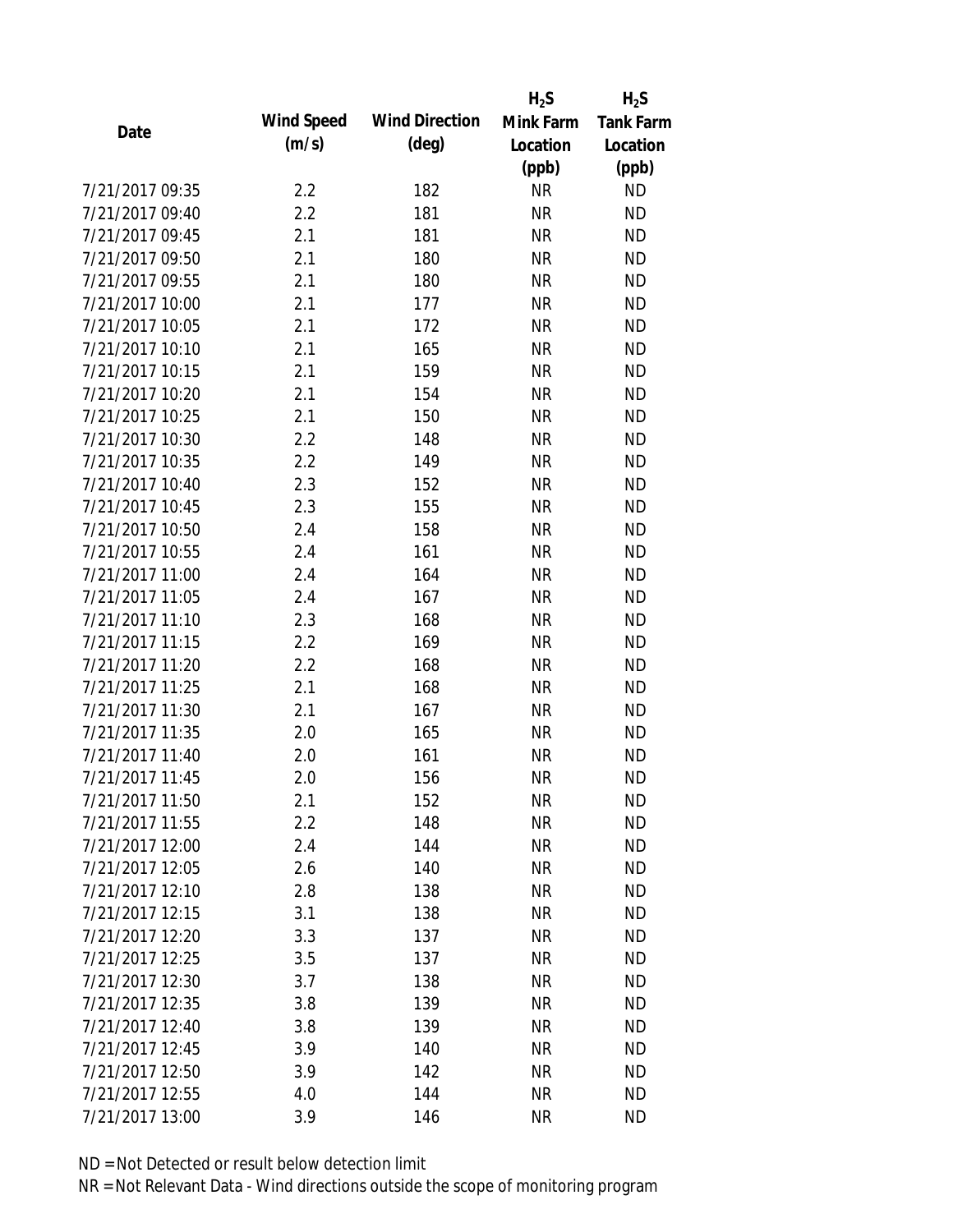|                 |                   |                       | $H_2S$    | $H_2S$           |
|-----------------|-------------------|-----------------------|-----------|------------------|
| Date            | <b>Wind Speed</b> | <b>Wind Direction</b> | Mink Farm | <b>Tank Farm</b> |
|                 | (m/s)             | $(\text{deg})$        | Location  | Location         |
|                 |                   |                       | (ppb)     | (ppb)            |
| 7/21/2017 09:35 | 2.2               | 182                   | <b>NR</b> | <b>ND</b>        |
| 7/21/2017 09:40 | 2.2               | 181                   | <b>NR</b> | <b>ND</b>        |
| 7/21/2017 09:45 | 2.1               | 181                   | <b>NR</b> | <b>ND</b>        |
| 7/21/2017 09:50 | 2.1               | 180                   | <b>NR</b> | <b>ND</b>        |
| 7/21/2017 09:55 | 2.1               | 180                   | <b>NR</b> | <b>ND</b>        |
| 7/21/2017 10:00 | 2.1               | 177                   | <b>NR</b> | <b>ND</b>        |
| 7/21/2017 10:05 | 2.1               | 172                   | <b>NR</b> | <b>ND</b>        |
| 7/21/2017 10:10 | 2.1               | 165                   | <b>NR</b> | <b>ND</b>        |
| 7/21/2017 10:15 | 2.1               | 159                   | <b>NR</b> | <b>ND</b>        |
| 7/21/2017 10:20 | 2.1               | 154                   | <b>NR</b> | <b>ND</b>        |
| 7/21/2017 10:25 | 2.1               | 150                   | <b>NR</b> | <b>ND</b>        |
| 7/21/2017 10:30 | 2.2               | 148                   | <b>NR</b> | <b>ND</b>        |
| 7/21/2017 10:35 | 2.2               | 149                   | <b>NR</b> | <b>ND</b>        |
| 7/21/2017 10:40 | 2.3               | 152                   | <b>NR</b> | <b>ND</b>        |
| 7/21/2017 10:45 | 2.3               | 155                   | <b>NR</b> | <b>ND</b>        |
| 7/21/2017 10:50 | 2.4               | 158                   | <b>NR</b> | <b>ND</b>        |
| 7/21/2017 10:55 | 2.4               | 161                   | <b>NR</b> | <b>ND</b>        |
| 7/21/2017 11:00 | 2.4               | 164                   | <b>NR</b> | <b>ND</b>        |
| 7/21/2017 11:05 | 2.4               | 167                   | <b>NR</b> | <b>ND</b>        |
| 7/21/2017 11:10 | 2.3               | 168                   | <b>NR</b> | <b>ND</b>        |
| 7/21/2017 11:15 | 2.2               | 169                   | <b>NR</b> | <b>ND</b>        |
| 7/21/2017 11:20 | 2.2               | 168                   | <b>NR</b> | <b>ND</b>        |
| 7/21/2017 11:25 | 2.1               | 168                   | <b>NR</b> | <b>ND</b>        |
| 7/21/2017 11:30 | 2.1               | 167                   | <b>NR</b> | <b>ND</b>        |
| 7/21/2017 11:35 | 2.0               | 165                   | <b>NR</b> | <b>ND</b>        |
| 7/21/2017 11:40 | 2.0               | 161                   | <b>NR</b> | <b>ND</b>        |
| 7/21/2017 11:45 | 2.0               | 156                   | <b>NR</b> | <b>ND</b>        |
| 7/21/2017 11:50 | 2.1               | 152                   | NR        | <b>ND</b>        |
| 7/21/2017 11:55 | 2.2               | 148                   | <b>NR</b> | <b>ND</b>        |
| 7/21/2017 12:00 | 2.4               | 144                   | <b>NR</b> | <b>ND</b>        |
| 7/21/2017 12:05 | 2.6               | 140                   | <b>NR</b> | <b>ND</b>        |
| 7/21/2017 12:10 | 2.8               | 138                   | <b>NR</b> | <b>ND</b>        |
| 7/21/2017 12:15 | 3.1               | 138                   | <b>NR</b> | <b>ND</b>        |
| 7/21/2017 12:20 | 3.3               | 137                   | <b>NR</b> | <b>ND</b>        |
| 7/21/2017 12:25 | 3.5               | 137                   | <b>NR</b> | <b>ND</b>        |
| 7/21/2017 12:30 | 3.7               | 138                   | <b>NR</b> | <b>ND</b>        |
| 7/21/2017 12:35 | 3.8               | 139                   | <b>NR</b> | <b>ND</b>        |
| 7/21/2017 12:40 | 3.8               | 139                   | <b>NR</b> | <b>ND</b>        |
| 7/21/2017 12:45 | 3.9               | 140                   | <b>NR</b> | <b>ND</b>        |
| 7/21/2017 12:50 | 3.9               | 142                   | NR        | <b>ND</b>        |
| 7/21/2017 12:55 | 4.0               | 144                   | <b>NR</b> | <b>ND</b>        |
| 7/21/2017 13:00 | 3.9               | 146                   | <b>NR</b> | <b>ND</b>        |
|                 |                   |                       |           |                  |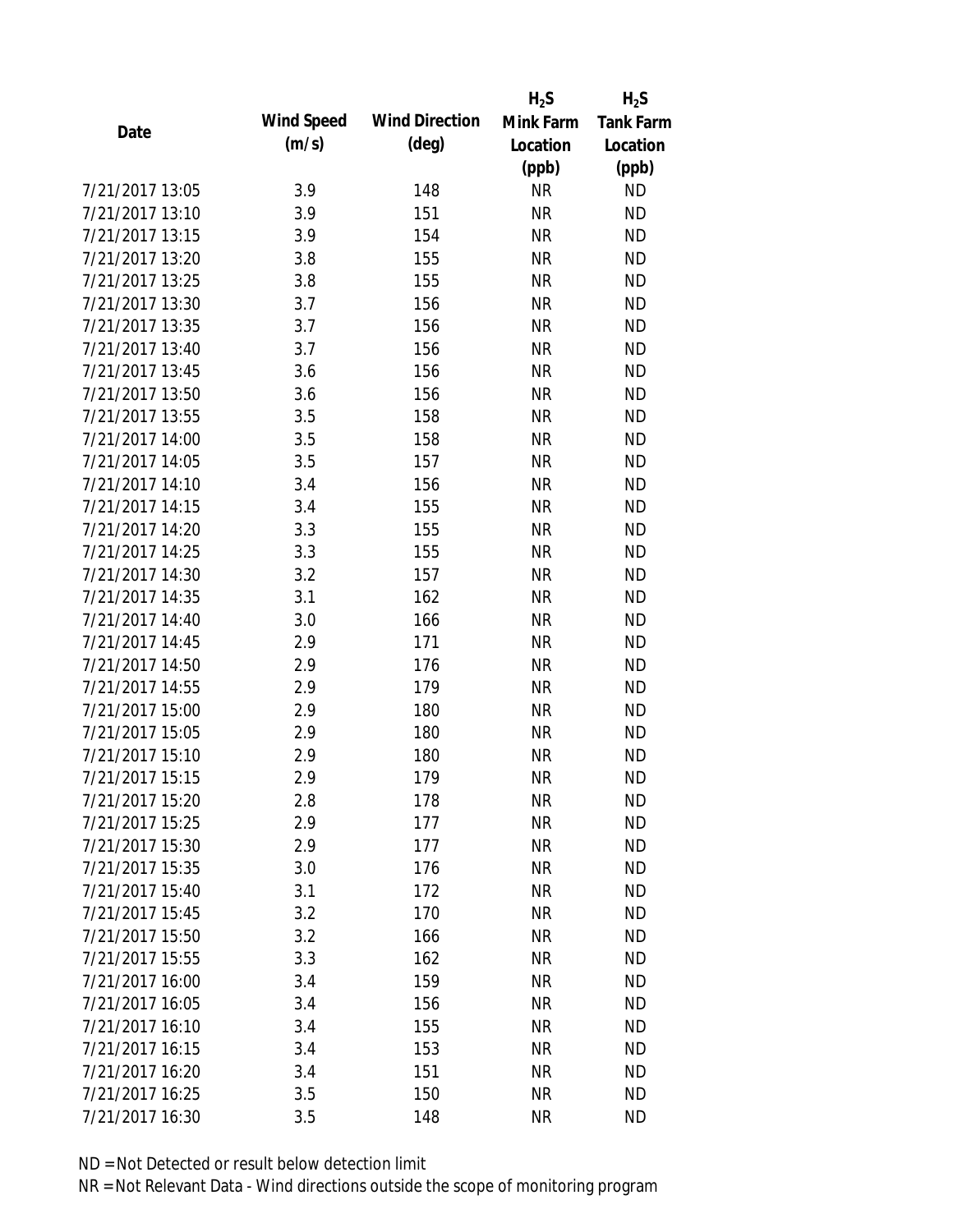|                 |            |                       | $H_2S$    | $H_2S$           |
|-----------------|------------|-----------------------|-----------|------------------|
| Date            | Wind Speed | <b>Wind Direction</b> | Mink Farm | <b>Tank Farm</b> |
|                 | (m/s)      | $(\text{deg})$        | Location  | Location         |
|                 |            |                       | (ppb)     | (ppb)            |
| 7/21/2017 13:05 | 3.9        | 148                   | <b>NR</b> | <b>ND</b>        |
| 7/21/2017 13:10 | 3.9        | 151                   | <b>NR</b> | <b>ND</b>        |
| 7/21/2017 13:15 | 3.9        | 154                   | <b>NR</b> | <b>ND</b>        |
| 7/21/2017 13:20 | 3.8        | 155                   | <b>NR</b> | <b>ND</b>        |
| 7/21/2017 13:25 | 3.8        | 155                   | <b>NR</b> | <b>ND</b>        |
| 7/21/2017 13:30 | 3.7        | 156                   | <b>NR</b> | <b>ND</b>        |
| 7/21/2017 13:35 | 3.7        | 156                   | <b>NR</b> | <b>ND</b>        |
| 7/21/2017 13:40 | 3.7        | 156                   | <b>NR</b> | <b>ND</b>        |
| 7/21/2017 13:45 | 3.6        | 156                   | <b>NR</b> | <b>ND</b>        |
| 7/21/2017 13:50 | 3.6        | 156                   | <b>NR</b> | <b>ND</b>        |
| 7/21/2017 13:55 | 3.5        | 158                   | <b>NR</b> | <b>ND</b>        |
| 7/21/2017 14:00 | 3.5        | 158                   | <b>NR</b> | <b>ND</b>        |
| 7/21/2017 14:05 | 3.5        | 157                   | <b>NR</b> | <b>ND</b>        |
| 7/21/2017 14:10 | 3.4        | 156                   | <b>NR</b> | <b>ND</b>        |
| 7/21/2017 14:15 | 3.4        | 155                   | <b>NR</b> | <b>ND</b>        |
| 7/21/2017 14:20 | 3.3        | 155                   | <b>NR</b> | <b>ND</b>        |
| 7/21/2017 14:25 | 3.3        | 155                   | <b>NR</b> | <b>ND</b>        |
| 7/21/2017 14:30 | 3.2        | 157                   | <b>NR</b> | <b>ND</b>        |
| 7/21/2017 14:35 | 3.1        | 162                   | <b>NR</b> | <b>ND</b>        |
| 7/21/2017 14:40 | 3.0        | 166                   | <b>NR</b> | <b>ND</b>        |
| 7/21/2017 14:45 | 2.9        | 171                   | <b>NR</b> | <b>ND</b>        |
| 7/21/2017 14:50 | 2.9        | 176                   | <b>NR</b> | <b>ND</b>        |
| 7/21/2017 14:55 | 2.9        | 179                   | <b>NR</b> | <b>ND</b>        |
| 7/21/2017 15:00 | 2.9        | 180                   | <b>NR</b> | <b>ND</b>        |
| 7/21/2017 15:05 | 2.9        | 180                   | <b>NR</b> | <b>ND</b>        |
| 7/21/2017 15:10 | 2.9        | 180                   | <b>NR</b> | <b>ND</b>        |
| 7/21/2017 15:15 | 2.9        | 179                   | <b>NR</b> | <b>ND</b>        |
| 7/21/2017 15:20 | 2.8        | 178                   | ΝR        | <b>ND</b>        |
| 7/21/2017 15:25 | 2.9        | 177                   | <b>NR</b> | <b>ND</b>        |
| 7/21/2017 15:30 | 2.9        | 177                   | <b>NR</b> | <b>ND</b>        |
| 7/21/2017 15:35 | 3.0        | 176                   | <b>NR</b> | <b>ND</b>        |
| 7/21/2017 15:40 | 3.1        | 172                   | <b>NR</b> | <b>ND</b>        |
| 7/21/2017 15:45 | 3.2        | 170                   | <b>NR</b> | <b>ND</b>        |
| 7/21/2017 15:50 | 3.2        | 166                   | <b>NR</b> | <b>ND</b>        |
| 7/21/2017 15:55 | 3.3        | 162                   | <b>NR</b> | <b>ND</b>        |
| 7/21/2017 16:00 | 3.4        | 159                   | <b>NR</b> | <b>ND</b>        |
| 7/21/2017 16:05 | 3.4        | 156                   | <b>NR</b> | <b>ND</b>        |
| 7/21/2017 16:10 | 3.4        | 155                   | <b>NR</b> | <b>ND</b>        |
| 7/21/2017 16:15 | 3.4        | 153                   | <b>NR</b> | <b>ND</b>        |
| 7/21/2017 16:20 | 3.4        | 151                   | NR        | <b>ND</b>        |
| 7/21/2017 16:25 | 3.5        | 150                   | <b>NR</b> | <b>ND</b>        |
| 7/21/2017 16:30 | 3.5        | 148                   | <b>NR</b> | <b>ND</b>        |
|                 |            |                       |           |                  |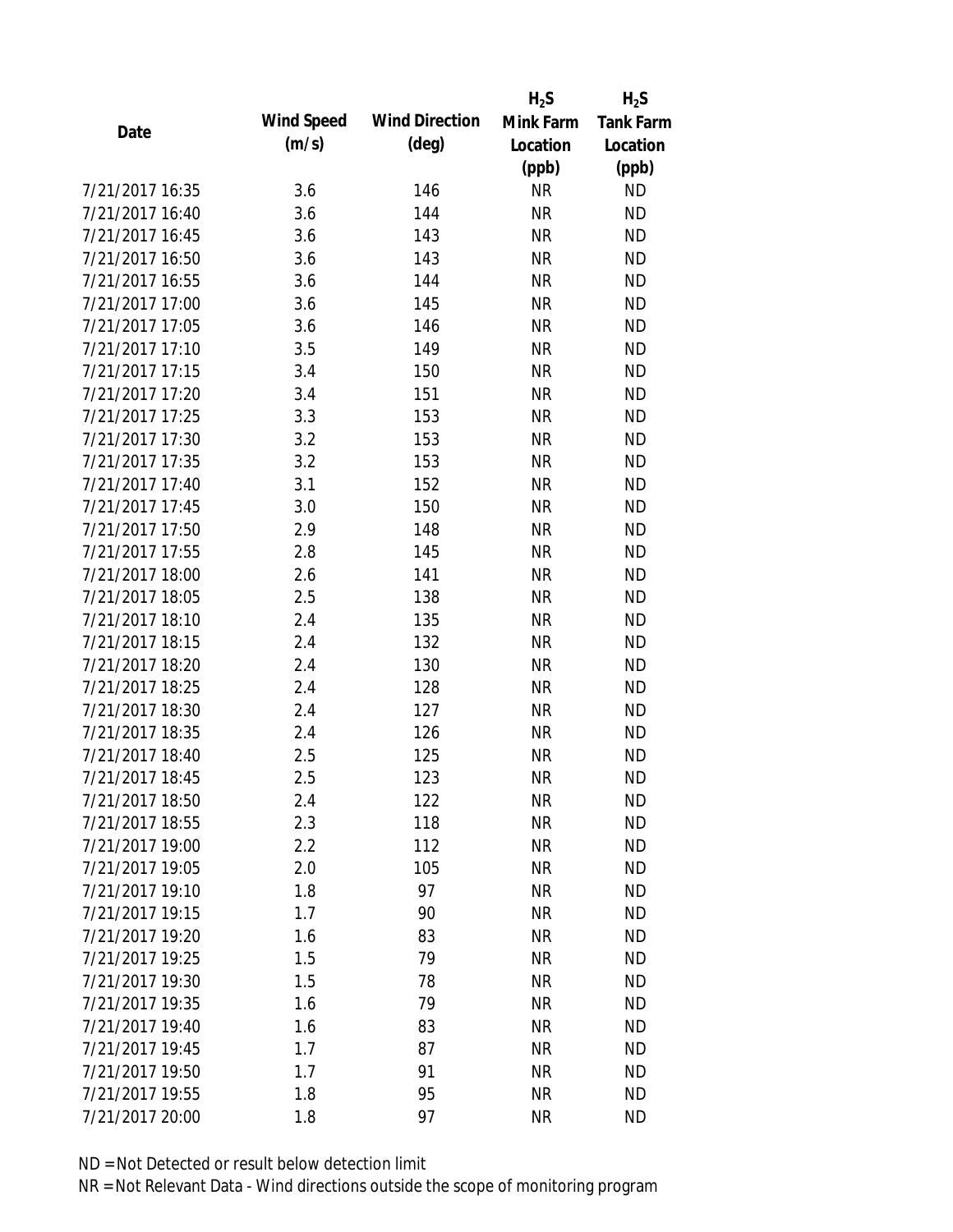|                 |            |                       | $H_2S$    | $H_2S$           |
|-----------------|------------|-----------------------|-----------|------------------|
| Date            | Wind Speed | <b>Wind Direction</b> | Mink Farm | <b>Tank Farm</b> |
|                 | (m/s)      | $(\text{deg})$        | Location  | Location         |
|                 |            |                       | (ppb)     | (ppb)            |
| 7/21/2017 16:35 | 3.6        | 146                   | <b>NR</b> | <b>ND</b>        |
| 7/21/2017 16:40 | 3.6        | 144                   | <b>NR</b> | <b>ND</b>        |
| 7/21/2017 16:45 | 3.6        | 143                   | <b>NR</b> | <b>ND</b>        |
| 7/21/2017 16:50 | 3.6        | 143                   | <b>NR</b> | <b>ND</b>        |
| 7/21/2017 16:55 | 3.6        | 144                   | <b>NR</b> | <b>ND</b>        |
| 7/21/2017 17:00 | 3.6        | 145                   | <b>NR</b> | <b>ND</b>        |
| 7/21/2017 17:05 | 3.6        | 146                   | <b>NR</b> | <b>ND</b>        |
| 7/21/2017 17:10 | 3.5        | 149                   | <b>NR</b> | <b>ND</b>        |
| 7/21/2017 17:15 | 3.4        | 150                   | <b>NR</b> | <b>ND</b>        |
| 7/21/2017 17:20 | 3.4        | 151                   | <b>NR</b> | <b>ND</b>        |
| 7/21/2017 17:25 | 3.3        | 153                   | <b>NR</b> | <b>ND</b>        |
| 7/21/2017 17:30 | 3.2        | 153                   | <b>NR</b> | <b>ND</b>        |
| 7/21/2017 17:35 | 3.2        | 153                   | <b>NR</b> | <b>ND</b>        |
| 7/21/2017 17:40 | 3.1        | 152                   | <b>NR</b> | <b>ND</b>        |
| 7/21/2017 17:45 | 3.0        | 150                   | <b>NR</b> | <b>ND</b>        |
| 7/21/2017 17:50 | 2.9        | 148                   | <b>NR</b> | <b>ND</b>        |
| 7/21/2017 17:55 | 2.8        | 145                   | <b>NR</b> | <b>ND</b>        |
| 7/21/2017 18:00 | 2.6        | 141                   | <b>NR</b> | <b>ND</b>        |
| 7/21/2017 18:05 | 2.5        | 138                   | <b>NR</b> | <b>ND</b>        |
| 7/21/2017 18:10 | 2.4        | 135                   | <b>NR</b> | <b>ND</b>        |
| 7/21/2017 18:15 | 2.4        | 132                   | <b>NR</b> | <b>ND</b>        |
| 7/21/2017 18:20 | 2.4        | 130                   | <b>NR</b> | <b>ND</b>        |
| 7/21/2017 18:25 | 2.4        | 128                   | <b>NR</b> | <b>ND</b>        |
| 7/21/2017 18:30 | 2.4        | 127                   | <b>NR</b> | <b>ND</b>        |
| 7/21/2017 18:35 | 2.4        | 126                   | <b>NR</b> | <b>ND</b>        |
| 7/21/2017 18:40 | 2.5        | 125                   | <b>NR</b> | <b>ND</b>        |
| 7/21/2017 18:45 | 2.5        | 123                   | <b>NR</b> | <b>ND</b>        |
| 7/21/2017 18:50 | 2.4        | 122                   | NR        | <b>ND</b>        |
| 7/21/2017 18:55 | 2.3        | 118                   | <b>NR</b> | <b>ND</b>        |
| 7/21/2017 19:00 | 2.2        | 112                   | <b>NR</b> | <b>ND</b>        |
| 7/21/2017 19:05 | 2.0        | 105                   | <b>NR</b> | <b>ND</b>        |
| 7/21/2017 19:10 | 1.8        | 97                    | <b>NR</b> | <b>ND</b>        |
| 7/21/2017 19:15 | 1.7        | 90                    | <b>NR</b> | <b>ND</b>        |
| 7/21/2017 19:20 | 1.6        | 83                    | <b>NR</b> | <b>ND</b>        |
| 7/21/2017 19:25 | 1.5        | 79                    | <b>NR</b> | <b>ND</b>        |
| 7/21/2017 19:30 | 1.5        | 78                    | <b>NR</b> | <b>ND</b>        |
| 7/21/2017 19:35 | 1.6        | 79                    | <b>NR</b> | <b>ND</b>        |
| 7/21/2017 19:40 | 1.6        | 83                    | <b>NR</b> | <b>ND</b>        |
| 7/21/2017 19:45 | 1.7        | 87                    | <b>NR</b> | <b>ND</b>        |
| 7/21/2017 19:50 | 1.7        | 91                    | <b>NR</b> | <b>ND</b>        |
| 7/21/2017 19:55 | 1.8        | 95                    | <b>NR</b> | <b>ND</b>        |
| 7/21/2017 20:00 | 1.8        | 97                    | <b>NR</b> | <b>ND</b>        |
|                 |            |                       |           |                  |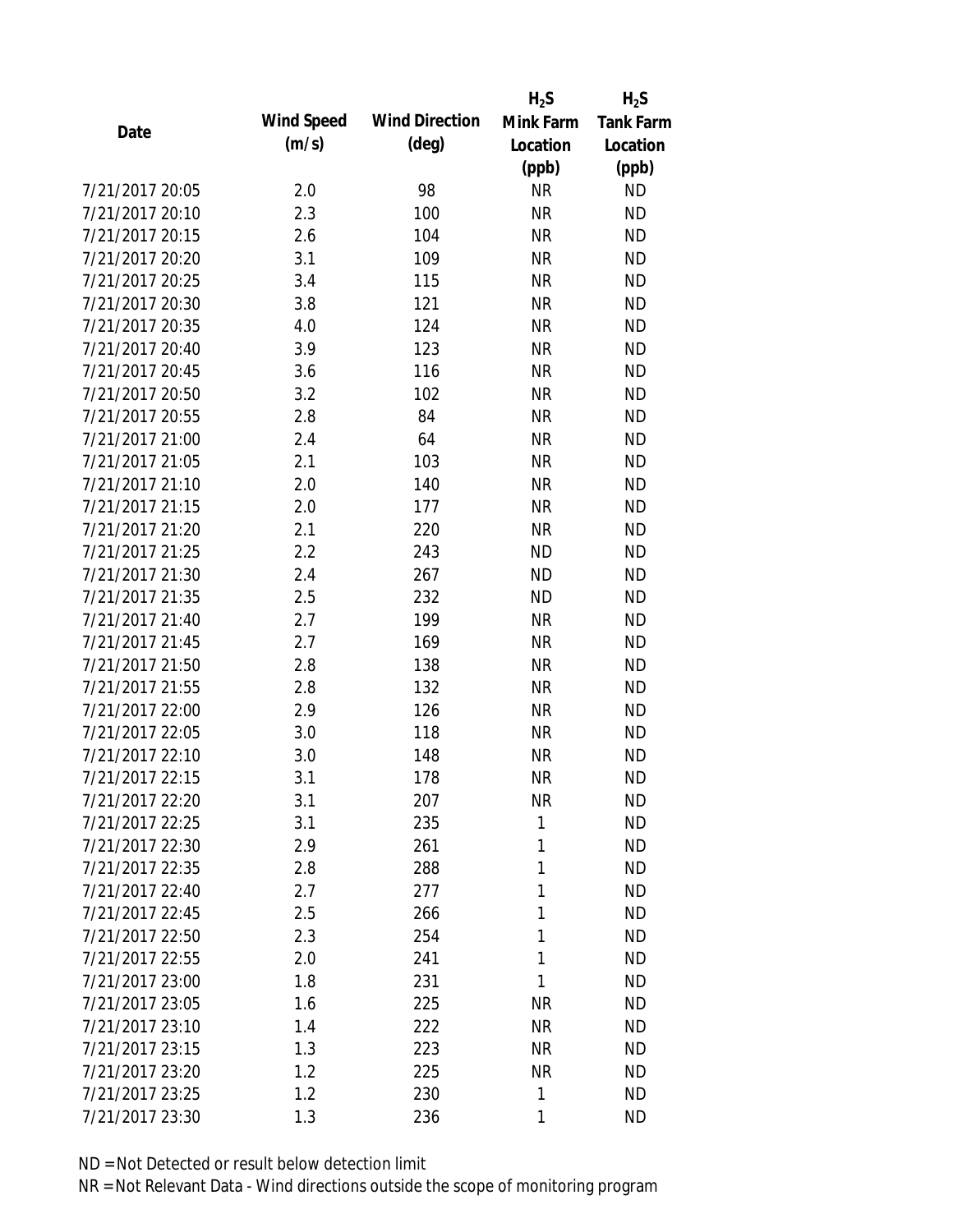|                 |                   |                       | $H_2S$    | $H_2S$           |
|-----------------|-------------------|-----------------------|-----------|------------------|
| Date            | <b>Wind Speed</b> | <b>Wind Direction</b> | Mink Farm | <b>Tank Farm</b> |
|                 | (m/s)             | $(\text{deg})$        | Location  | Location         |
|                 |                   |                       | (ppb)     | (ppb)            |
| 7/21/2017 20:05 | 2.0               | 98                    | <b>NR</b> | <b>ND</b>        |
| 7/21/2017 20:10 | 2.3               | 100                   | <b>NR</b> | <b>ND</b>        |
| 7/21/2017 20:15 | 2.6               | 104                   | <b>NR</b> | <b>ND</b>        |
| 7/21/2017 20:20 | 3.1               | 109                   | <b>NR</b> | <b>ND</b>        |
| 7/21/2017 20:25 | 3.4               | 115                   | <b>NR</b> | <b>ND</b>        |
| 7/21/2017 20:30 | 3.8               | 121                   | <b>NR</b> | <b>ND</b>        |
| 7/21/2017 20:35 | 4.0               | 124                   | <b>NR</b> | <b>ND</b>        |
| 7/21/2017 20:40 | 3.9               | 123                   | <b>NR</b> | <b>ND</b>        |
| 7/21/2017 20:45 | 3.6               | 116                   | <b>NR</b> | <b>ND</b>        |
| 7/21/2017 20:50 | 3.2               | 102                   | <b>NR</b> | <b>ND</b>        |
| 7/21/2017 20:55 | 2.8               | 84                    | <b>NR</b> | <b>ND</b>        |
| 7/21/2017 21:00 | 2.4               | 64                    | <b>NR</b> | <b>ND</b>        |
| 7/21/2017 21:05 | 2.1               | 103                   | <b>NR</b> | <b>ND</b>        |
| 7/21/2017 21:10 | 2.0               | 140                   | <b>NR</b> | <b>ND</b>        |
| 7/21/2017 21:15 | 2.0               | 177                   | <b>NR</b> | <b>ND</b>        |
| 7/21/2017 21:20 | 2.1               | 220                   | <b>NR</b> | <b>ND</b>        |
| 7/21/2017 21:25 | 2.2               | 243                   | <b>ND</b> | <b>ND</b>        |
| 7/21/2017 21:30 | 2.4               | 267                   | <b>ND</b> | <b>ND</b>        |
| 7/21/2017 21:35 | 2.5               | 232                   | <b>ND</b> | <b>ND</b>        |
| 7/21/2017 21:40 | 2.7               | 199                   | <b>NR</b> | <b>ND</b>        |
| 7/21/2017 21:45 | 2.7               | 169                   | <b>NR</b> | <b>ND</b>        |
| 7/21/2017 21:50 | 2.8               | 138                   | <b>NR</b> | <b>ND</b>        |
| 7/21/2017 21:55 | 2.8               | 132                   | <b>NR</b> | <b>ND</b>        |
| 7/21/2017 22:00 | 2.9               | 126                   | <b>NR</b> | <b>ND</b>        |
| 7/21/2017 22:05 | 3.0               | 118                   | <b>NR</b> | <b>ND</b>        |
| 7/21/2017 22:10 | 3.0               | 148                   | <b>NR</b> | <b>ND</b>        |
| 7/21/2017 22:15 | 3.1               | 178                   | <b>NR</b> | <b>ND</b>        |
| 7/21/2017 22:20 | 3.1               | 207                   | <b>NR</b> | <b>ND</b>        |
| 7/21/2017 22:25 | 3.1               | 235                   | 1         | <b>ND</b>        |
| 7/21/2017 22:30 | 2.9               | 261                   | 1         | <b>ND</b>        |
| 7/21/2017 22:35 | 2.8               | 288                   | 1         | <b>ND</b>        |
| 7/21/2017 22:40 | 2.7               | 277                   | 1         | <b>ND</b>        |
| 7/21/2017 22:45 | 2.5               | 266                   | 1         | <b>ND</b>        |
| 7/21/2017 22:50 | 2.3               | 254                   | 1         | <b>ND</b>        |
| 7/21/2017 22:55 | 2.0               | 241                   | 1         | <b>ND</b>        |
| 7/21/2017 23:00 | 1.8               | 231                   | 1         | <b>ND</b>        |
| 7/21/2017 23:05 | 1.6               | 225                   | <b>NR</b> | <b>ND</b>        |
| 7/21/2017 23:10 | 1.4               | 222                   | <b>NR</b> | <b>ND</b>        |
| 7/21/2017 23:15 | 1.3               | 223                   | <b>NR</b> | <b>ND</b>        |
| 7/21/2017 23:20 | 1.2               | 225                   | <b>NR</b> | <b>ND</b>        |
| 7/21/2017 23:25 | 1.2               | 230                   | 1         | <b>ND</b>        |
| 7/21/2017 23:30 | 1.3               | 236                   | 1         | <b>ND</b>        |
|                 |                   |                       |           |                  |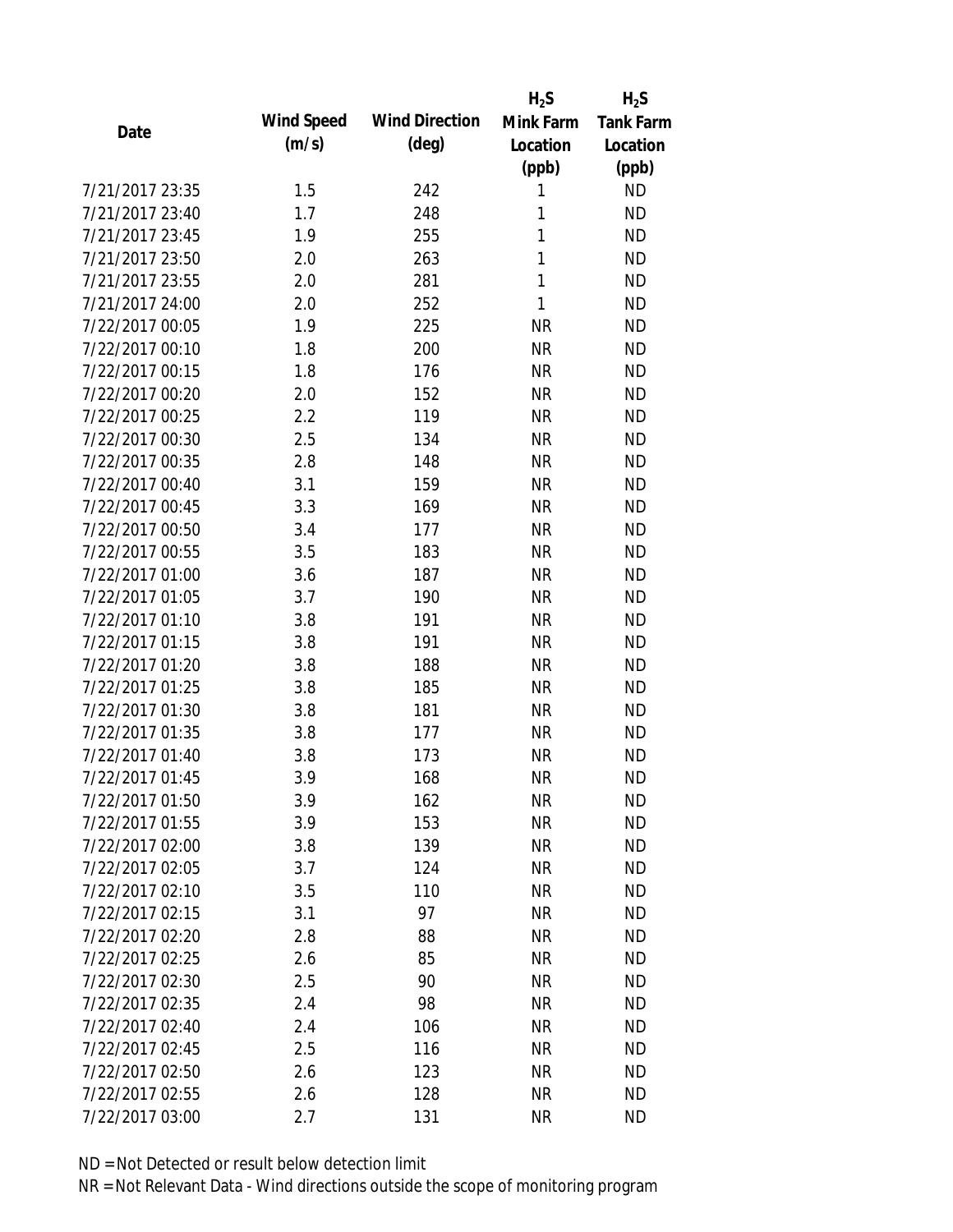|                 |            |                       | $H_2S$    | $H_2S$           |
|-----------------|------------|-----------------------|-----------|------------------|
| Date            | Wind Speed | <b>Wind Direction</b> | Mink Farm | <b>Tank Farm</b> |
|                 | (m/s)      | $(\text{deg})$        | Location  | Location         |
|                 |            |                       | (ppb)     | (ppb)            |
| 7/21/2017 23:35 | 1.5        | 242                   | 1         | <b>ND</b>        |
| 7/21/2017 23:40 | 1.7        | 248                   | 1         | <b>ND</b>        |
| 7/21/2017 23:45 | 1.9        | 255                   | 1         | <b>ND</b>        |
| 7/21/2017 23:50 | 2.0        | 263                   | 1         | <b>ND</b>        |
| 7/21/2017 23:55 | 2.0        | 281                   | 1         | <b>ND</b>        |
| 7/21/2017 24:00 | 2.0        | 252                   | 1         | <b>ND</b>        |
| 7/22/2017 00:05 | 1.9        | 225                   | <b>NR</b> | <b>ND</b>        |
| 7/22/2017 00:10 | 1.8        | 200                   | <b>NR</b> | <b>ND</b>        |
| 7/22/2017 00:15 | 1.8        | 176                   | <b>NR</b> | <b>ND</b>        |
| 7/22/2017 00:20 | 2.0        | 152                   | <b>NR</b> | <b>ND</b>        |
| 7/22/2017 00:25 | 2.2        | 119                   | <b>NR</b> | <b>ND</b>        |
| 7/22/2017 00:30 | 2.5        | 134                   | <b>NR</b> | <b>ND</b>        |
| 7/22/2017 00:35 | 2.8        | 148                   | <b>NR</b> | <b>ND</b>        |
| 7/22/2017 00:40 | 3.1        | 159                   | <b>NR</b> | <b>ND</b>        |
| 7/22/2017 00:45 | 3.3        | 169                   | <b>NR</b> | <b>ND</b>        |
| 7/22/2017 00:50 | 3.4        | 177                   | <b>NR</b> | <b>ND</b>        |
| 7/22/2017 00:55 | 3.5        | 183                   | <b>NR</b> | <b>ND</b>        |
| 7/22/2017 01:00 | 3.6        | 187                   | <b>NR</b> | <b>ND</b>        |
| 7/22/2017 01:05 | 3.7        | 190                   | <b>NR</b> | <b>ND</b>        |
| 7/22/2017 01:10 | 3.8        | 191                   | <b>NR</b> | <b>ND</b>        |
| 7/22/2017 01:15 | 3.8        | 191                   | <b>NR</b> | <b>ND</b>        |
| 7/22/2017 01:20 | 3.8        | 188                   | <b>NR</b> | <b>ND</b>        |
| 7/22/2017 01:25 | 3.8        | 185                   | <b>NR</b> | <b>ND</b>        |
| 7/22/2017 01:30 | 3.8        | 181                   | <b>NR</b> | <b>ND</b>        |
| 7/22/2017 01:35 | 3.8        | 177                   | <b>NR</b> | <b>ND</b>        |
| 7/22/2017 01:40 | 3.8        | 173                   | <b>NR</b> | <b>ND</b>        |
| 7/22/2017 01:45 | 3.9        | 168                   | <b>NR</b> | <b>ND</b>        |
| 7/22/2017 01:50 | 3.9        | 162                   | <b>NR</b> | <b>ND</b>        |
| 7/22/2017 01:55 | 3.9        | 153                   | <b>NR</b> | <b>ND</b>        |
| 7/22/2017 02:00 | 3.8        | 139                   | <b>NR</b> | <b>ND</b>        |
| 7/22/2017 02:05 | 3.7        | 124                   | <b>NR</b> | <b>ND</b>        |
| 7/22/2017 02:10 | 3.5        | 110                   | <b>NR</b> | <b>ND</b>        |
| 7/22/2017 02:15 | 3.1        | 97                    | <b>NR</b> | <b>ND</b>        |
| 7/22/2017 02:20 | 2.8        | 88                    | <b>NR</b> | <b>ND</b>        |
| 7/22/2017 02:25 | 2.6        | 85                    | <b>NR</b> | <b>ND</b>        |
| 7/22/2017 02:30 | 2.5        | 90                    | <b>NR</b> | <b>ND</b>        |
| 7/22/2017 02:35 | 2.4        | 98                    | <b>NR</b> | <b>ND</b>        |
| 7/22/2017 02:40 | 2.4        | 106                   | <b>NR</b> | <b>ND</b>        |
| 7/22/2017 02:45 | 2.5        | 116                   | <b>NR</b> | <b>ND</b>        |
| 7/22/2017 02:50 | 2.6        | 123                   | <b>NR</b> | <b>ND</b>        |
| 7/22/2017 02:55 | 2.6        | 128                   | <b>NR</b> | <b>ND</b>        |
| 7/22/2017 03:00 | 2.7        | 131                   | <b>NR</b> | <b>ND</b>        |
|                 |            |                       |           |                  |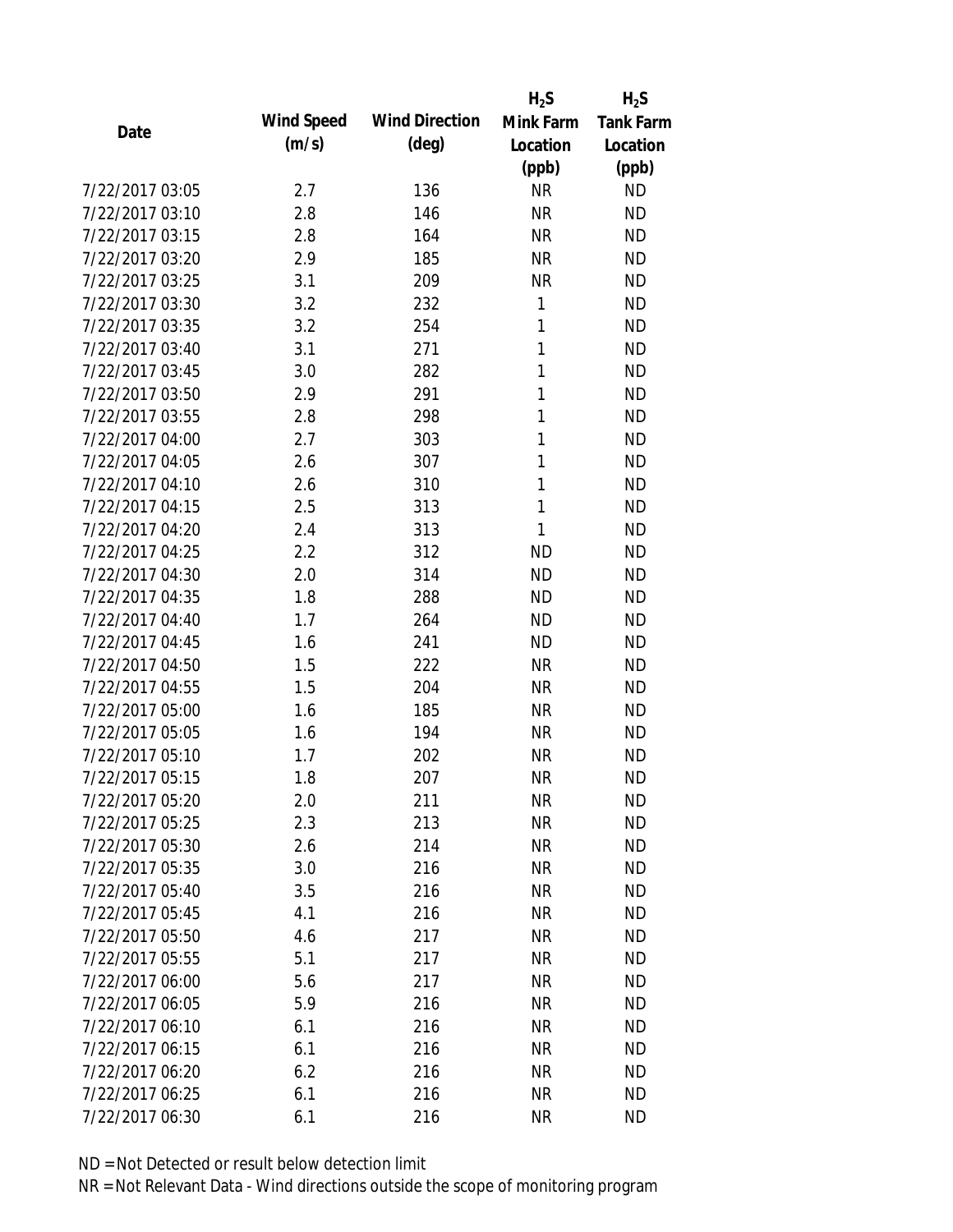|                 |            |                       | $H_2S$    | $H_2S$           |
|-----------------|------------|-----------------------|-----------|------------------|
| Date            | Wind Speed | <b>Wind Direction</b> | Mink Farm | <b>Tank Farm</b> |
|                 | (m/s)      | $(\text{deg})$        | Location  | Location         |
|                 |            |                       | (ppb)     | (ppb)            |
| 7/22/2017 03:05 | 2.7        | 136                   | <b>NR</b> | <b>ND</b>        |
| 7/22/2017 03:10 | 2.8        | 146                   | <b>NR</b> | <b>ND</b>        |
| 7/22/2017 03:15 | 2.8        | 164                   | <b>NR</b> | <b>ND</b>        |
| 7/22/2017 03:20 | 2.9        | 185                   | <b>NR</b> | <b>ND</b>        |
| 7/22/2017 03:25 | 3.1        | 209                   | <b>NR</b> | <b>ND</b>        |
| 7/22/2017 03:30 | 3.2        | 232                   | 1         | <b>ND</b>        |
| 7/22/2017 03:35 | 3.2        | 254                   | 1         | <b>ND</b>        |
| 7/22/2017 03:40 | 3.1        | 271                   | 1         | <b>ND</b>        |
| 7/22/2017 03:45 | 3.0        | 282                   | 1         | <b>ND</b>        |
| 7/22/2017 03:50 | 2.9        | 291                   | 1         | <b>ND</b>        |
| 7/22/2017 03:55 | 2.8        | 298                   | 1         | <b>ND</b>        |
| 7/22/2017 04:00 | 2.7        | 303                   | 1         | <b>ND</b>        |
| 7/22/2017 04:05 | 2.6        | 307                   | 1         | <b>ND</b>        |
| 7/22/2017 04:10 | 2.6        | 310                   | 1         | <b>ND</b>        |
| 7/22/2017 04:15 | 2.5        | 313                   | 1         | <b>ND</b>        |
| 7/22/2017 04:20 | 2.4        | 313                   | 1         | <b>ND</b>        |
| 7/22/2017 04:25 | 2.2        | 312                   | <b>ND</b> | <b>ND</b>        |
| 7/22/2017 04:30 | 2.0        | 314                   | <b>ND</b> | <b>ND</b>        |
| 7/22/2017 04:35 | 1.8        | 288                   | <b>ND</b> | <b>ND</b>        |
| 7/22/2017 04:40 | 1.7        | 264                   | <b>ND</b> | <b>ND</b>        |
| 7/22/2017 04:45 | 1.6        | 241                   | <b>ND</b> | <b>ND</b>        |
| 7/22/2017 04:50 | 1.5        | 222                   | <b>NR</b> | <b>ND</b>        |
| 7/22/2017 04:55 | 1.5        | 204                   | <b>NR</b> | <b>ND</b>        |
| 7/22/2017 05:00 | 1.6        | 185                   | <b>NR</b> | <b>ND</b>        |
| 7/22/2017 05:05 | 1.6        | 194                   | <b>NR</b> | <b>ND</b>        |
| 7/22/2017 05:10 | 1.7        | 202                   | <b>NR</b> | <b>ND</b>        |
| 7/22/2017 05:15 | 1.8        | 207                   | <b>NR</b> | <b>ND</b>        |
| 7/22/2017 05:20 | 2.0        | 211                   | <b>NR</b> | <b>ND</b>        |
| 7/22/2017 05:25 | 2.3        | 213                   | <b>NR</b> | <b>ND</b>        |
| 7/22/2017 05:30 | 2.6        | 214                   | <b>NR</b> | <b>ND</b>        |
| 7/22/2017 05:35 | 3.0        | 216                   | <b>NR</b> | <b>ND</b>        |
| 7/22/2017 05:40 | 3.5        | 216                   | <b>NR</b> | <b>ND</b>        |
| 7/22/2017 05:45 | 4.1        | 216                   | NR        | <b>ND</b>        |
| 7/22/2017 05:50 | 4.6        | 217                   | <b>NR</b> | <b>ND</b>        |
| 7/22/2017 05:55 | 5.1        | 217                   | <b>NR</b> | <b>ND</b>        |
| 7/22/2017 06:00 | 5.6        | 217                   | <b>NR</b> | <b>ND</b>        |
| 7/22/2017 06:05 | 5.9        | 216                   | <b>NR</b> | <b>ND</b>        |
| 7/22/2017 06:10 | 6.1        | 216                   | NR        | <b>ND</b>        |
| 7/22/2017 06:15 | 6.1        | 216                   | <b>NR</b> | <b>ND</b>        |
| 7/22/2017 06:20 | 6.2        | 216                   | ΝR        | <b>ND</b>        |
| 7/22/2017 06:25 | 6.1        | 216                   | <b>NR</b> | <b>ND</b>        |
| 7/22/2017 06:30 | 6.1        | 216                   | <b>NR</b> | <b>ND</b>        |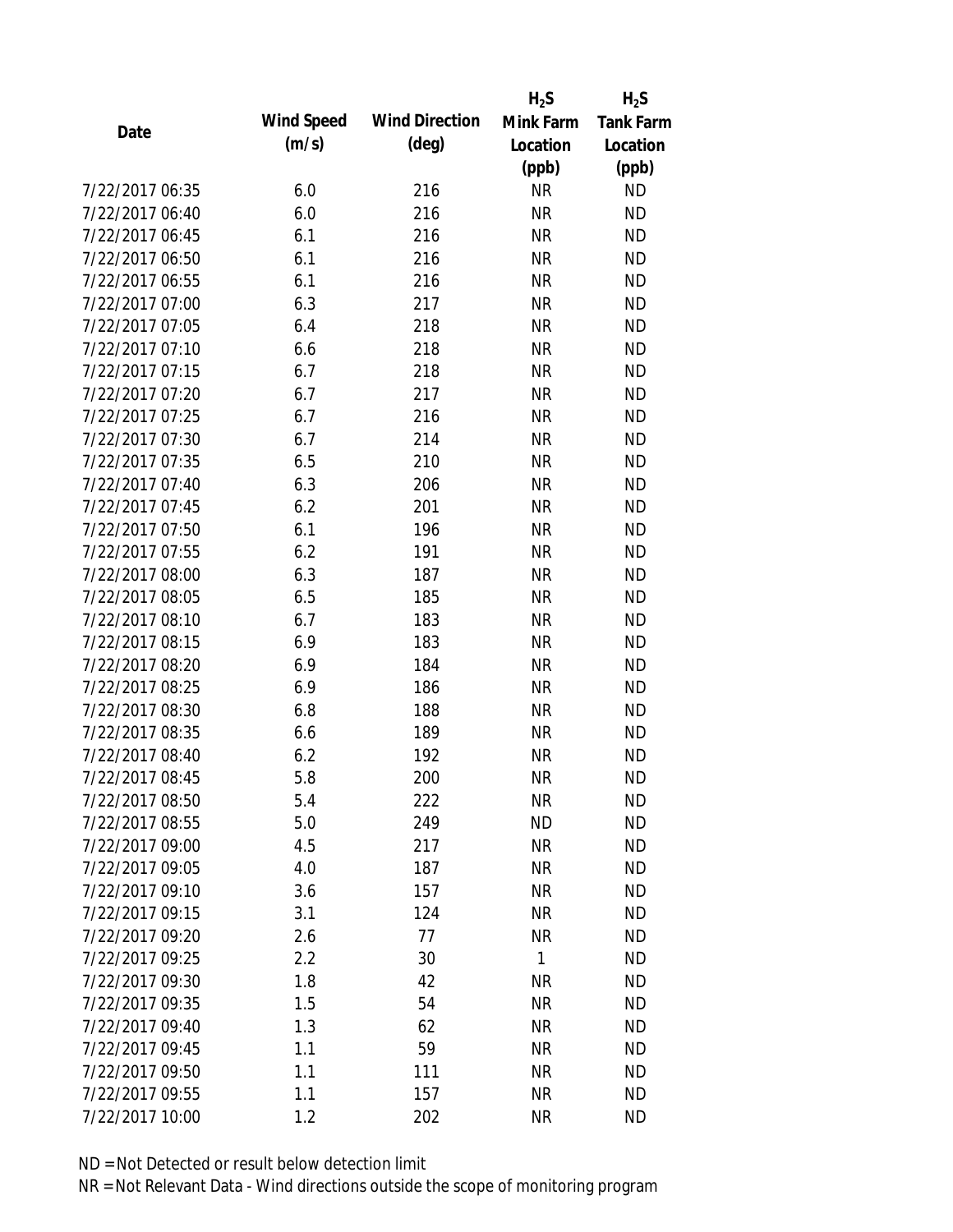|                 |            |                       | $H_2S$    | $H_2S$           |
|-----------------|------------|-----------------------|-----------|------------------|
| Date            | Wind Speed | <b>Wind Direction</b> | Mink Farm | <b>Tank Farm</b> |
|                 | (m/s)      | $(\text{deg})$        | Location  | Location         |
|                 |            |                       | (ppb)     | (ppb)            |
| 7/22/2017 06:35 | 6.0        | 216                   | <b>NR</b> | <b>ND</b>        |
| 7/22/2017 06:40 | 6.0        | 216                   | <b>NR</b> | <b>ND</b>        |
| 7/22/2017 06:45 | 6.1        | 216                   | <b>NR</b> | <b>ND</b>        |
| 7/22/2017 06:50 | 6.1        | 216                   | <b>NR</b> | <b>ND</b>        |
| 7/22/2017 06:55 | 6.1        | 216                   | <b>NR</b> | <b>ND</b>        |
| 7/22/2017 07:00 | 6.3        | 217                   | <b>NR</b> | <b>ND</b>        |
| 7/22/2017 07:05 | 6.4        | 218                   | <b>NR</b> | <b>ND</b>        |
| 7/22/2017 07:10 | 6.6        | 218                   | <b>NR</b> | <b>ND</b>        |
| 7/22/2017 07:15 | 6.7        | 218                   | <b>NR</b> | <b>ND</b>        |
| 7/22/2017 07:20 | 6.7        | 217                   | <b>NR</b> | <b>ND</b>        |
| 7/22/2017 07:25 | 6.7        | 216                   | <b>NR</b> | <b>ND</b>        |
| 7/22/2017 07:30 | 6.7        | 214                   | <b>NR</b> | <b>ND</b>        |
| 7/22/2017 07:35 | 6.5        | 210                   | <b>NR</b> | <b>ND</b>        |
| 7/22/2017 07:40 | 6.3        | 206                   | <b>NR</b> | <b>ND</b>        |
| 7/22/2017 07:45 | 6.2        | 201                   | <b>NR</b> | <b>ND</b>        |
| 7/22/2017 07:50 | 6.1        | 196                   | <b>NR</b> | <b>ND</b>        |
| 7/22/2017 07:55 | 6.2        | 191                   | <b>NR</b> | <b>ND</b>        |
| 7/22/2017 08:00 | 6.3        | 187                   | <b>NR</b> | <b>ND</b>        |
| 7/22/2017 08:05 | 6.5        | 185                   | <b>NR</b> | <b>ND</b>        |
| 7/22/2017 08:10 | 6.7        | 183                   | <b>NR</b> | <b>ND</b>        |
| 7/22/2017 08:15 | 6.9        | 183                   | <b>NR</b> | <b>ND</b>        |
| 7/22/2017 08:20 | 6.9        | 184                   | <b>NR</b> | <b>ND</b>        |
| 7/22/2017 08:25 | 6.9        | 186                   | <b>NR</b> | <b>ND</b>        |
| 7/22/2017 08:30 | 6.8        | 188                   | <b>NR</b> | <b>ND</b>        |
| 7/22/2017 08:35 | 6.6        | 189                   | <b>NR</b> | <b>ND</b>        |
| 7/22/2017 08:40 | 6.2        | 192                   | <b>NR</b> | <b>ND</b>        |
| 7/22/2017 08:45 | 5.8        | 200                   | <b>NR</b> | <b>ND</b>        |
| 7/22/2017 08:50 | 5.4        | 222                   | <b>NR</b> | <b>ND</b>        |
| 7/22/2017 08:55 | 5.0        | 249                   | <b>ND</b> | <b>ND</b>        |
| 7/22/2017 09:00 | 4.5        | 217                   | <b>NR</b> | <b>ND</b>        |
| 7/22/2017 09:05 | 4.0        | 187                   | <b>NR</b> | <b>ND</b>        |
| 7/22/2017 09:10 | 3.6        | 157                   | <b>NR</b> | <b>ND</b>        |
| 7/22/2017 09:15 | 3.1        | 124                   | <b>NR</b> | <b>ND</b>        |
| 7/22/2017 09:20 | 2.6        | 77                    | <b>NR</b> | <b>ND</b>        |
| 7/22/2017 09:25 | 2.2        | 30                    | 1         | <b>ND</b>        |
| 7/22/2017 09:30 | 1.8        | 42                    | <b>NR</b> | <b>ND</b>        |
| 7/22/2017 09:35 | 1.5        | 54                    | <b>NR</b> | <b>ND</b>        |
| 7/22/2017 09:40 | 1.3        | 62                    | <b>NR</b> | <b>ND</b>        |
| 7/22/2017 09:45 | 1.1        | 59                    | <b>NR</b> | <b>ND</b>        |
| 7/22/2017 09:50 | 1.1        | 111                   | <b>NR</b> | <b>ND</b>        |
| 7/22/2017 09:55 | 1.1        | 157                   | <b>NR</b> | <b>ND</b>        |
| 7/22/2017 10:00 | 1.2        | 202                   | <b>NR</b> | <b>ND</b>        |
|                 |            |                       |           |                  |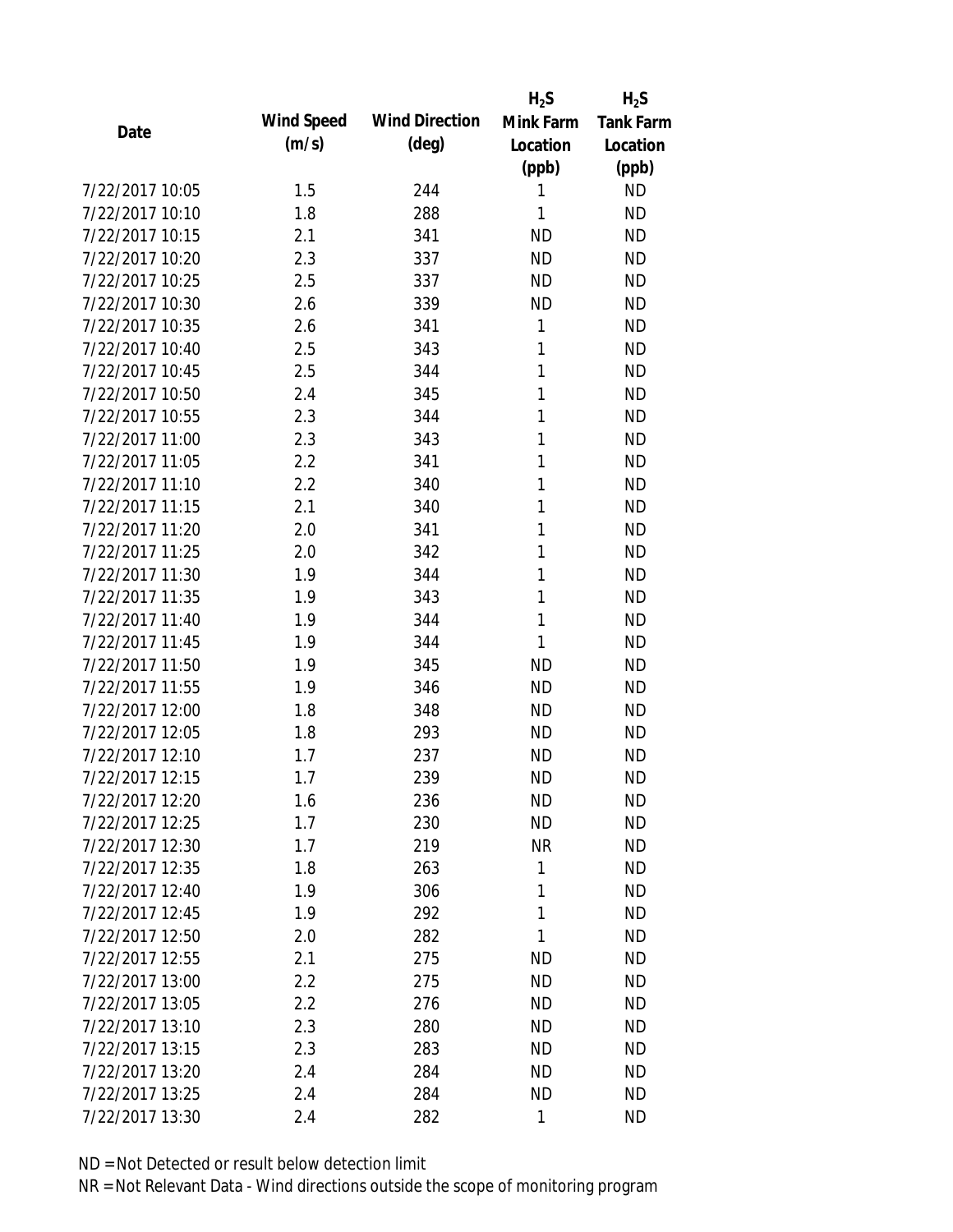|                 |            |                       | $H_2S$    | $H_2S$           |
|-----------------|------------|-----------------------|-----------|------------------|
| Date            | Wind Speed | <b>Wind Direction</b> | Mink Farm | <b>Tank Farm</b> |
|                 | (m/s)      | $(\text{deg})$        | Location  | Location         |
|                 |            |                       | (ppb)     | (ppb)            |
| 7/22/2017 10:05 | 1.5        | 244                   | 1         | <b>ND</b>        |
| 7/22/2017 10:10 | 1.8        | 288                   | 1         | <b>ND</b>        |
| 7/22/2017 10:15 | 2.1        | 341                   | <b>ND</b> | <b>ND</b>        |
| 7/22/2017 10:20 | 2.3        | 337                   | <b>ND</b> | <b>ND</b>        |
| 7/22/2017 10:25 | 2.5        | 337                   | <b>ND</b> | <b>ND</b>        |
| 7/22/2017 10:30 | 2.6        | 339                   | <b>ND</b> | <b>ND</b>        |
| 7/22/2017 10:35 | 2.6        | 341                   | 1         | <b>ND</b>        |
| 7/22/2017 10:40 | 2.5        | 343                   | 1         | <b>ND</b>        |
| 7/22/2017 10:45 | 2.5        | 344                   | 1         | <b>ND</b>        |
| 7/22/2017 10:50 | 2.4        | 345                   | 1         | <b>ND</b>        |
| 7/22/2017 10:55 | 2.3        | 344                   | 1         | <b>ND</b>        |
| 7/22/2017 11:00 | 2.3        | 343                   | 1         | <b>ND</b>        |
| 7/22/2017 11:05 | 2.2        | 341                   | 1         | <b>ND</b>        |
| 7/22/2017 11:10 | 2.2        | 340                   | 1         | <b>ND</b>        |
| 7/22/2017 11:15 | 2.1        | 340                   | 1         | <b>ND</b>        |
| 7/22/2017 11:20 | 2.0        | 341                   | 1         | <b>ND</b>        |
| 7/22/2017 11:25 | 2.0        | 342                   | 1         | <b>ND</b>        |
| 7/22/2017 11:30 | 1.9        | 344                   | 1         | <b>ND</b>        |
| 7/22/2017 11:35 | 1.9        | 343                   | 1         | <b>ND</b>        |
| 7/22/2017 11:40 | 1.9        | 344                   | 1         | <b>ND</b>        |
| 7/22/2017 11:45 | 1.9        | 344                   | 1         | <b>ND</b>        |
| 7/22/2017 11:50 | 1.9        | 345                   | <b>ND</b> | <b>ND</b>        |
| 7/22/2017 11:55 | 1.9        | 346                   | <b>ND</b> | <b>ND</b>        |
| 7/22/2017 12:00 | 1.8        | 348                   | <b>ND</b> | <b>ND</b>        |
| 7/22/2017 12:05 | 1.8        | 293                   | <b>ND</b> | <b>ND</b>        |
| 7/22/2017 12:10 | 1.7        | 237                   | <b>ND</b> | <b>ND</b>        |
| 7/22/2017 12:15 | 1.7        | 239                   | <b>ND</b> | <b>ND</b>        |
| 7/22/2017 12:20 | 1.6        | 236                   | <b>ND</b> | <b>ND</b>        |
| 7/22/2017 12:25 | 1.7        | 230                   | <b>ND</b> | <b>ND</b>        |
| 7/22/2017 12:30 | 1.7        | 219                   | <b>NR</b> | <b>ND</b>        |
| 7/22/2017 12:35 | 1.8        | 263                   | 1         | <b>ND</b>        |
| 7/22/2017 12:40 | 1.9        | 306                   | 1         | <b>ND</b>        |
| 7/22/2017 12:45 | 1.9        | 292                   | 1         | <b>ND</b>        |
| 7/22/2017 12:50 | 2.0        | 282                   | 1         | <b>ND</b>        |
| 7/22/2017 12:55 | 2.1        | 275                   | ND        | <b>ND</b>        |
| 7/22/2017 13:00 | 2.2        | 275                   | <b>ND</b> | <b>ND</b>        |
| 7/22/2017 13:05 | 2.2        | 276                   | <b>ND</b> | <b>ND</b>        |
| 7/22/2017 13:10 | 2.3        | 280                   | <b>ND</b> | <b>ND</b>        |
| 7/22/2017 13:15 | 2.3        | 283                   | <b>ND</b> | <b>ND</b>        |
| 7/22/2017 13:20 | 2.4        | 284                   | ND        | <b>ND</b>        |
| 7/22/2017 13:25 | 2.4        | 284                   | <b>ND</b> | <b>ND</b>        |
| 7/22/2017 13:30 | 2.4        | 282                   | 1         | <b>ND</b>        |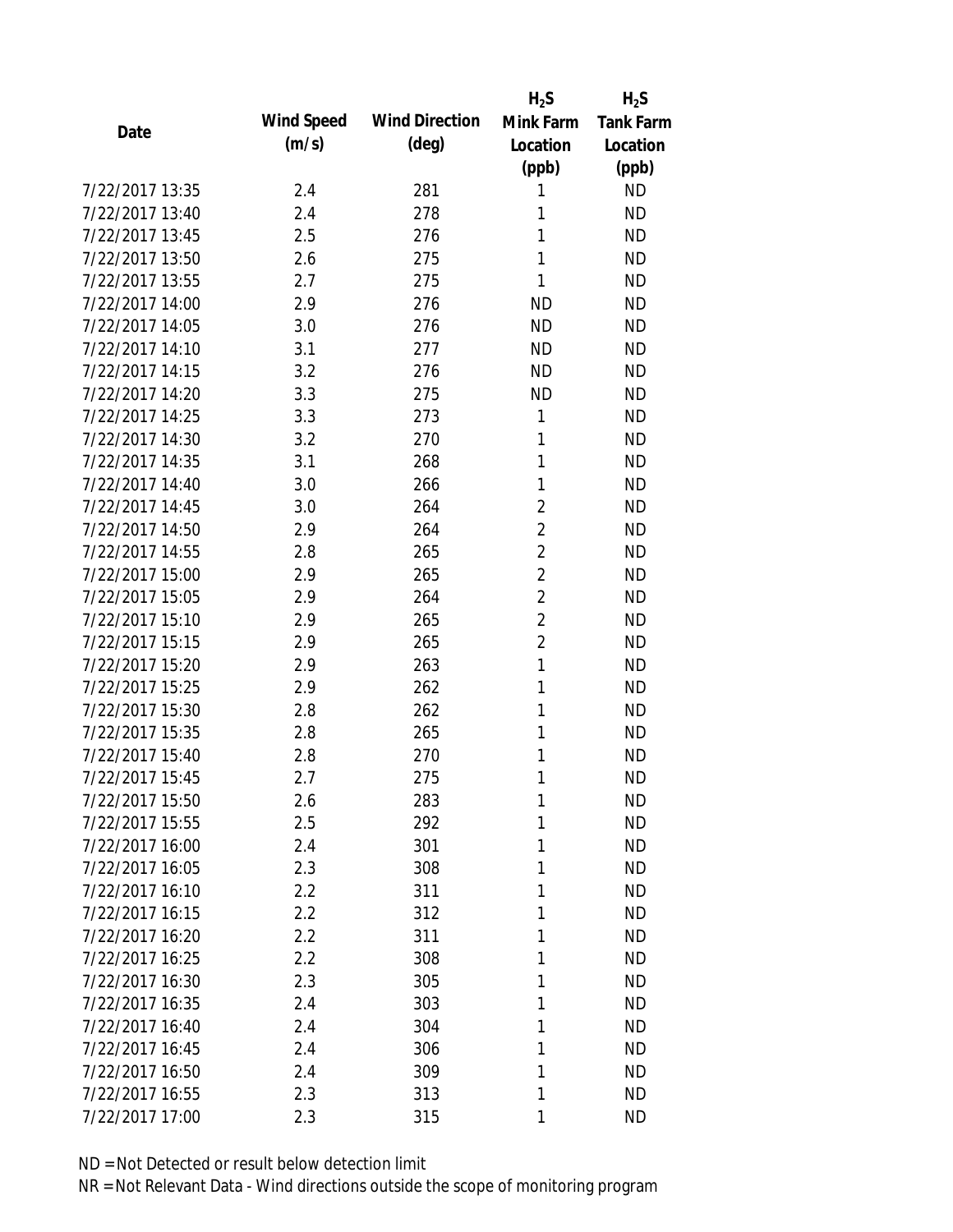|                 |            |                       | $H_2S$         | $H_2S$           |
|-----------------|------------|-----------------------|----------------|------------------|
| Date            | Wind Speed | <b>Wind Direction</b> | Mink Farm      | <b>Tank Farm</b> |
|                 | (m/s)      | $(\text{deg})$        | Location       | Location         |
|                 |            |                       | (ppb)          | (ppb)            |
| 7/22/2017 13:35 | 2.4        | 281                   | 1              | <b>ND</b>        |
| 7/22/2017 13:40 | 2.4        | 278                   | 1              | <b>ND</b>        |
| 7/22/2017 13:45 | 2.5        | 276                   | 1              | <b>ND</b>        |
| 7/22/2017 13:50 | 2.6        | 275                   | 1              | <b>ND</b>        |
| 7/22/2017 13:55 | 2.7        | 275                   | 1              | <b>ND</b>        |
| 7/22/2017 14:00 | 2.9        | 276                   | <b>ND</b>      | <b>ND</b>        |
| 7/22/2017 14:05 | 3.0        | 276                   | <b>ND</b>      | <b>ND</b>        |
| 7/22/2017 14:10 | 3.1        | 277                   | <b>ND</b>      | <b>ND</b>        |
| 7/22/2017 14:15 | 3.2        | 276                   | <b>ND</b>      | <b>ND</b>        |
| 7/22/2017 14:20 | 3.3        | 275                   | <b>ND</b>      | <b>ND</b>        |
| 7/22/2017 14:25 | 3.3        | 273                   | 1              | <b>ND</b>        |
| 7/22/2017 14:30 | 3.2        | 270                   | 1              | <b>ND</b>        |
| 7/22/2017 14:35 | 3.1        | 268                   | 1              | <b>ND</b>        |
| 7/22/2017 14:40 | 3.0        | 266                   | 1              | <b>ND</b>        |
| 7/22/2017 14:45 | 3.0        | 264                   | $\overline{2}$ | <b>ND</b>        |
| 7/22/2017 14:50 | 2.9        | 264                   | $\overline{2}$ | <b>ND</b>        |
| 7/22/2017 14:55 | 2.8        | 265                   | $\overline{2}$ | <b>ND</b>        |
| 7/22/2017 15:00 | 2.9        | 265                   | $\overline{2}$ | <b>ND</b>        |
| 7/22/2017 15:05 | 2.9        | 264                   | $\overline{2}$ | <b>ND</b>        |
| 7/22/2017 15:10 | 2.9        | 265                   | $\overline{2}$ | <b>ND</b>        |
| 7/22/2017 15:15 | 2.9        | 265                   | $\overline{2}$ | <b>ND</b>        |
| 7/22/2017 15:20 | 2.9        | 263                   | $\mathbf{1}$   | <b>ND</b>        |
| 7/22/2017 15:25 | 2.9        | 262                   | 1              | <b>ND</b>        |
| 7/22/2017 15:30 | 2.8        | 262                   | 1              | <b>ND</b>        |
| 7/22/2017 15:35 | 2.8        | 265                   | 1              | <b>ND</b>        |
| 7/22/2017 15:40 | 2.8        | 270                   | 1              | <b>ND</b>        |
| 7/22/2017 15:45 | 2.7        | 275                   | 1              | <b>ND</b>        |
| 7/22/2017 15:50 | 2.6        | 283                   | 1              | <b>ND</b>        |
| 7/22/2017 15:55 | 2.5        | 292                   | 1              | <b>ND</b>        |
| 7/22/2017 16:00 | 2.4        | 301                   | 1              | <b>ND</b>        |
| 7/22/2017 16:05 | 2.3        | 308                   | 1              | <b>ND</b>        |
| 7/22/2017 16:10 | 2.2        | 311                   | 1              | <b>ND</b>        |
| 7/22/2017 16:15 | 2.2        | 312                   | 1              | ND               |
| 7/22/2017 16:20 | 2.2        | 311                   | 1              | <b>ND</b>        |
| 7/22/2017 16:25 | 2.2        | 308                   | 1              | <b>ND</b>        |
| 7/22/2017 16:30 | 2.3        | 305                   | 1              | <b>ND</b>        |
| 7/22/2017 16:35 | 2.4        | 303                   | 1              | <b>ND</b>        |
| 7/22/2017 16:40 | 2.4        | 304                   | 1              | <b>ND</b>        |
| 7/22/2017 16:45 | 2.4        | 306                   | 1              | <b>ND</b>        |
| 7/22/2017 16:50 | 2.4        | 309                   | 1              | <b>ND</b>        |
| 7/22/2017 16:55 | 2.3        | 313                   | 1              | <b>ND</b>        |
| 7/22/2017 17:00 |            |                       |                |                  |
|                 | 2.3        | 315                   | 1              | <b>ND</b>        |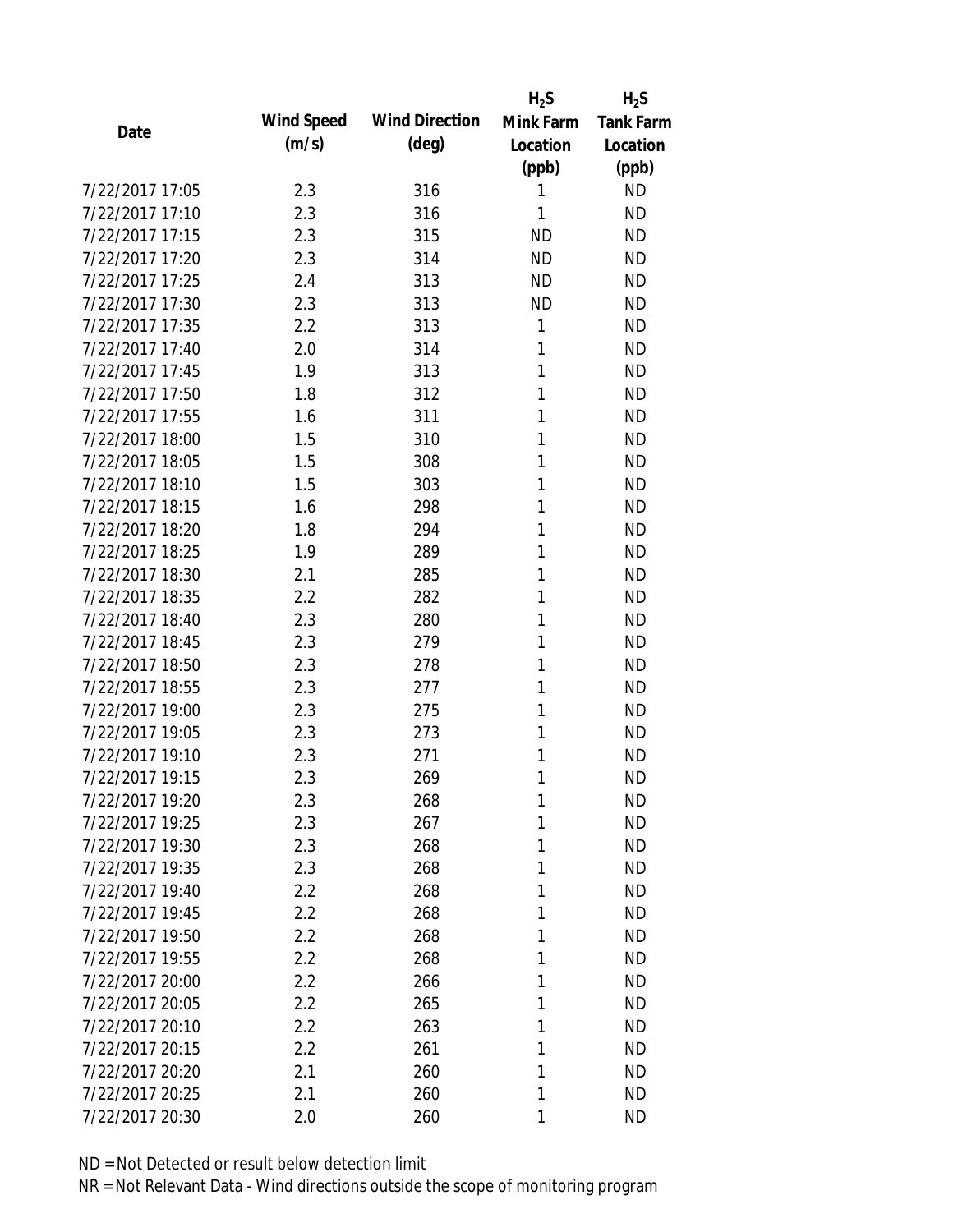|                 |            |                       | $H_2S$    | $H_2S$           |
|-----------------|------------|-----------------------|-----------|------------------|
| Date            | Wind Speed | <b>Wind Direction</b> | Mink Farm | <b>Tank Farm</b> |
|                 | (m/s)      | $(\text{deg})$        | Location  | Location         |
|                 |            |                       | (ppb)     | (ppb)            |
| 7/22/2017 17:05 | 2.3        | 316                   | 1         | <b>ND</b>        |
| 7/22/2017 17:10 | 2.3        | 316                   | 1         | <b>ND</b>        |
| 7/22/2017 17:15 | 2.3        | 315                   | <b>ND</b> | <b>ND</b>        |
| 7/22/2017 17:20 | 2.3        | 314                   | <b>ND</b> | <b>ND</b>        |
| 7/22/2017 17:25 | 2.4        | 313                   | <b>ND</b> | <b>ND</b>        |
| 7/22/2017 17:30 | 2.3        | 313                   | <b>ND</b> | <b>ND</b>        |
| 7/22/2017 17:35 | 2.2        | 313                   | 1         | <b>ND</b>        |
| 7/22/2017 17:40 | 2.0        | 314                   | 1         | <b>ND</b>        |
| 7/22/2017 17:45 | 1.9        | 313                   | 1         | <b>ND</b>        |
| 7/22/2017 17:50 | 1.8        | 312                   | 1         | <b>ND</b>        |
| 7/22/2017 17:55 | 1.6        | 311                   | 1         | <b>ND</b>        |
| 7/22/2017 18:00 | 1.5        | 310                   | 1         | <b>ND</b>        |
| 7/22/2017 18:05 | 1.5        | 308                   | 1         | <b>ND</b>        |
| 7/22/2017 18:10 | 1.5        | 303                   | 1         | <b>ND</b>        |
| 7/22/2017 18:15 | 1.6        | 298                   | 1         | <b>ND</b>        |
| 7/22/2017 18:20 | 1.8        | 294                   | 1         | <b>ND</b>        |
| 7/22/2017 18:25 | 1.9        | 289                   | 1         | <b>ND</b>        |
| 7/22/2017 18:30 | 2.1        | 285                   | 1         | <b>ND</b>        |
| 7/22/2017 18:35 | 2.2        | 282                   | 1         | <b>ND</b>        |
| 7/22/2017 18:40 | 2.3        | 280                   | 1         | <b>ND</b>        |
| 7/22/2017 18:45 | 2.3        | 279                   | 1         | <b>ND</b>        |
| 7/22/2017 18:50 | 2.3        | 278                   | 1         | <b>ND</b>        |
| 7/22/2017 18:55 | 2.3        | 277                   | 1         | <b>ND</b>        |
| 7/22/2017 19:00 | 2.3        | 275                   | 1         | <b>ND</b>        |
| 7/22/2017 19:05 | 2.3        | 273                   | 1         | <b>ND</b>        |
| 7/22/2017 19:10 | 2.3        | 271                   | 1         | <b>ND</b>        |
| 7/22/2017 19:15 | 2.3        | 269                   | 1         | <b>ND</b>        |
| 7/22/2017 19:20 | 2.3        | 268                   | 1         | <b>ND</b>        |
| 7/22/2017 19:25 | 2.3        | 267                   | 1         | <b>ND</b>        |
| 7/22/2017 19:30 | 2.3        | 268                   | 1         | <b>ND</b>        |
| 7/22/2017 19:35 | 2.3        | 268                   | 1         | <b>ND</b>        |
| 7/22/2017 19:40 | 2.2        | 268                   | 1         | <b>ND</b>        |
| 7/22/2017 19:45 | 2.2        | 268                   | 1         | ND               |
| 7/22/2017 19:50 | 2.2        | 268                   | 1         | <b>ND</b>        |
| 7/22/2017 19:55 | 2.2        | 268                   | 1         | <b>ND</b>        |
| 7/22/2017 20:00 | 2.2        | 266                   | 1         | <b>ND</b>        |
| 7/22/2017 20:05 | 2.2        | 265                   | 1         | <b>ND</b>        |
| 7/22/2017 20:10 | 2.2        | 263                   | 1         | <b>ND</b>        |
| 7/22/2017 20:15 | 2.2        | 261                   | 1         | <b>ND</b>        |
| 7/22/2017 20:20 | 2.1        | 260                   | 1         | <b>ND</b>        |
| 7/22/2017 20:25 | 2.1        | 260                   | 1         | <b>ND</b>        |
| 7/22/2017 20:30 | 2.0        | 260                   | 1         | <b>ND</b>        |
|                 |            |                       |           |                  |